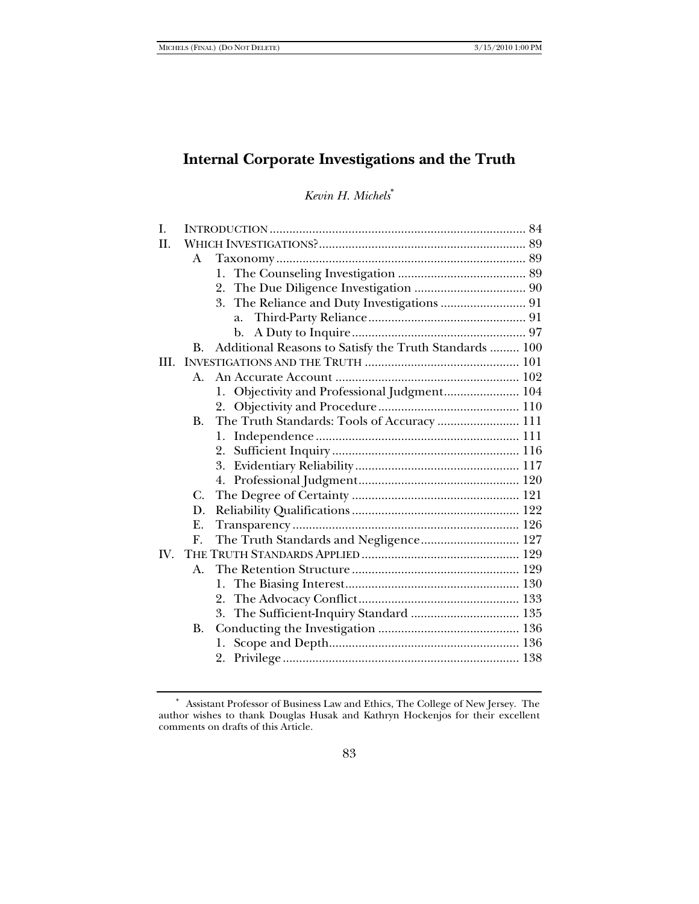# **Internal Corporate Investigations and the Truth**

*Kevin H. Michels*<sup>∗</sup>

| I.                   |                |                                                        |  |
|----------------------|----------------|--------------------------------------------------------|--|
| H.                   |                |                                                        |  |
|                      | A              |                                                        |  |
|                      |                | 1.                                                     |  |
|                      |                | 2.                                                     |  |
|                      |                | 3.                                                     |  |
|                      |                | a.                                                     |  |
|                      |                | b.                                                     |  |
|                      | <b>B.</b>      | Additional Reasons to Satisfy the Truth Standards  100 |  |
| HI.                  |                |                                                        |  |
|                      | $A_{\cdot}$    |                                                        |  |
|                      |                | 1. Objectivity and Professional Judgment 104           |  |
|                      |                |                                                        |  |
|                      | <b>B.</b>      | The Truth Standards: Tools of Accuracy  111            |  |
|                      |                | 1.                                                     |  |
|                      |                | 2.                                                     |  |
|                      |                |                                                        |  |
|                      |                |                                                        |  |
|                      | C.             |                                                        |  |
|                      | D.             |                                                        |  |
|                      | Ε.             |                                                        |  |
|                      | $\mathbf{F}$ . | The Truth Standards and Negligence 127                 |  |
| $\mathbf{N}_{\cdot}$ |                |                                                        |  |
|                      | A.             |                                                        |  |
|                      |                |                                                        |  |
|                      |                | 2.                                                     |  |
|                      |                | 3.                                                     |  |
|                      | <b>B.</b>      |                                                        |  |
|                      |                | 1.                                                     |  |
|                      |                |                                                        |  |
|                      |                |                                                        |  |

<sup>∗</sup> Assistant Professor of Business Law and Ethics, The College of New Jersey. The author wishes to thank Douglas Husak and Kathryn Hockenjos for their excellent comments on drafts of this Article.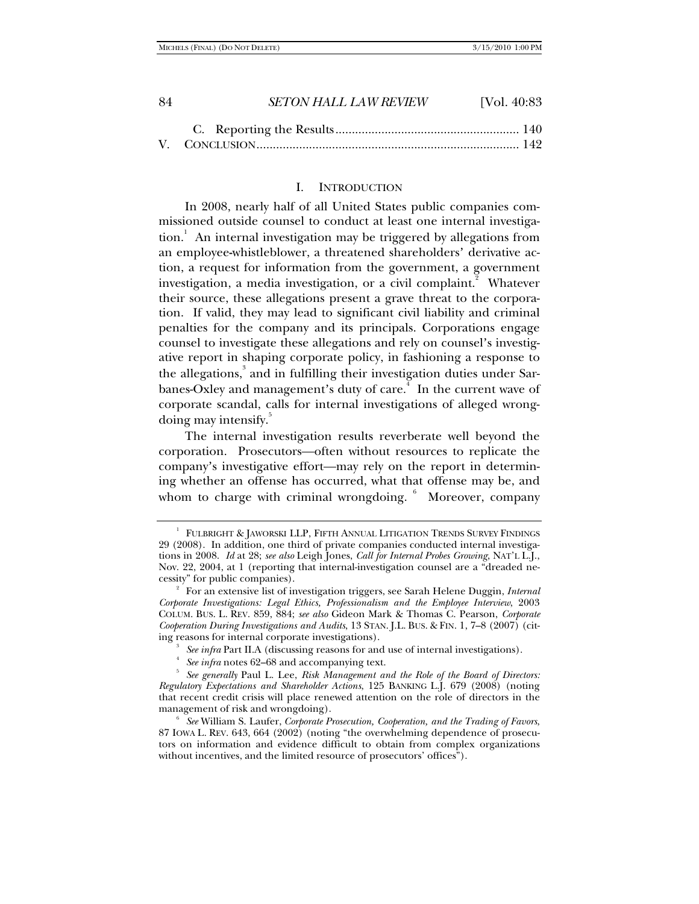| -84 | <b>SETON HALL LAW REVIEW</b> | [Vol. 40:83] |
|-----|------------------------------|--------------|
|     |                              |              |

## V. CONCLUSION ................................................................................ 142

#### I. INTRODUCTION

In 2008, nearly half of all United States public companies commissioned outside counsel to conduct at least one internal investigation.<sup>1</sup> An internal investigation may be triggered by allegations from an employee**-**whistleblower, a threatened shareholders' derivative action, a request for information from the government, a government investigation, a media investigation, or a civil complaint.<sup>2</sup> Whatever their source, these allegations present a grave threat to the corporation. If valid, they may lead to significant civil liability and criminal penalties for the company and its principals. Corporations engage counsel to investigate these allegations and rely on counsel's investigative report in shaping corporate policy, in fashioning a response to the allegations,<sup>3</sup> and in fulfilling their investigation duties under Sarbanes-Oxley and management's duty of care.<sup>4</sup> In the current wave of corporate scandal, calls for internal investigations of alleged wrongdoing may intensify.<sup>5</sup>

The internal investigation results reverberate well beyond the corporation. Prosecutors—often without resources to replicate the company's investigative effort—may rely on the report in determining whether an offense has occurred, what that offense may be, and whom to charge with criminal wrongdoing.  $6$  Moreover, company

<sup>&</sup>lt;sup>1</sup> FULBRIGHT & JAWORSKI LLP, FIFTH ANNUAL LITIGATION TRENDS SURVEY FINDINGS 29 (2008). In addition, one third of private companies conducted internal investigations in 2008. *Id* at 28; *see also* Leigh Jones, *Call for Internal Probes Growing*, NAT'L L.J., Nov. 22, 2004, at 1 (reporting that internal-investigation counsel are a "dreaded necessity" for public companies). 2

For an extensive list of investigation triggers, see Sarah Helene Duggin, *Internal Corporate Investigations: Legal Ethics, Professionalism and the Employee Interview*, 2003 COLUM. BUS. L. REV. 859, 884; *see also* Gideon Mark & Thomas C. Pearson, *Corporate Cooperation During Investigations and Audits*, 13 STAN. J.L. BUS. & FIN. 1, 7–8 (2007) (citing reasons for internal corporate investigations).

*See infra* Part II.A (discussing reasons for and use of internal investigations). 4

*See infra* notes 62–68 and accompanying text.

<sup>&</sup>lt;sup>5</sup> See generally Paul L. Lee, *Risk Management and the Role of the Board of Directors: Regulatory Expectations and Shareholder Actions*, 125 BANKING L.J. 679 (2008) (noting that recent credit crisis will place renewed attention on the role of directors in the management of risk and wrongdoing). 6

*See* William S. Laufer, *Corporate Prosecution, Cooperation, and the Trading of Favors*, 87 IOWA L. REV. 643, 664 (2002) (noting "the overwhelming dependence of prosecutors on information and evidence difficult to obtain from complex organizations without incentives, and the limited resource of prosecutors' offices").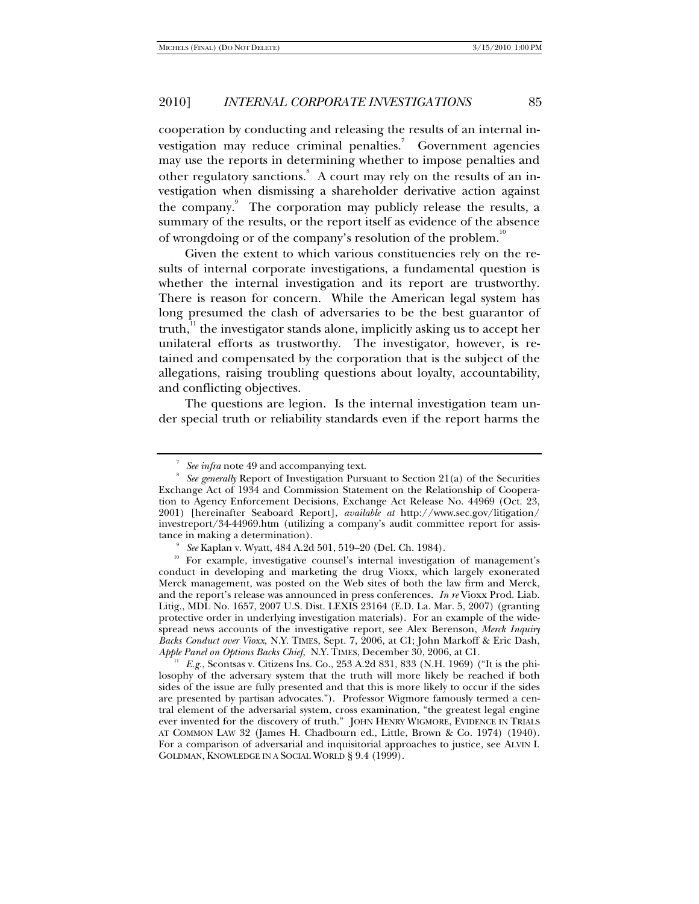cooperation by conducting and releasing the results of an internal investigation may reduce criminal penalties.<sup>7</sup> Government agencies may use the reports in determining whether to impose penalties and other regulatory sanctions. A court may rely on the results of an investigation when dismissing a shareholder derivative action against the company.<sup>9</sup> The corporation may publicly release the results, a summary of the results, or the report itself as evidence of the absence of wrongdoing or of the company's resolution of the problem.<sup>10</sup>

Given the extent to which various constituencies rely on the results of internal corporate investigations, a fundamental question is whether the internal investigation and its report are trustworthy. There is reason for concern. While the American legal system has long presumed the clash of adversaries to be the best guarantor of truth, $\frac{1}{1}$  the investigator stands alone, implicitly asking us to accept her unilateral efforts as trustworthy. The investigator, however, is retained and compensated by the corporation that is the subject of the allegations, raising troubling questions about loyalty, accountability, and conflicting objectives.

The questions are legion. Is the internal investigation team under special truth or reliability standards even if the report harms the

 $A<sup>H</sup>$  *E.g.*, Scontsas v. Citizens Ins. Co., 253 A.2d 831, 833 (N.H. 1969) ("It is the philosophy of the adversary system that the truth will more likely be reached if both sides of the issue are fully presented and that this is more likely to occur if the sides are presented by partisan advocates."). Professor Wigmore famously termed a central element of the adversarial system, cross examination, "the greatest legal engine ever invented for the discovery of truth." JOHN HENRY WIGMORE, EVIDENCE IN TRIALS AT COMMON LAW 32 (James H. Chadbourn ed., Little, Brown & Co. 1974) (1940). For a comparison of adversarial and inquisitorial approaches to justice, see ALVIN I. GOLDMAN, KNOWLEDGE IN A SOCIAL WORLD § 9.4 (1999).

<sup>7</sup> *See infra* note 49 and accompanying text.

*See generally* Report of Investigation Pursuant to Section 21(a) of the Securities Exchange Act of 1934 and Commission Statement on the Relationship of Cooperation to Agency Enforcement Decisions, Exchange Act Release No. 44969 (Oct. 23, 2001) [hereinafter Seaboard Report], *available at* http://www.sec.gov/litigation/ investreport/34-44969.htm (utilizing a company's audit committee report for assistance in making a determination).<br><sup>9</sup> See Kaplan v. Wyatt, 484 A.2d 501, 519–20 (Del. Ch. 1984).

<sup>&</sup>lt;sup>10</sup> For example, investigative counsel's internal investigation of management's conduct in developing and marketing the drug Vioxx, which largely exonerated Merck management, was posted on the Web sites of both the law firm and Merck, and the report's release was announced in press conferences. *In re* Vioxx Prod. Liab. Litig., MDL No. 1657, 2007 U.S. Dist. LEXIS 23164 (E.D. La. Mar. 5, 2007) (granting protective order in underlying investigation materials). For an example of the widespread news accounts of the investigative report, see Alex Berenson, *Merck Inquiry Backs Conduct over Vioxx*, N.Y. TIMES, Sept. 7, 2006, at C1; John Markoff & Eric Dash, Apple Panel on Options Backs Chief, N.Y. TIMES, December 30, 2006, at C1.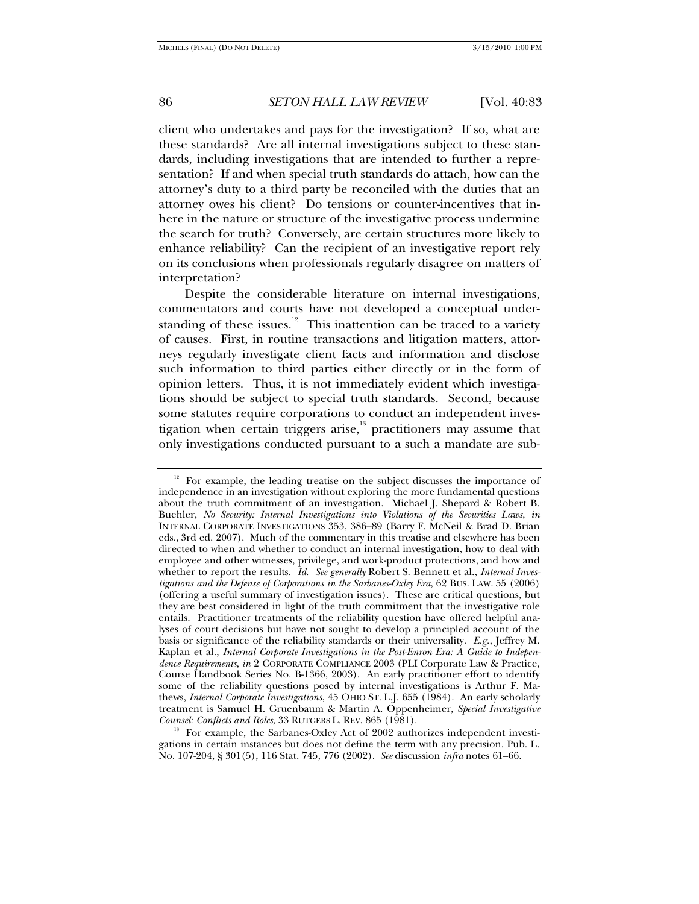client who undertakes and pays for the investigation? If so, what are these standards? Are all internal investigations subject to these standards, including investigations that are intended to further a representation? If and when special truth standards do attach, how can the attorney's duty to a third party be reconciled with the duties that an attorney owes his client? Do tensions or counter-incentives that inhere in the nature or structure of the investigative process undermine the search for truth? Conversely, are certain structures more likely to enhance reliability? Can the recipient of an investigative report rely on its conclusions when professionals regularly disagree on matters of interpretation?

Despite the considerable literature on internal investigations, commentators and courts have not developed a conceptual understanding of these issues. $12$  This inattention can be traced to a variety of causes. First, in routine transactions and litigation matters, attorneys regularly investigate client facts and information and disclose such information to third parties either directly or in the form of opinion letters. Thus, it is not immediately evident which investigations should be subject to special truth standards. Second, because some statutes require corporations to conduct an independent investigation when certain triggers arise, $\frac{13}{12}$  practitioners may assume that only investigations conducted pursuant to a such a mandate are sub-

<sup>&</sup>lt;sup>12</sup> For example, the leading treatise on the subject discusses the importance of independence in an investigation without exploring the more fundamental questions about the truth commitment of an investigation. Michael J. Shepard & Robert B. Buehler, *No Security: Internal Investigations into Violations of the Securities Laws*, *in*  INTERNAL CORPORATE INVESTIGATIONS 353, 386–89 (Barry F. McNeil & Brad D. Brian eds., 3rd ed. 2007). Much of the commentary in this treatise and elsewhere has been directed to when and whether to conduct an internal investigation, how to deal with employee and other witnesses, privilege, and work-product protections, and how and whether to report the results. *Id*. *See generally* Robert S. Bennett et al., *Internal Investigations and the Defense of Corporations in the Sarbanes-Oxley Era*, 62 BUS. LAW. 55 (2006) (offering a useful summary of investigation issues). These are critical questions, but they are best considered in light of the truth commitment that the investigative role entails. Practitioner treatments of the reliability question have offered helpful analyses of court decisions but have not sought to develop a principled account of the basis or significance of the reliability standards or their universality. *E.g.*, Jeffrey M. Kaplan et al., *Internal Corporate Investigations in the Post-Enron Era: A Guide to Independence Requirements*, *in* 2 CORPORATE COMPLIANCE 2003 (PLI Corporate Law & Practice, Course Handbook Series No. B-1366, 2003). An early practitioner effort to identify some of the reliability questions posed by internal investigations is Arthur F. Mathews, *Internal Corporate Investigations*, 45 OHIO ST. L.J. 655 (1984). An early scholarly treatment is Samuel H. Gruenbaum & Martin A. Oppenheimer, *Special Investigative* 

<sup>&</sup>lt;sup>13</sup> For example, the Sarbanes-Oxley Act of 2002 authorizes independent investigations in certain instances but does not define the term with any precision. Pub. L. No. 107-204, § 301(5), 116 Stat. 745, 776 (2002). *See* discussion *infra* notes 61–66.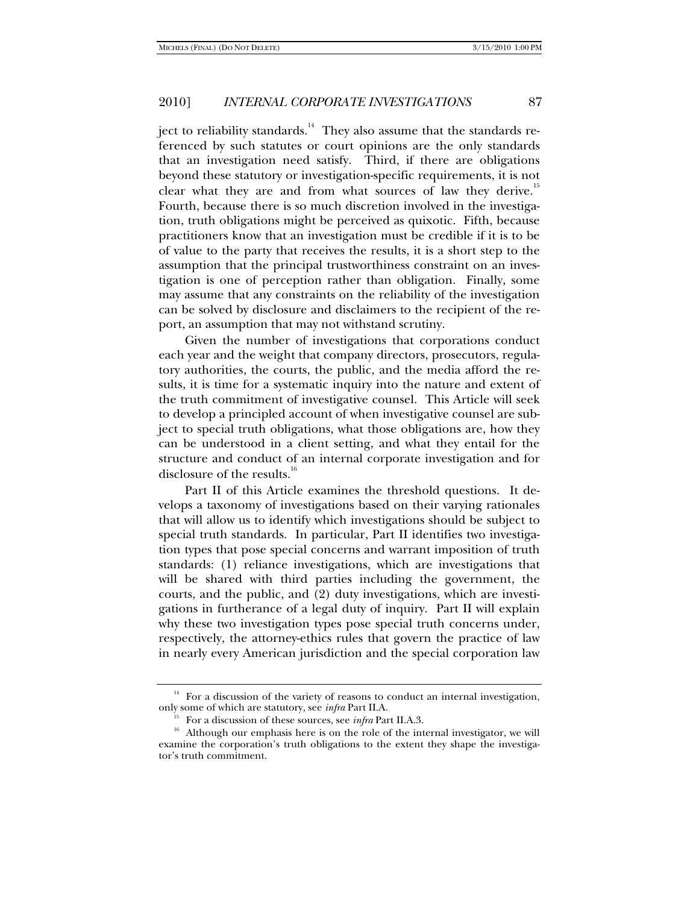ject to reliability standards.<sup>14</sup> They also assume that the standards referenced by such statutes or court opinions are the only standards that an investigation need satisfy. Third, if there are obligations beyond these statutory or investigation-specific requirements, it is not clear what they are and from what sources of law they derive.<sup>15</sup> Fourth, because there is so much discretion involved in the investigation, truth obligations might be perceived as quixotic. Fifth, because practitioners know that an investigation must be credible if it is to be of value to the party that receives the results, it is a short step to the assumption that the principal trustworthiness constraint on an investigation is one of perception rather than obligation. Finally, some may assume that any constraints on the reliability of the investigation can be solved by disclosure and disclaimers to the recipient of the report, an assumption that may not withstand scrutiny.

Given the number of investigations that corporations conduct each year and the weight that company directors, prosecutors, regulatory authorities, the courts, the public, and the media afford the results, it is time for a systematic inquiry into the nature and extent of the truth commitment of investigative counsel. This Article will seek to develop a principled account of when investigative counsel are subject to special truth obligations, what those obligations are, how they can be understood in a client setting, and what they entail for the structure and conduct of an internal corporate investigation and for disclosure of the results.<sup>16</sup>

Part II of this Article examines the threshold questions. It develops a taxonomy of investigations based on their varying rationales that will allow us to identify which investigations should be subject to special truth standards. In particular, Part II identifies two investigation types that pose special concerns and warrant imposition of truth standards: (1) reliance investigations, which are investigations that will be shared with third parties including the government, the courts, and the public, and (2) duty investigations, which are investigations in furtherance of a legal duty of inquiry. Part II will explain why these two investigation types pose special truth concerns under, respectively, the attorney-ethics rules that govern the practice of law in nearly every American jurisdiction and the special corporation law

<sup>&</sup>lt;sup>14</sup> For a discussion of the variety of reasons to conduct an internal investigation, only some of which are statutory, see *infra* Part II.A.

<sup>&</sup>lt;sup>15</sup> For a discussion of these sources, see *infra* Part II.A.3. <sup>16</sup> Although our emphasis here is on the role of the internal investigator, we will examine the corporation's truth obligations to the extent they shape the investigator's truth commitment.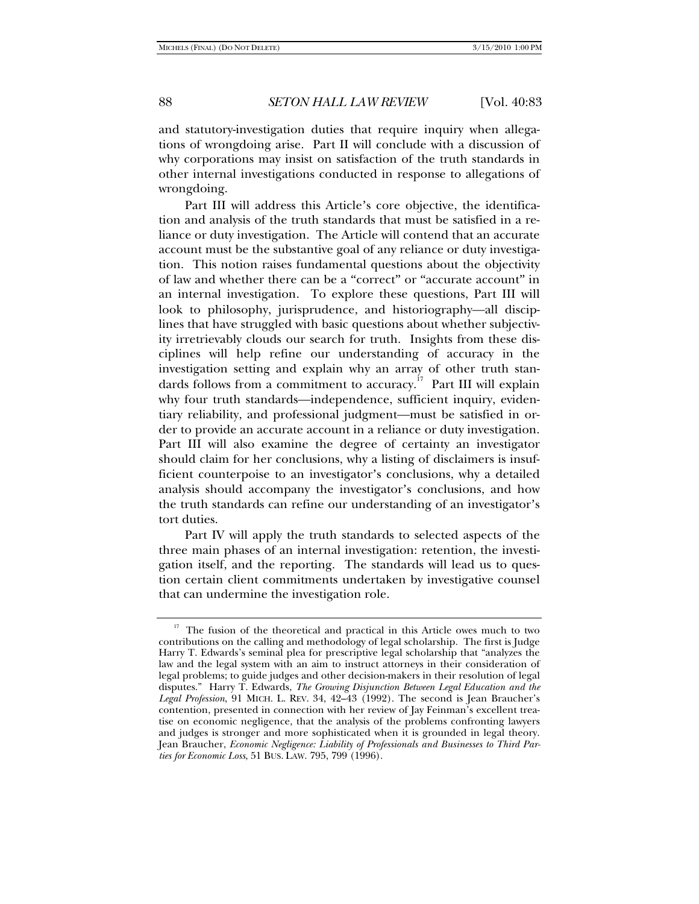and statutory-investigation duties that require inquiry when allegations of wrongdoing arise. Part II will conclude with a discussion of why corporations may insist on satisfaction of the truth standards in other internal investigations conducted in response to allegations of wrongdoing.

Part III will address this Article's core objective, the identification and analysis of the truth standards that must be satisfied in a reliance or duty investigation. The Article will contend that an accurate account must be the substantive goal of any reliance or duty investigation. This notion raises fundamental questions about the objectivity of law and whether there can be a "correct" or "accurate account" in an internal investigation. To explore these questions, Part III will look to philosophy, jurisprudence, and historiography—all disciplines that have struggled with basic questions about whether subjectivity irretrievably clouds our search for truth. Insights from these disciplines will help refine our understanding of accuracy in the investigation setting and explain why an array of other truth standards follows from a commitment to accuracy.<sup>17</sup> Part III will explain why four truth standards—independence, sufficient inquiry, evidentiary reliability, and professional judgment—must be satisfied in order to provide an accurate account in a reliance or duty investigation. Part III will also examine the degree of certainty an investigator should claim for her conclusions, why a listing of disclaimers is insufficient counterpoise to an investigator's conclusions, why a detailed analysis should accompany the investigator's conclusions, and how the truth standards can refine our understanding of an investigator's tort duties.

Part IV will apply the truth standards to selected aspects of the three main phases of an internal investigation: retention, the investigation itself, and the reporting. The standards will lead us to question certain client commitments undertaken by investigative counsel that can undermine the investigation role.

<sup>&</sup>lt;sup>17</sup> The fusion of the theoretical and practical in this Article owes much to two contributions on the calling and methodology of legal scholarship. The first is Judge Harry T. Edwards's seminal plea for prescriptive legal scholarship that "analyzes the law and the legal system with an aim to instruct attorneys in their consideration of legal problems; to guide judges and other decision-makers in their resolution of legal disputes." Harry T. Edwards, *The Growing Disjunction Between Legal Education and the Legal Profession*, 91 MICH. L. REV. 34, 42–43 (1992). The second is Jean Braucher's contention, presented in connection with her review of Jay Feinman's excellent treatise on economic negligence, that the analysis of the problems confronting lawyers and judges is stronger and more sophisticated when it is grounded in legal theory. Jean Braucher, *Economic Negligence: Liability of Professionals and Businesses to Third Parties for Economic Loss*, 51 BUS. LAW. 795, 799 (1996).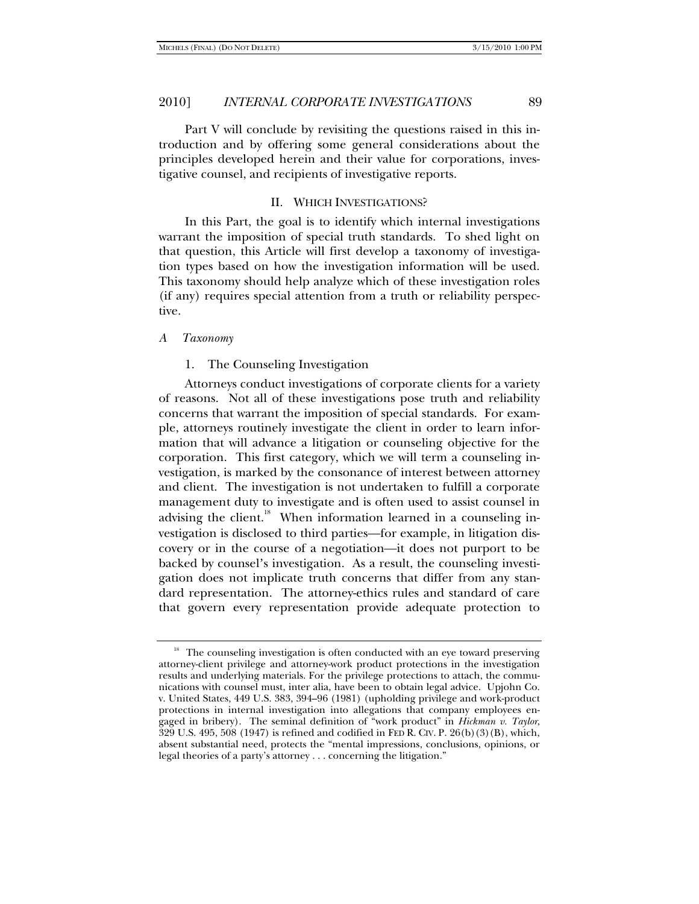Part V will conclude by revisiting the questions raised in this introduction and by offering some general considerations about the principles developed herein and their value for corporations, investigative counsel, and recipients of investigative reports.

#### II. WHICH INVESTIGATIONS?

In this Part, the goal is to identify which internal investigations warrant the imposition of special truth standards. To shed light on that question, this Article will first develop a taxonomy of investigation types based on how the investigation information will be used. This taxonomy should help analyze which of these investigation roles (if any) requires special attention from a truth or reliability perspective.

#### *A Taxonomy*

#### 1. The Counseling Investigation

Attorneys conduct investigations of corporate clients for a variety of reasons. Not all of these investigations pose truth and reliability concerns that warrant the imposition of special standards. For example, attorneys routinely investigate the client in order to learn information that will advance a litigation or counseling objective for the corporation. This first category, which we will term a counseling investigation, is marked by the consonance of interest between attorney and client. The investigation is not undertaken to fulfill a corporate management duty to investigate and is often used to assist counsel in advising the client.<sup>18</sup> When information learned in a counseling investigation is disclosed to third parties—for example, in litigation discovery or in the course of a negotiation—it does not purport to be backed by counsel's investigation. As a result, the counseling investigation does not implicate truth concerns that differ from any standard representation. The attorney-ethics rules and standard of care that govern every representation provide adequate protection to

<sup>&</sup>lt;sup>18</sup> The counseling investigation is often conducted with an eye toward preserving attorney-client privilege and attorney-work product protections in the investigation results and underlying materials. For the privilege protections to attach, the communications with counsel must, inter alia, have been to obtain legal advice. Upjohn Co. v. United States, 449 U.S. 383, 394–96 (1981) (upholding privilege and work-product protections in internal investigation into allegations that company employees engaged in bribery). The seminal definition of "work product" in *Hickman v. Taylor*, 329 U.S. 495, 508 (1947) is refined and codified in FED R. CIV. P. 26(b)(3)(B), which, absent substantial need, protects the "mental impressions, conclusions, opinions, or legal theories of a party's attorney . . . concerning the litigation."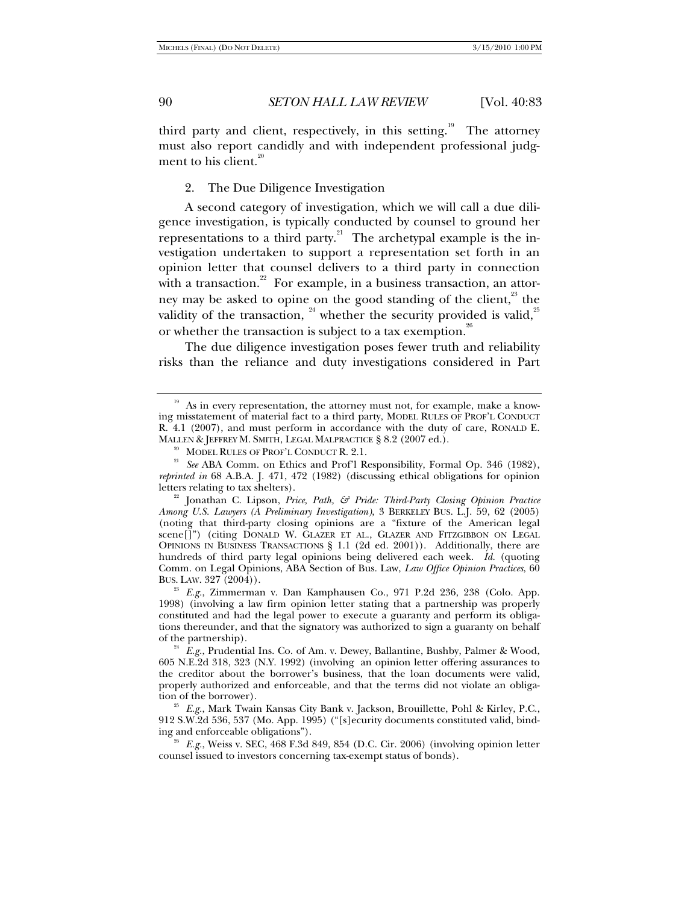third party and client, respectively, in this setting.<sup>19</sup> The attorney must also report candidly and with independent professional judgment to his client. $20$ 

2. The Due Diligence Investigation

A second category of investigation, which we will call a due diligence investigation, is typically conducted by counsel to ground her representations to a third party.<sup>21</sup> The archetypal example is the investigation undertaken to support a representation set forth in an opinion letter that counsel delivers to a third party in connection with a transaction.<sup>22</sup> For example, in a business transaction, an attorney may be asked to opine on the good standing of the client, $\frac{23}{10}$  the validity of the transaction,  $^{24}$  whether the security provided is valid,  $^{25}$ or whether the transaction is subject to a tax exemption.<sup>26</sup>

The due diligence investigation poses fewer truth and reliability risks than the reliance and duty investigations considered in Part

1998) (involving a law firm opinion letter stating that a partnership was properly constituted and had the legal power to execute a guaranty and perform its obligations thereunder, and that the signatory was authorized to sign a guaranty on behalf of the partnership).

<sup>24</sup> E.g., Prudential Ins. Co. of Am. v. Dewey, Ballantine, Bushby, Palmer & Wood, 605 N.E.2d 318, 323 (N.Y. 1992) (involving an opinion letter offering assurances to the creditor about the borrower's business, that the loan documents were valid, properly authorized and enforceable, and that the terms did not violate an obliga-

<sup>25</sup> E.g., Mark Twain Kansas City Bank v. Jackson, Brouillette, Pohl & Kirley, P.C., 912 S.W.2d 536, 537 (Mo. App. 1995) ("[s]ecurity documents constituted valid, binding and enforceable obligations"). 26 *E.g.*, Weiss v. SEC, 468 F.3d 849, 854 (D.C. Cir. 2006) (involving opinion letter

counsel issued to investors concerning tax-exempt status of bonds).

<sup>&</sup>lt;sup>19</sup> As in every representation, the attorney must not, for example, make a knowing misstatement of material fact to a third party, MODEL RULES OF PROF'L CONDUCT R. 4.1 (2007), and must perform in accordance with the duty of care, RONALD E. MALLEN & JEFFREY M. SMITH, LEGAL MALPRACTICE § 8.2 (2007 ed.).

<sup>&</sup>lt;sup>20</sup> MODEL RULES OF PROF'L CONDUCT R. 2.1.<br><sup>21</sup> *See* ABA Comm. on Ethics and Prof'l Responsibility, Formal Op. 346 (1982), *reprinted in* 68 A.B.A. J. 471, 472 (1982) (discussing ethical obligations for opinion letters relating to tax shelters).

<sup>&</sup>lt;sup>22</sup> Jonathan C. Lipson, *Price, Path, & Pride: Third-Party Closing Opinion Practice Among U.S. Lawyers (A Preliminary Investigation)*, 3 BERKELEY BUS. L.J. 59, 62 (2005) (noting that third-party closing opinions are a "fixture of the American legal scene[]") (citing DONALD W. GLAZER ET AL., GLAZER AND FITZGIBBON ON LEGAL OPINIONS IN BUSINESS TRANSACTIONS § 1.1 (2d ed. 2001)). Additionally, there are hundreds of third party legal opinions being delivered each week. *Id.* (quoting Comm. on Legal Opinions, ABA Section of Bus. Law, *Law Office Opinion Practices*, 60 BUS. LAW. 327 (2004)). 23 *E.g.*, Zimmerman v. Dan Kamphausen Co., 971 P.2d 236, 238 (Colo. App.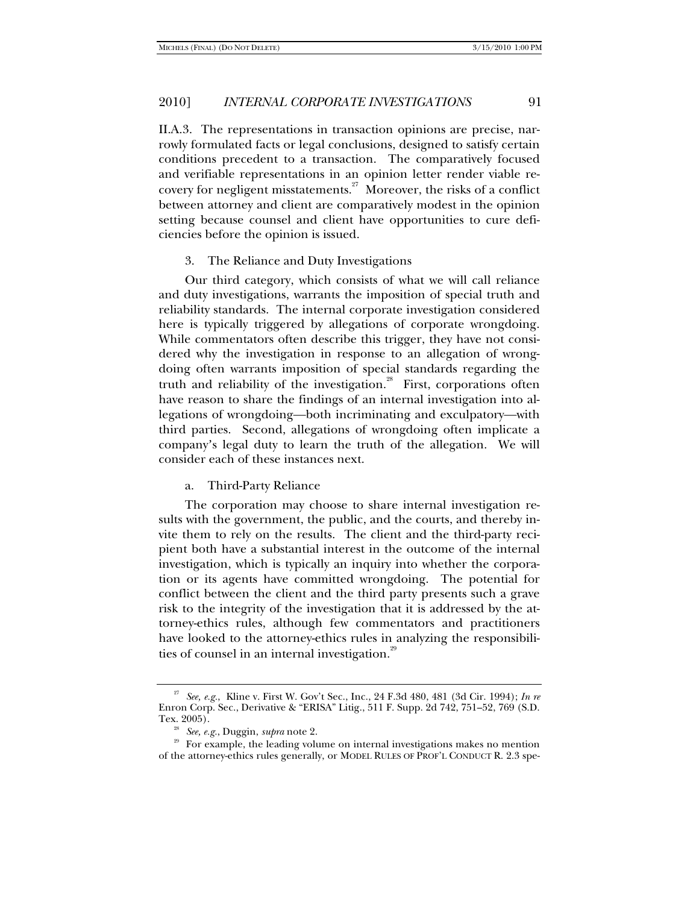II.A.3. The representations in transaction opinions are precise, narrowly formulated facts or legal conclusions, designed to satisfy certain conditions precedent to a transaction. The comparatively focused and verifiable representations in an opinion letter render viable recovery for negligent misstatements.<sup>27</sup> Moreover, the risks of a conflict between attorney and client are comparatively modest in the opinion setting because counsel and client have opportunities to cure deficiencies before the opinion is issued.

#### 3. The Reliance and Duty Investigations

Our third category, which consists of what we will call reliance and duty investigations, warrants the imposition of special truth and reliability standards. The internal corporate investigation considered here is typically triggered by allegations of corporate wrongdoing. While commentators often describe this trigger, they have not considered why the investigation in response to an allegation of wrongdoing often warrants imposition of special standards regarding the truth and reliability of the investigation.<sup>28</sup> First, corporations often have reason to share the findings of an internal investigation into allegations of wrongdoing—both incriminating and exculpatory—with third parties. Second, allegations of wrongdoing often implicate a company's legal duty to learn the truth of the allegation. We will consider each of these instances next.

#### a. Third-Party Reliance

The corporation may choose to share internal investigation results with the government, the public, and the courts, and thereby invite them to rely on the results. The client and the third-party recipient both have a substantial interest in the outcome of the internal investigation, which is typically an inquiry into whether the corporation or its agents have committed wrongdoing. The potential for conflict between the client and the third party presents such a grave risk to the integrity of the investigation that it is addressed by the attorney-ethics rules, although few commentators and practitioners have looked to the attorney-ethics rules in analyzing the responsibilities of counsel in an internal investigation. $29$ 

<sup>27</sup> *See, e.g.*, Kline v. First W. Gov't Sec., Inc., 24 F.3d 480, 481 (3d Cir. 1994); *In re* Enron Corp. Sec., Derivative & "ERISA" Litig., 511 F. Supp. 2d 742, 751–52, 769 (S.D.

Tex. 2005).<br><sup>28</sup> *See, e.g.*, Duggin, *supra* note 2.<br><sup>29</sup> For example, the leading volume on internal investigations makes no mention of the attorney-ethics rules generally, or MODEL RULES OF PROF'L CONDUCT R. 2.3 spe-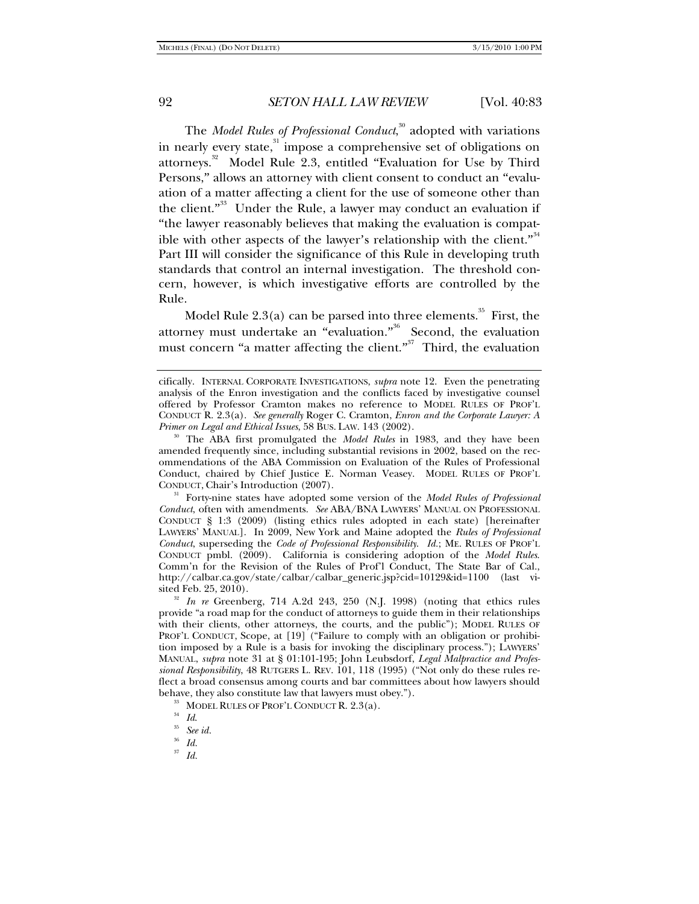The *Model Rules of Professional Conduct*, 30 adopted with variations in nearly every state, $31$  impose a comprehensive set of obligations on attorneys.<sup>32</sup> Model Rule 2.3, entitled "Evaluation for Use by Third Persons," allows an attorney with client consent to conduct an "evaluation of a matter affecting a client for the use of someone other than the client."<sup>33</sup> Under the Rule, a lawyer may conduct an evaluation if "the lawyer reasonably believes that making the evaluation is compatible with other aspects of the lawyer's relationship with the client."<sup>34</sup> Part III will consider the significance of this Rule in developing truth standards that control an internal investigation. The threshold concern, however, is which investigative efforts are controlled by the Rule.

Model Rule  $2.3(a)$  can be parsed into three elements.<sup>35</sup> First, the attorney must undertake an "evaluation."<sup>36</sup> Second, the evaluation must concern "a matter affecting the client."<sup>37</sup> Third, the evaluation

*Conduct*, often with amendments. *See* ABA/BNA LAWYERS' MANUAL ON PROFESSIONAL CONDUCT § 1:3 (2009) (listing ethics rules adopted in each state) [hereinafter LAWYERS' MANUAL]. In 2009, New York and Maine adopted the *Rules of Professional Conduct*, superseding the *Code of Professional Responsibility*. *Id.*; ME. RULES OF PROF'L CONDUCT pmbl. (2009).California is considering adoption of the *Model Rules*. Comm'n for the Revision of the Rules of Prof'l Conduct, The State Bar of Cal., http://calbar.ca.gov/state/calbar/calbar\_generic.jsp?cid=10129&id=1100 (last vi-

<sup>32</sup> In re Greenberg, 714 A.2d 243, 250 (N.J. 1998) (noting that ethics rules provide "a road map for the conduct of attorneys to guide them in their relationships with their clients, other attorneys, the courts, and the public"); MODEL RULES OF PROF'L CONDUCT, Scope, at [19] ("Failure to comply with an obligation or prohibition imposed by a Rule is a basis for invoking the disciplinary process."); LAWYERS' MANUAL, *supra* note 31 at § 01:101-195; John Leubsdorf, *Legal Malpractice and Professional Responsibility*, 48 RUTGERS L. REV. 101, 118 (1995) ("Not only do these rules reflect a broad consensus among courts and bar committees about how lawyers should behave, they also constitute law that lawyers must obey.").

<sup>33</sup> MODEL RULES OF PROF'L CONDUCT R. 2.3(a).<br><sup>34</sup> Id.<br><sup>35</sup> See id. 35<sup> *Id.* 35</sup>

<sup>37</sup> *Id.*

cifically. INTERNAL CORPORATE INVESTIGATIONS, *supra* note 12. Even the penetrating analysis of the Enron investigation and the conflicts faced by investigative counsel offered by Professor Cramton makes no reference to MODEL RULES OF PROF'L CONDUCT R. 2.3(a). *See generally* Roger C. Cramton, *Enron and the Corporate Lawyer: A* 

*Primer on Legal and Ethical Issues*, 58 BUS. LAW. 143 (2002). 30 The ABA first promulgated the *Model Rules* in 1983, and they have been amended frequently since, including substantial revisions in 2002, based on the recommendations of the ABA Commission on Evaluation of the Rules of Professional Conduct, chaired by Chief Justice E. Norman Veasey. MODEL RULES OF PROF'L CONDUCT, Chair's Introduction (2007). 31 Forty-nine states have adopted some version of the *Model Rules of Professional* 

<sup>36</sup> *Id.*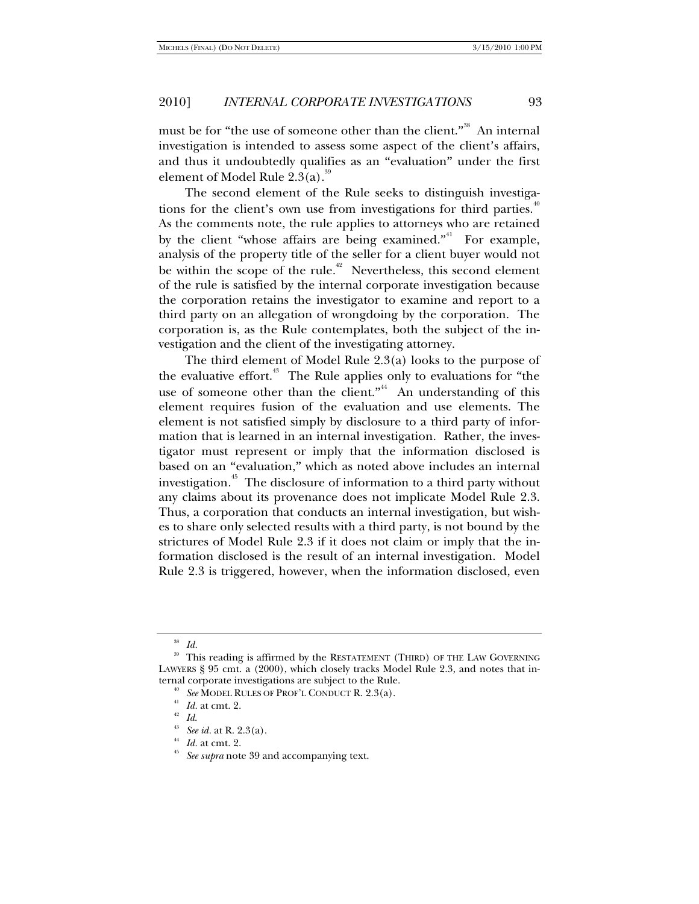must be for "the use of someone other than the client."<sup>38</sup> An internal investigation is intended to assess some aspect of the client's affairs, and thus it undoubtedly qualifies as an "evaluation" under the first element of Model Rule  $2.3(a)$ .<sup>39</sup>

The second element of the Rule seeks to distinguish investigations for the client's own use from investigations for third parties.<sup>40</sup> As the comments note, the rule applies to attorneys who are retained by the client "whose affairs are being examined." For example, analysis of the property title of the seller for a client buyer would not be within the scope of the rule.<sup>42</sup> Nevertheless, this second element of the rule is satisfied by the internal corporate investigation because the corporation retains the investigator to examine and report to a third party on an allegation of wrongdoing by the corporation. The corporation is, as the Rule contemplates, both the subject of the investigation and the client of the investigating attorney.

The third element of Model Rule 2.3(a) looks to the purpose of the evaluative effort.<sup> $43$ </sup> The Rule applies only to evaluations for "the use of someone other than the client."<sup>44</sup> An understanding of this element requires fusion of the evaluation and use elements. The element is not satisfied simply by disclosure to a third party of information that is learned in an internal investigation. Rather, the investigator must represent or imply that the information disclosed is based on an "evaluation," which as noted above includes an internal investigation.<sup>45</sup> The disclosure of information to a third party without any claims about its provenance does not implicate Model Rule 2.3. Thus, a corporation that conducts an internal investigation, but wishes to share only selected results with a third party, is not bound by the strictures of Model Rule 2.3 if it does not claim or imply that the information disclosed is the result of an internal investigation. Model Rule 2.3 is triggered, however, when the information disclosed, even

<sup>38</sup> *Id.*

This reading is affirmed by the RESTATEMENT (THIRD) OF THE LAW GOVERNING LAWYERS § 95 cmt. a (2000), which closely tracks Model Rule 2.3, and notes that internal corporate investigations are subject to the Rule.<br>
<sup>40</sup> See MODEL RULES OF PROF'L CONDUCT R. 2.3(a).<br>
<sup>41</sup> Id. at cmt. 2.<br>
<sup>42</sup> Id.<br>
<sup>43</sup> See id. at R. 2.3(a).<br>
<sup>44</sup> Id. at cmt. 2.<br>
See supra note 39 and accompanyi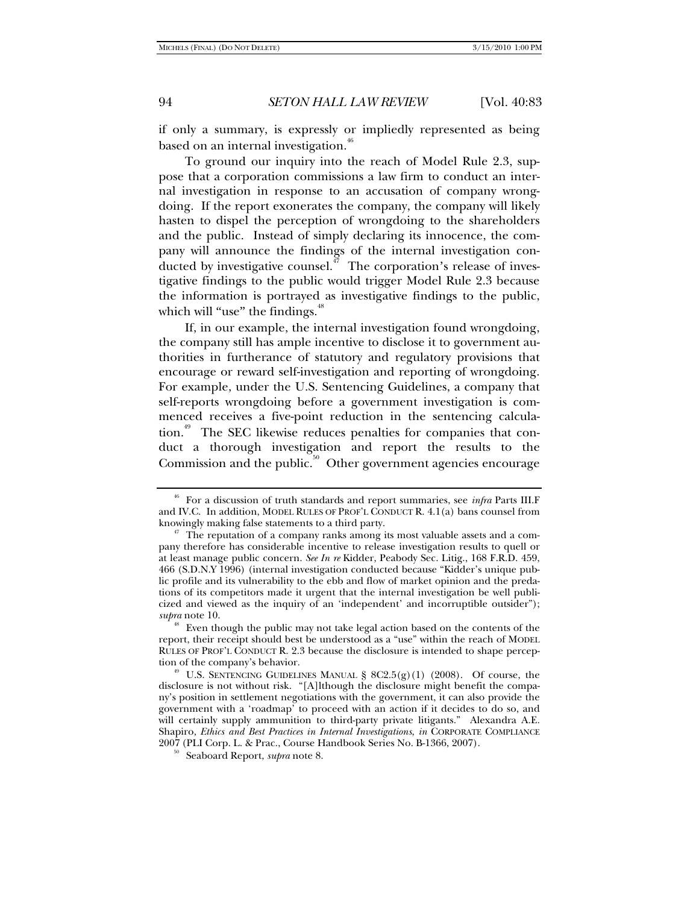if only a summary, is expressly or impliedly represented as being based on an internal investigation.<sup>46</sup>

To ground our inquiry into the reach of Model Rule 2.3, suppose that a corporation commissions a law firm to conduct an internal investigation in response to an accusation of company wrongdoing. If the report exonerates the company, the company will likely hasten to dispel the perception of wrongdoing to the shareholders and the public. Instead of simply declaring its innocence, the company will announce the findings of the internal investigation conducted by investigative counsel.<sup> $47$ </sup> The corporation's release of investigative findings to the public would trigger Model Rule 2.3 because the information is portrayed as investigative findings to the public, which will "use" the findings.<sup>48</sup>

If, in our example, the internal investigation found wrongdoing, the company still has ample incentive to disclose it to government authorities in furtherance of statutory and regulatory provisions that encourage or reward self-investigation and reporting of wrongdoing. For example, under the U.S. Sentencing Guidelines, a company that self-reports wrongdoing before a government investigation is commenced receives a five-point reduction in the sentencing calculation.<sup>49</sup> The SEC likewise reduces penalties for companies that conduct a thorough investigation and report the results to the Commission and the public. $50^{\circ}$  Other government agencies encourage

<sup>46</sup> For a discussion of truth standards and report summaries, see *infra* Parts III.F and IV.C. In addition, MODEL RULES OF PROF'L CONDUCT R. 4.1(a) bans counsel from

knowingly making false statements to a third party.<br><sup>47</sup> The reputation of a company ranks among its most valuable assets and a company therefore has considerable incentive to release investigation results to quell or at least manage public concern. *See In re* Kidder, Peabody Sec. Litig., 168 F.R.D. 459, 466 (S.D.N.Y 1996) (internal investigation conducted because "Kidder's unique public profile and its vulnerability to the ebb and flow of market opinion and the predations of its competitors made it urgent that the internal investigation be well publicized and viewed as the inquiry of an 'independent' and incorruptible outsider"); *supra* note 10.<br><sup>48</sup> Even though the public may not take legal action based on the contents of the

report, their receipt should best be understood as a "use" within the reach of MODEL RULES OF PROF'L CONDUCT R. 2.3 because the disclosure is intended to shape perception of the company's behavior.<br><sup>49</sup> U.S. SENTENCING GUIDELINES MANUAL § 8C2.5(g)(1) (2008). Of course, the

disclosure is not without risk. "[A]lthough the disclosure might benefit the company's position in settlement negotiations with the government, it can also provide the government with a 'roadmap' to proceed with an action if it decides to do so, and will certainly supply ammunition to third-party private litigants." Alexandra A.E. Shapiro, *Ethics and Best Practices in Internal Investigations*, *in* CORPORATE COMPLIANCE <sup>2007</sup> (PLI Corp. L. & Prac., Course Handbook Series No. B-1366, 2007). 50 Seaboard Report, *supra* note 8.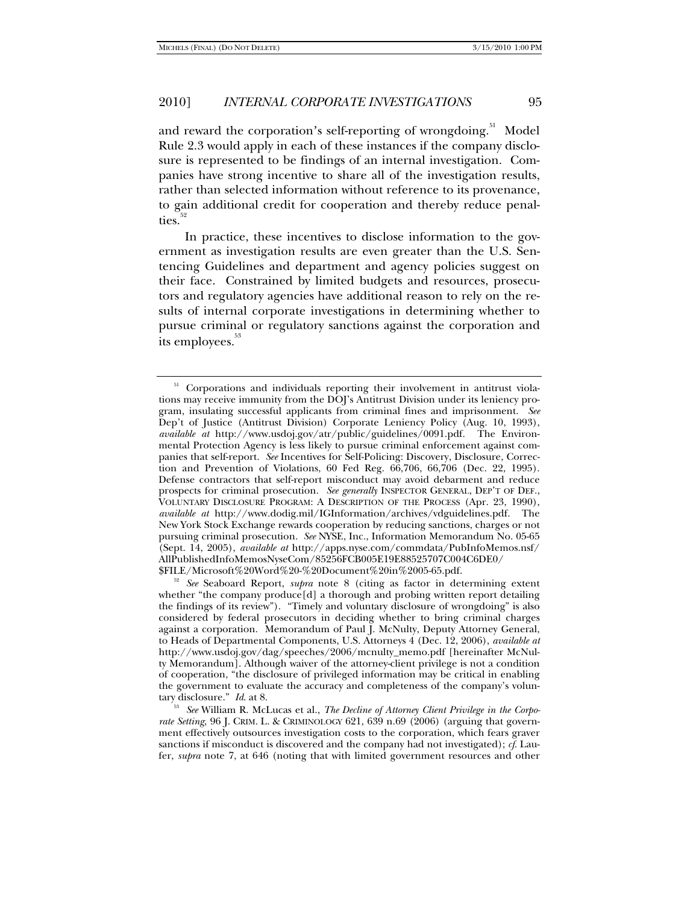and reward the corporation's self-reporting of wrongdoing.<sup>51</sup> Model Rule 2.3 would apply in each of these instances if the company disclosure is represented to be findings of an internal investigation. Companies have strong incentive to share all of the investigation results, rather than selected information without reference to its provenance, to gain additional credit for cooperation and thereby reduce penalties.

In practice, these incentives to disclose information to the government as investigation results are even greater than the U.S. Sentencing Guidelines and department and agency policies suggest on their face. Constrained by limited budgets and resources, prosecutors and regulatory agencies have additional reason to rely on the results of internal corporate investigations in determining whether to pursue criminal or regulatory sanctions against the corporation and its employees.<sup>33</sup>

<sup>&</sup>lt;sup>51</sup> Corporations and individuals reporting their involvement in antitrust violations may receive immunity from the DOJ's Antitrust Division under its leniency program, insulating successful applicants from criminal fines and imprisonment. *See* Dep't of Justice (Antitrust Division) Corporate Leniency Policy (Aug. 10, 1993), *available at* http://www.usdoj.gov/atr/public/guidelines/0091.pdf. The Environmental Protection Agency is less likely to pursue criminal enforcement against companies that self-report. *See* Incentives for Self-Policing: Discovery, Disclosure, Correction and Prevention of Violations, 60 Fed Reg. 66,706, 66,706 (Dec. 22, 1995). Defense contractors that self-report misconduct may avoid debarment and reduce prospects for criminal prosecution. *See generally* INSPECTOR GENERAL, DEP'T OF DEF., VOLUNTARY DISCLOSURE PROGRAM: A DESCRIPTION OF THE PROCESS (Apr. 23, 1990), *available at* http://www.dodig.mil/IGInformation/archives/vdguidelines.pdf. The New York Stock Exchange rewards cooperation by reducing sanctions, charges or not pursuing criminal prosecution. *See* NYSE, Inc., Information Memorandum No. 05-65 (Sept. 14, 2005), *available at* http://apps.nyse.com/commdata/PubInfoMemos.nsf/ AllPublishedInfoMemosNyseCom/85256FCB005E19E88525707C004C6DE0/

<sup>\$</sup>FILE/Microsoft%20Word%20-%20Document%20in%2005-65.pdf. 52 *See* Seaboard Report, *supra* note 8 (citing as factor in determining extent whether "the company produce[d] a thorough and probing written report detailing the findings of its review"). "Timely and voluntary disclosure of wrongdoing" is also considered by federal prosecutors in deciding whether to bring criminal charges against a corporation. Memorandum of Paul J. McNulty, Deputy Attorney General, to Heads of Departmental Components, U.S. Attorneys 4 (Dec. 12, 2006), *available at* http://www.usdoj.gov/dag/speeches/2006/mcnulty\_memo.pdf [hereinafter McNulty Memorandum]. Although waiver of the attorney-client privilege is not a condition of cooperation, "the disclosure of privileged information may be critical in enabling the government to evaluate the accuracy and completeness of the company's volun-

tary disclosure." *Id.* at 8.<br><sup>53</sup> See William R. McLucas et al., *The Decline of Attorney Client Privilege in the Corporate Setting*, 96 J. CRIM. L. & CRIMINOLOGY 621, 639 n.69 (2006) (arguing that government effectively outsources investigation costs to the corporation, which fears graver sanctions if misconduct is discovered and the company had not investigated); *cf*. Laufer, *supra* note 7, at 646 (noting that with limited government resources and other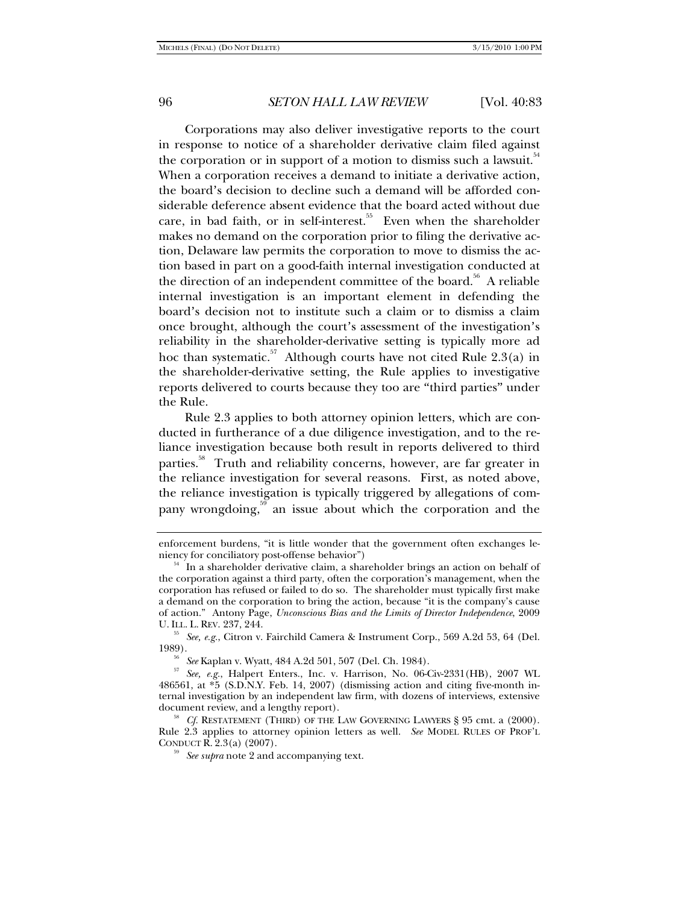Corporations may also deliver investigative reports to the court in response to notice of a shareholder derivative claim filed against the corporation or in support of a motion to dismiss such a lawsuit.<sup>34</sup> When a corporation receives a demand to initiate a derivative action, the board's decision to decline such a demand will be afforded considerable deference absent evidence that the board acted without due care, in bad faith, or in self-interest. $55$  Even when the shareholder makes no demand on the corporation prior to filing the derivative action, Delaware law permits the corporation to move to dismiss the action based in part on a good-faith internal investigation conducted at the direction of an independent committee of the board.<sup>56</sup> A reliable internal investigation is an important element in defending the board's decision not to institute such a claim or to dismiss a claim once brought, although the court's assessment of the investigation's reliability in the shareholder-derivative setting is typically more ad hoc than systematic.<sup>57</sup> Although courts have not cited Rule 2.3(a) in the shareholder-derivative setting, the Rule applies to investigative reports delivered to courts because they too are "third parties" under the Rule.

Rule 2.3 applies to both attorney opinion letters, which are conducted in furtherance of a due diligence investigation, and to the reliance investigation because both result in reports delivered to third parties.<sup>58</sup> Truth and reliability concerns, however, are far greater in the reliance investigation for several reasons. First, as noted above, the reliance investigation is typically triggered by allegations of company wrongdoing, $59$  an issue about which the corporation and the

enforcement burdens, "it is little wonder that the government often exchanges leniency for conciliatory post-offense behavior")

 $54$  In a shareholder derivative claim, a shareholder brings an action on behalf of the corporation against a third party, often the corporation's management, when the corporation has refused or failed to do so. The shareholder must typically first make a demand on the corporation to bring the action, because "it is the company's cause of action." Antony Page, *Unconscious Bias and the Limits of Director Independence*, 2009

<sup>&</sup>lt;sup>55</sup> See, e.g., Citron v. Fairchild Camera & Instrument Corp., 569 A.2d 53, 64 (Del. 1989).

<sup>1989). 56</sup> *See* Kaplan v. Wyatt, 484 A.2d 501, 507 (Del. Ch. 1984). 57 *See, e.g.*, Halpert Enters., Inc. v. Harrison, No. 06-Civ-2331(HB), 2007 WL 486561, at \*5 (S.D.N.Y. Feb. 14, 2007) (dismissing action and citing five-month internal investigation by an independent law firm, with dozens of interviews, extensive document review, and a lengthy report). 58 *Cf.* RESTATEMENT (THIRD) OF THE LAW GOVERNING LAWYERS § 95 cmt. a (2000).

Rule 2.3 applies to attorney opinion letters as well. *See* MODEL RULES OF PROF'L CONDUCT R. 2.3(a) (2007). 59 *See supra* note 2 and accompanying text.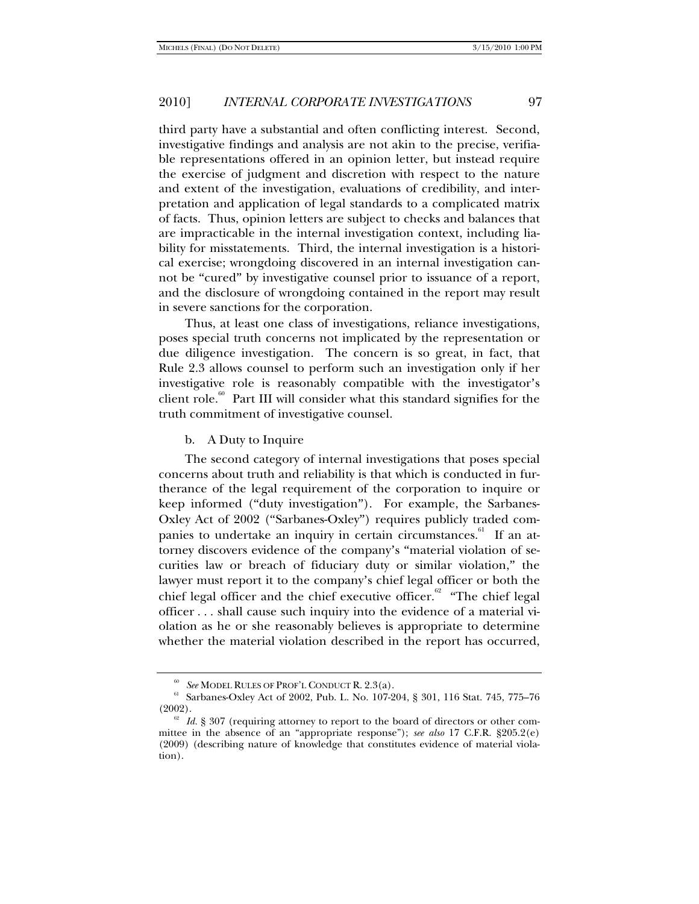third party have a substantial and often conflicting interest. Second, investigative findings and analysis are not akin to the precise, verifiable representations offered in an opinion letter, but instead require the exercise of judgment and discretion with respect to the nature and extent of the investigation, evaluations of credibility, and interpretation and application of legal standards to a complicated matrix of facts. Thus, opinion letters are subject to checks and balances that are impracticable in the internal investigation context, including liability for misstatements. Third, the internal investigation is a historical exercise; wrongdoing discovered in an internal investigation cannot be "cured" by investigative counsel prior to issuance of a report, and the disclosure of wrongdoing contained in the report may result in severe sanctions for the corporation.

Thus, at least one class of investigations, reliance investigations, poses special truth concerns not implicated by the representation or due diligence investigation. The concern is so great, in fact, that Rule 2.3 allows counsel to perform such an investigation only if her investigative role is reasonably compatible with the investigator's client role.<sup>60</sup> Part III will consider what this standard signifies for the truth commitment of investigative counsel.

b. A Duty to Inquire

The second category of internal investigations that poses special concerns about truth and reliability is that which is conducted in furtherance of the legal requirement of the corporation to inquire or keep informed ("duty investigation"). For example, the Sarbanes-Oxley Act of 2002 ("Sarbanes-Oxley") requires publicly traded companies to undertake an inquiry in certain circumstances.<sup>61</sup> If an attorney discovers evidence of the company's "material violation of securities law or breach of fiduciary duty or similar violation," the lawyer must report it to the company's chief legal officer or both the chief legal officer and the chief executive officer.<sup>62</sup> "The chief legal officer . . . shall cause such inquiry into the evidence of a material violation as he or she reasonably believes is appropriate to determine whether the material violation described in the report has occurred,

<sup>&</sup>lt;sup>60</sup> *See* MODEL RULES OF PROF'L CONDUCT R. 2.3(a).<br><sup>61</sup> Sarbanes-Oxley Act of 2002, Pub. L. No. 107-204, § 301, 116 Stat. 745, 775–76<br>(2002).

 $\frac{62}{62}$  *Id.* § 307 (requiring attorney to report to the board of directors or other committee in the absence of an "appropriate response"); *see also* 17 C.F.R. §205.2(e) (2009) (describing nature of knowledge that constitutes evidence of material violation).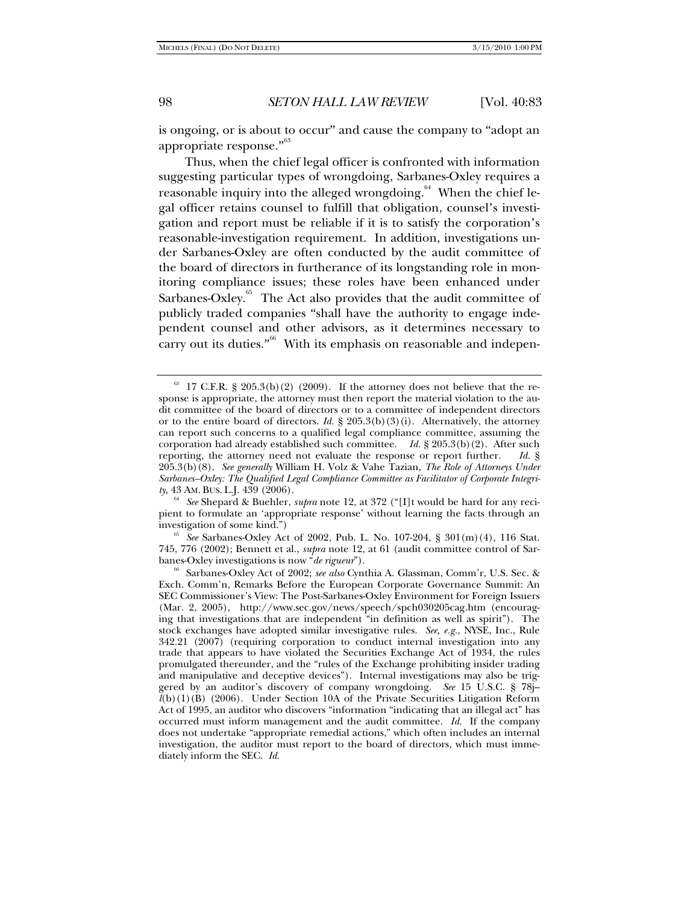is ongoing, or is about to occur" and cause the company to "adopt an appropriate response."<sup>63</sup>

Thus, when the chief legal officer is confronted with information suggesting particular types of wrongdoing, Sarbanes-Oxley requires a reasonable inquiry into the alleged wrongdoing.<sup>64</sup> When the chief legal officer retains counsel to fulfill that obligation, counsel's investigation and report must be reliable if it is to satisfy the corporation's reasonable-investigation requirement. In addition, investigations under Sarbanes-Oxley are often conducted by the audit committee of the board of directors in furtherance of its longstanding role in monitoring compliance issues; these roles have been enhanced under Sarbanes-Oxley. $65$  The Act also provides that the audit committee of publicly traded companies "shall have the authority to engage independent counsel and other advisors, as it determines necessary to carry out its duties."<sup>66</sup> With its emphasis on reasonable and indepen-

<sup>54</sup> See Shepard & Buehler, *supra* note 12, at 372 ("[I]t would be hard for any recipient to formulate an 'appropriate response' without learning the facts through an

<sup>65</sup> See Sarbanes-Oxley Act of 2002, Pub. L. No. 107-204, § 301(m)(4), 116 Stat. 745, 776 (2002); Bennett et al., *supra* note 12, at 61 (audit committee control of Sar-

 $63$  17 C.F.R. § 205.3(b)(2) (2009). If the attorney does not believe that the response is appropriate, the attorney must then report the material violation to the audit committee of the board of directors or to a committee of independent directors or to the entire board of directors. *Id.* § 205.3(b)(3)(i). Alternatively, the attorney can report such concerns to a qualified legal compliance committee, assuming the corporation had already established such committee. *Id.* § 205.3(b)(2). After such reporting, the attorney need not evaluate the response or report further. *Id.* § 205.3(b)(8). *See generally* William H. Volz & Vahe Tazian, *The Role of Attorneys Under Sarbanes–Oxley: The Qualified Legal Compliance Committee as Facilitator of Corporate Integri-*

<sup>&</sup>lt;sup>66</sup> Sarbanes-Oxley Act of 2002; *see also* Cynthia A. Glassman, Comm'r, U.S. Sec. & Exch. Comm'n, Remarks Before the European Corporate Governance Summit: An SEC Commissioner's View: The Post-Sarbanes-Oxley Environment for Foreign Issuers (Mar. 2, 2005), http://www.sec.gov/news/speech/spch030205cag.htm (encouraging that investigations that are independent "in definition as well as spirit"). The stock exchanges have adopted similar investigative rules. *See, e.g.*, NYSE, Inc., Rule 342.21 (2007) (requiring corporation to conduct internal investigation into any trade that appears to have violated the Securities Exchange Act of 1934, the rules promulgated thereunder, and the "rules of the Exchange prohibiting insider trading and manipulative and deceptive devices"). Internal investigations may also be triggered by an auditor's discovery of company wrongdoing. *See* 15 U.S.C. § 78j–  $l(b)(1)(B)$  (2006). Under Section 10A of the Private Securities Litigation Reform Act of 1995, an auditor who discovers "information "indicating that an illegal act" has occurred must inform management and the audit committee. *Id.* If the company does not undertake "appropriate remedial actions," which often includes an internal investigation, the auditor must report to the board of directors, which must immediately inform the SEC. *Id.*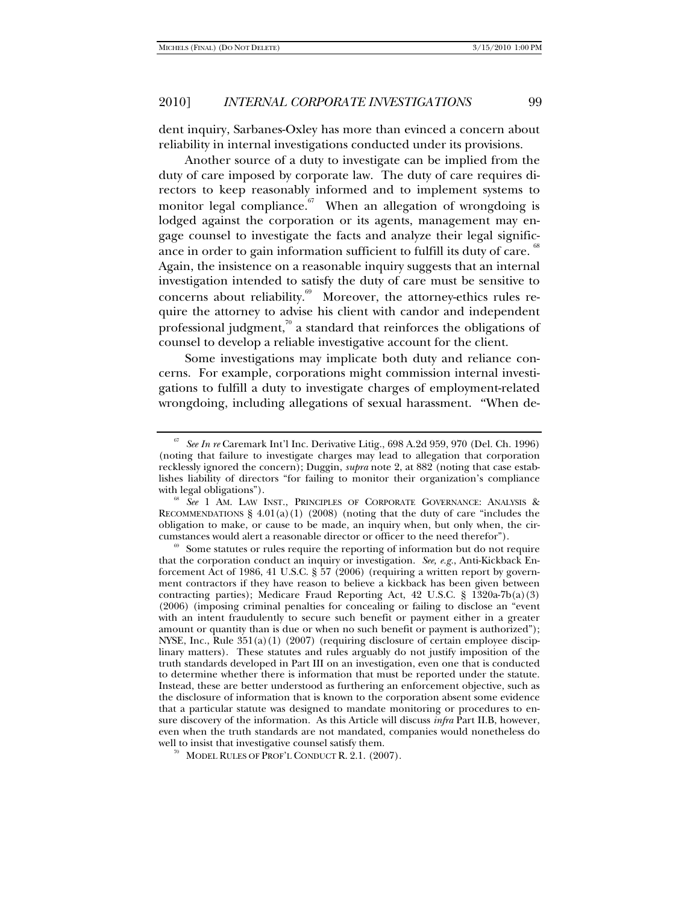dent inquiry, Sarbanes-Oxley has more than evinced a concern about reliability in internal investigations conducted under its provisions.

Another source of a duty to investigate can be implied from the duty of care imposed by corporate law. The duty of care requires directors to keep reasonably informed and to implement systems to monitor legal compliance. $\frac{67}{100}$  When an allegation of wrongdoing is lodged against the corporation or its agents, management may engage counsel to investigate the facts and analyze their legal significance in order to gain information sufficient to fulfill its duty of care.  $^{68}$ Again, the insistence on a reasonable inquiry suggests that an internal investigation intended to satisfy the duty of care must be sensitive to concerns about reliability. $69$  Moreover, the attorney-ethics rules require the attorney to advise his client with candor and independent professional judgment, $\frac{70}{9}$  a standard that reinforces the obligations of counsel to develop a reliable investigative account for the client.

Some investigations may implicate both duty and reliance concerns. For example, corporations might commission internal investigations to fulfill a duty to investigate charges of employment-related wrongdoing, including allegations of sexual harassment. "When de-

<sup>67</sup> *See In re* Caremark Int'l Inc. Derivative Litig., 698 A.2d 959, 970 (Del. Ch. 1996) (noting that failure to investigate charges may lead to allegation that corporation recklessly ignored the concern); Duggin, *supra* note 2, at 882 (noting that case establishes liability of directors "for failing to monitor their organization's compliance

with legal obligations"). 68 *See*<sup>1</sup> AM. LAW INST., PRINCIPLES OF CORPORATE GOVERNANCE: ANALYSIS & RECOMMENDATIONS  $\S 4.01(a)(1)$  (2008) (noting that the duty of care "includes the obligation to make, or cause to be made, an inquiry when, but only when, the circumstances would alert a reasonable director or officer to the need therefor").<br><sup>69</sup> Some statutes or rules require the reporting of information but do not require

that the corporation conduct an inquiry or investigation. *See, e.g.*, Anti-Kickback Enforcement Act of 1986, 41 U.S.C. § 57 (2006) (requiring a written report by government contractors if they have reason to believe a kickback has been given between contracting parties); Medicare Fraud Reporting Act, 42 U.S.C. § 1320a-7b(a)(3) (2006) (imposing criminal penalties for concealing or failing to disclose an "event with an intent fraudulently to secure such benefit or payment either in a greater amount or quantity than is due or when no such benefit or payment is authorized"); NYSE, Inc., Rule  $351(a)(1)(2007)$  (requiring disclosure of certain employee disciplinary matters). These statutes and rules arguably do not justify imposition of the truth standards developed in Part III on an investigation, even one that is conducted to determine whether there is information that must be reported under the statute. Instead, these are better understood as furthering an enforcement objective, such as the disclosure of information that is known to the corporation absent some evidence that a particular statute was designed to mandate monitoring or procedures to ensure discovery of the information. As this Article will discuss *infra* Part II.B, however, even when the truth standards are not mandated, companies would nonetheless do well to insist that investigative counsel satisfy them.

<sup>&</sup>lt;sup>70</sup> MODEL RULES OF PROF'L CONDUCT R. 2.1.  $(2007)$ .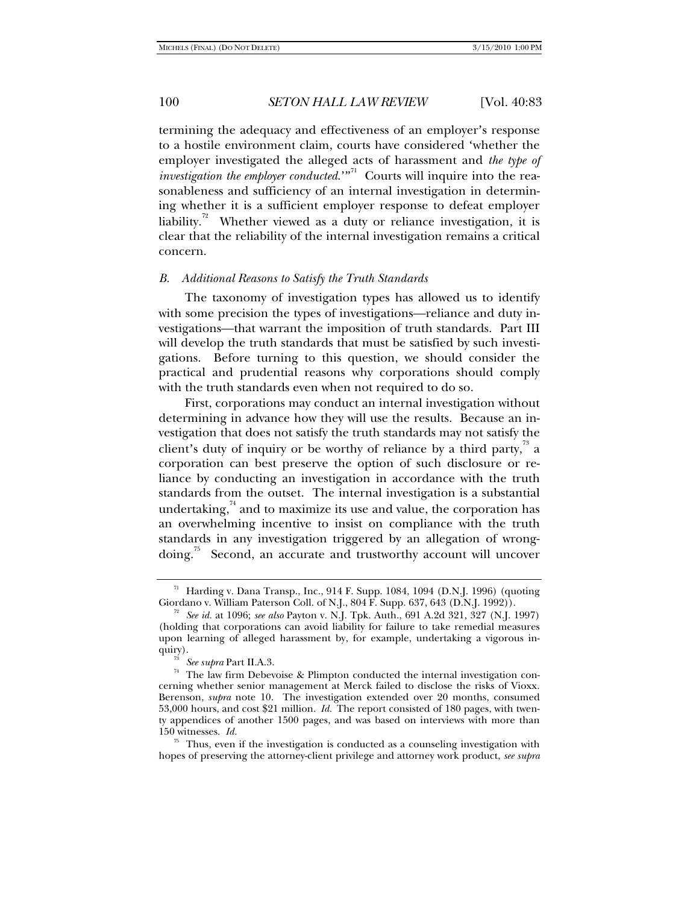termining the adequacy and effectiveness of an employer's response to a hostile environment claim, courts have considered 'whether the employer investigated the alleged acts of harassment and *the type of investigation the employer conducted.*"<sup>71</sup> Courts will inquire into the reasonableness and sufficiency of an internal investigation in determining whether it is a sufficient employer response to defeat employer liability.<sup> $n^2$ </sup> Whether viewed as a duty or reliance investigation, it is clear that the reliability of the internal investigation remains a critical concern.

#### *B. Additional Reasons to Satisfy the Truth Standards*

The taxonomy of investigation types has allowed us to identify with some precision the types of investigations—reliance and duty investigations—that warrant the imposition of truth standards. Part III will develop the truth standards that must be satisfied by such investigations. Before turning to this question, we should consider the practical and prudential reasons why corporations should comply with the truth standards even when not required to do so.

First, corporations may conduct an internal investigation without determining in advance how they will use the results. Because an investigation that does not satisfy the truth standards may not satisfy the client's duty of inquiry or be worthy of reliance by a third party, $\frac{73}{12}$  a corporation can best preserve the option of such disclosure or reliance by conducting an investigation in accordance with the truth standards from the outset. The internal investigation is a substantial undertaking, $\frac{74}{1}$  and to maximize its use and value, the corporation has an overwhelming incentive to insist on compliance with the truth standards in any investigation triggered by an allegation of wrongdoing.<sup>75</sup> Second, an accurate and trustworthy account will uncover

<sup>&</sup>lt;sup>71</sup> Harding v. Dana Transp., Inc., 914 F. Supp. 1084, 1094 (D.N.J. 1996) (quoting Giordano v. William Paterson Coll. of N.J., 804 F. Supp. 637, 643 (D.N.J. 1992)).

<sup>&</sup>lt;sup>72</sup> See id. at 1096; see also Payton v. N.J. Tpk. Auth., 691 A.2d 321, 327 (N.J. 1997) (holding that corporations can avoid liability for failure to take remedial measures upon learning of alleged harassment by, for example, undertaking a vigorous in-

quiry).<br><sup>73</sup> See supra Part II.A.3.<br><sup>74</sup> The law firm Debevoise & Plimpton conducted the internal investigation concerning whether senior management at Merck failed to disclose the risks of Vioxx. Berenson, *supra* note 10. The investigation extended over 20 months, consumed 53,000 hours, and cost \$21 million. *Id.* The report consisted of 180 pages, with twenty appendices of another 1500 pages, and was based on interviews with more than 150 witnesses. *Id.*

<sup>&</sup>lt;sup> $75$ </sup> Thus, even if the investigation is conducted as a counseling investigation with hopes of preserving the attorney-client privilege and attorney work product, *see supra*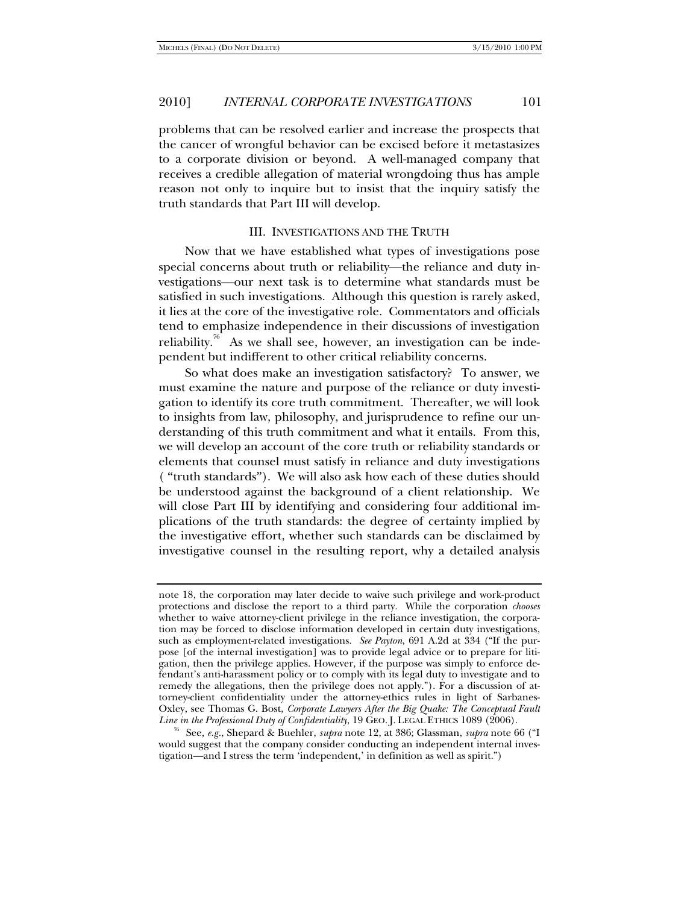problems that can be resolved earlier and increase the prospects that the cancer of wrongful behavior can be excised before it metastasizes to a corporate division or beyond. A well-managed company that receives a credible allegation of material wrongdoing thus has ample reason not only to inquire but to insist that the inquiry satisfy the truth standards that Part III will develop.

#### III. INVESTIGATIONS AND THE TRUTH

Now that we have established what types of investigations pose special concerns about truth or reliability—the reliance and duty investigations—our next task is to determine what standards must be satisfied in such investigations. Although this question is rarely asked, it lies at the core of the investigative role. Commentators and officials tend to emphasize independence in their discussions of investigation reliability.<sup> $n<sup>6</sup>$  As we shall see, however, an investigation can be inde-</sup> pendent but indifferent to other critical reliability concerns.

So what does make an investigation satisfactory? To answer, we must examine the nature and purpose of the reliance or duty investigation to identify its core truth commitment. Thereafter, we will look to insights from law, philosophy, and jurisprudence to refine our understanding of this truth commitment and what it entails. From this, we will develop an account of the core truth or reliability standards or elements that counsel must satisfy in reliance and duty investigations ( "truth standards"). We will also ask how each of these duties should be understood against the background of a client relationship. We will close Part III by identifying and considering four additional implications of the truth standards: the degree of certainty implied by the investigative effort, whether such standards can be disclaimed by investigative counsel in the resulting report, why a detailed analysis

note 18, the corporation may later decide to waive such privilege and work-product protections and disclose the report to a third party. While the corporation *chooses* whether to waive attorney-client privilege in the reliance investigation, the corporation may be forced to disclose information developed in certain duty investigations, such as employment-related investigations. *See Payton*, 691 A.2d at 334 ("If the purpose [of the internal investigation] was to provide legal advice or to prepare for litigation, then the privilege applies. However, if the purpose was simply to enforce defendant's anti-harassment policy or to comply with its legal duty to investigate and to remedy the allegations, then the privilege does not apply."). For a discussion of attorney-client confidentiality under the attorney-ethics rules in light of Sarbanes-Oxley, see Thomas G. Bost, *Corporate Lawyers After the Big Quake: The Conceptual Fault* 

<sup>&</sup>lt;sup>76</sup> See, *e.g.*, Shepard & Buehler, *supra* note 12, at 386; Glassman, *supra* note 66 ("I would suggest that the company consider conducting an independent internal investigation—and I stress the term 'independent,' in definition as well as spirit.")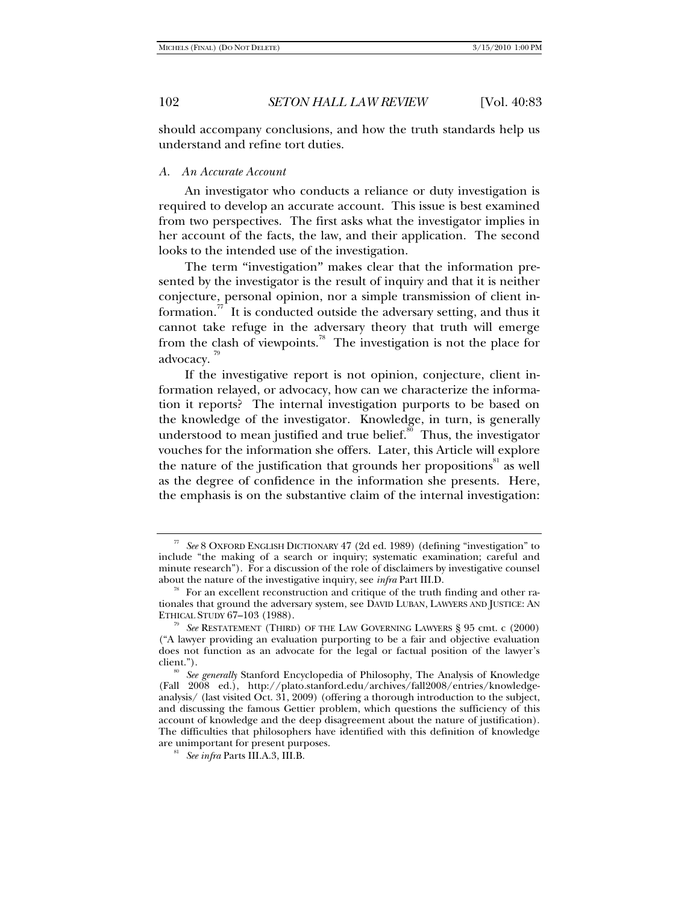should accompany conclusions, and how the truth standards help us understand and refine tort duties.

#### *A. An Accurate Account*

An investigator who conducts a reliance or duty investigation is required to develop an accurate account. This issue is best examined from two perspectives. The first asks what the investigator implies in her account of the facts, the law, and their application. The second looks to the intended use of the investigation.

The term "investigation" makes clear that the information presented by the investigator is the result of inquiry and that it is neither conjecture, personal opinion, nor a simple transmission of client information.<sup>17</sup> It is conducted outside the adversary setting, and thus it cannot take refuge in the adversary theory that truth will emerge from the clash of viewpoints.<sup>78</sup> The investigation is not the place for advocacy.<sup>79</sup>

If the investigative report is not opinion, conjecture, client information relayed, or advocacy, how can we characterize the information it reports? The internal investigation purports to be based on the knowledge of the investigator. Knowledge, in turn, is generally understood to mean justified and true belief. $\frac{80}{30}$  Thus, the investigator vouches for the information she offers. Later, this Article will explore the nature of the justification that grounds her propositions<sup>81</sup> as well as the degree of confidence in the information she presents. Here, the emphasis is on the substantive claim of the internal investigation:

<sup>77</sup> *See* 8 OXFORD ENGLISH DICTIONARY 47 (2d ed. 1989) (defining "investigation" to include "the making of a search or inquiry; systematic examination; careful and minute research"). For a discussion of the role of disclaimers by investigative counsel about the nature of the investigative inquiry, see *infra* Part III.D.<br><sup>78</sup> For an excellent reconstruction and critique of the truth finding and other ra-

tionales that ground the adversary system, see DAVID LUBAN, LAWYERS AND JUSTICE: AN ETHICAL STUDY 67–103 (1988).<br><sup>79</sup> See RESTATEMENT (THIRD) OF THE LAW GOVERNING LAWYERS § 95 cmt. c (2000)

<sup>(&</sup>quot;A lawyer providing an evaluation purporting to be a fair and objective evaluation does not function as an advocate for the legal or factual position of the lawyer's

client."). 80 *See generally* Stanford Encyclopedia of Philosophy, The Analysis of Knowledge (Fall 2008 ed.), http://plato.stanford.edu/archives/fall2008/entries/knowledgeanalysis/ (last visited Oct.  $31$ , 2009) (offering a thorough introduction to the subject, and discussing the famous Gettier problem, which questions the sufficiency of this account of knowledge and the deep disagreement about the nature of justification). The difficulties that philosophers have identified with this definition of knowledge are unimportant for present purposes. 81 *See infra* Parts III.A.3, III.B.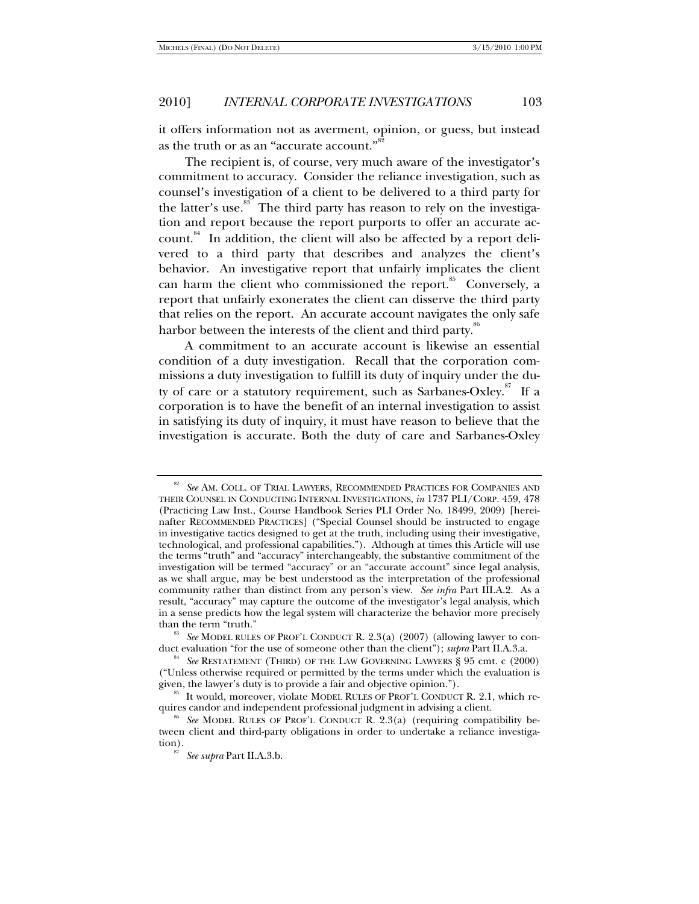it offers information not as averment, opinion, or guess, but instead as the truth or as an "accurate account." $^{\!\frac{,}{\!\!\text{}}^{82}}$ 

The recipient is, of course, very much aware of the investigator's commitment to accuracy. Consider the reliance investigation, such as counsel's investigation of a client to be delivered to a third party for the latter's use.<sup>83</sup> The third party has reason to rely on the investigation and report because the report purports to offer an accurate account. $84$  In addition, the client will also be affected by a report delivered to a third party that describes and analyzes the client's behavior. An investigative report that unfairly implicates the client can harm the client who commissioned the report.<sup>85</sup> Conversely, a report that unfairly exonerates the client can disserve the third party that relies on the report. An accurate account navigates the only safe harbor between the interests of the client and third party.<sup>86</sup>

A commitment to an accurate account is likewise an essential condition of a duty investigation. Recall that the corporation commissions a duty investigation to fulfill its duty of inquiry under the duty of care or a statutory requirement, such as Sarbanes-Oxley.<sup>87</sup> If a corporation is to have the benefit of an internal investigation to assist in satisfying its duty of inquiry, it must have reason to believe that the investigation is accurate. Both the duty of care and Sarbanes-Oxley

See AM. COLL. OF TRIAL LAWYERS, RECOMMENDED PRACTICES FOR COMPANIES AND THEIR COUNSEL IN CONDUCTING INTERNAL INVESTIGATIONS, *in* 1737 PLI/CORP. 459, 478 (Practicing Law Inst., Course Handbook Series PLI Order No. 18499, 2009) [hereinafter RECOMMENDED PRACTICES] ("Special Counsel should be instructed to engage in investigative tactics designed to get at the truth, including using their investigative, technological, and professional capabilities."). Although at times this Article will use the terms "truth" and "accuracy" interchangeably, the substantive commitment of the investigation will be termed "accuracy" or an "accurate account" since legal analysis, as we shall argue, may be best understood as the interpretation of the professional community rather than distinct from any person's view. *See infra* Part III.A.2. As a result, "accuracy" may capture the outcome of the investigator's legal analysis, which in a sense predicts how the legal system will characterize the behavior more precisely than the term "truth."

<sup>&</sup>lt;sup>83</sup> See MODEL RULES OF PROF'L CONDUCT R. 2.3(a) (2007) (allowing lawyer to conduct evaluation "for the use of someone other than the client"); *subra* Part II.A.3.a.

<sup>&</sup>lt;sup>84</sup> See RESTATEMENT (THIRD) OF THE LAW GOVERNING LAWYERS § 95 cmt. c (2000) ("Unless otherwise required or permitted by the terms under which the evaluation is

 $^{85}$  It would, moreover, violate MODEL RULES OF PROF'L CONDUCT R. 2.1, which requires candor and independent professional judgment in advising a client.

*See* MODEL RULES OF PROF'L CONDUCT R. 2.3(a) (requiring compatibility between client and third-party obligations in order to undertake a reliance investigation). 87 *See supra* Part II.A.3.b.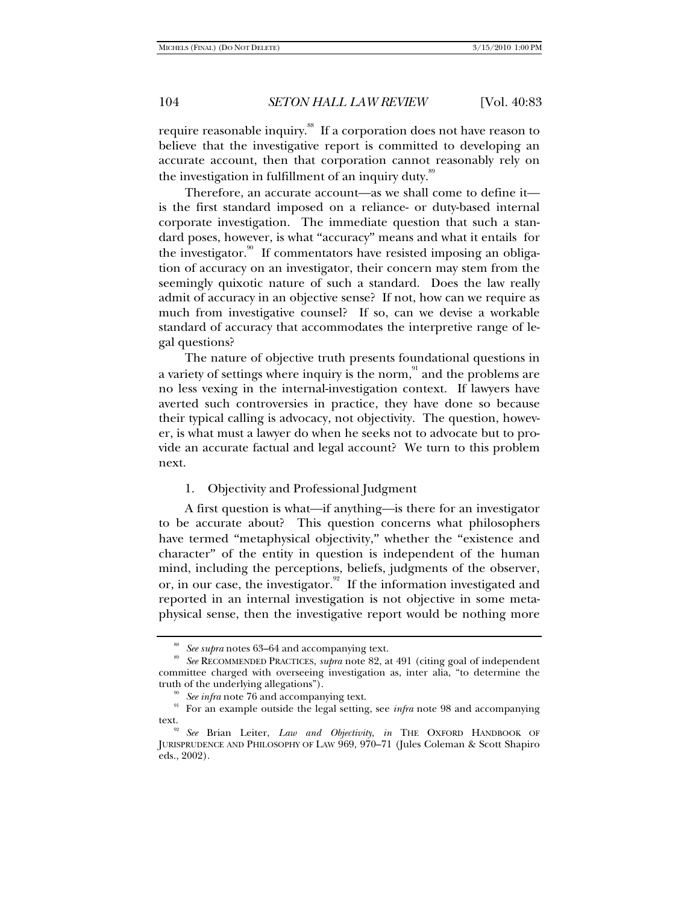require reasonable inquiry.<sup>88</sup> If a corporation does not have reason to believe that the investigative report is committed to developing an accurate account, then that corporation cannot reasonably rely on the investigation in fulfillment of an inquiry duty.<sup>89</sup>

Therefore, an accurate account—as we shall come to define it is the first standard imposed on a reliance- or duty-based internal corporate investigation. The immediate question that such a standard poses, however, is what "accuracy" means and what it entails for the investigator.<sup>90</sup> If commentators have resisted imposing an obligation of accuracy on an investigator, their concern may stem from the seemingly quixotic nature of such a standard. Does the law really admit of accuracy in an objective sense? If not, how can we require as much from investigative counsel? If so, can we devise a workable standard of accuracy that accommodates the interpretive range of legal questions?

The nature of objective truth presents foundational questions in a variety of settings where inquiry is the norm, $\frac{91}{1}$  and the problems are no less vexing in the internal-investigation context. If lawyers have averted such controversies in practice, they have done so because their typical calling is advocacy, not objectivity. The question, however, is what must a lawyer do when he seeks not to advocate but to provide an accurate factual and legal account? We turn to this problem next.

## 1. Objectivity and Professional Judgment

A first question is what—if anything—is there for an investigator to be accurate about? This question concerns what philosophers have termed "metaphysical objectivity," whether the "existence and character" of the entity in question is independent of the human mind, including the perceptions, beliefs, judgments of the observer, or, in our case, the investigator.<sup>92</sup> If the information investigated and reported in an internal investigation is not objective in some metaphysical sense, then the investigative report would be nothing more

<sup>&</sup>lt;sup>88</sup> See supra notes 63–64 and accompanying text.<br><sup>89</sup> See RECOMMENDED PRACTICES, *supra* note 82, at 491 (citing goal of independent committee charged with overseeing investigation as, inter alia, "to determine the

truth of the underlying allegations").<br><sup>90</sup> *See infra* note 76 and accompanying text.<br><sup>91</sup> For an example outside the legal setting, see *infra* note 98 and accompanying text. 92 *See* Brian Leiter, *Law and Objectivity*, *in* THE OXFORD HANDBOOK OF

JURISPRUDENCE AND PHILOSOPHY OF LAW 969, 970–71 (Jules Coleman & Scott Shapiro eds., 2002).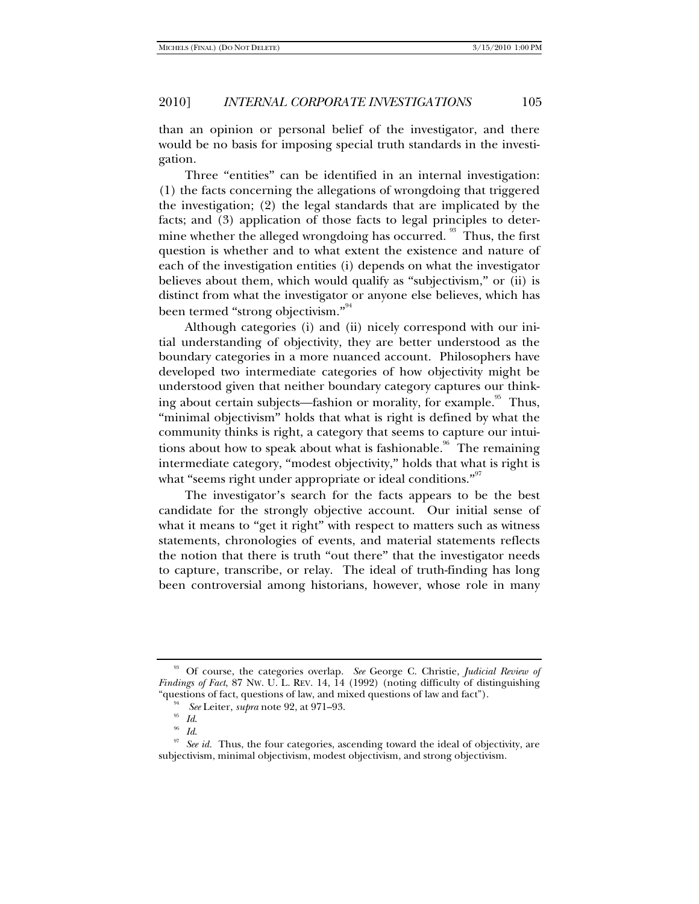than an opinion or personal belief of the investigator, and there would be no basis for imposing special truth standards in the investigation.

Three "entities" can be identified in an internal investigation: (1) the facts concerning the allegations of wrongdoing that triggered the investigation; (2) the legal standards that are implicated by the facts; and (3) application of those facts to legal principles to determine whether the alleged wrongdoing has occurred.<sup>93</sup> Thus, the first question is whether and to what extent the existence and nature of each of the investigation entities (i) depends on what the investigator believes about them, which would qualify as "subjectivism," or (ii) is distinct from what the investigator or anyone else believes, which has been termed ''strong objectivism.''<sup>94</sup>

Although categories (i) and (ii) nicely correspond with our initial understanding of objectivity, they are better understood as the boundary categories in a more nuanced account. Philosophers have developed two intermediate categories of how objectivity might be understood given that neither boundary category captures our thinking about certain subjects—fashion or morality, for example.<sup>35</sup> Thus, "minimal objectivism" holds that what is right is defined by what the community thinks is right, a category that seems to capture our intuitions about how to speak about what is fashionable.<sup>96</sup> The remaining intermediate category, "modest objectivity," holds that what is right is what "seems right under appropriate or ideal conditions."<sup>97</sup>

The investigator's search for the facts appears to be the best candidate for the strongly objective account. Our initial sense of what it means to "get it right" with respect to matters such as witness statements, chronologies of events, and material statements reflects the notion that there is truth "out there" that the investigator needs to capture, transcribe, or relay. The ideal of truth-finding has long been controversial among historians, however, whose role in many

<sup>93</sup> Of course, the categories overlap. *See* George C. Christie, *Judicial Review of Findings of Fact*, 87 NW. U. L. REV. 14, 14 (1992) (noting difficulty of distinguishing "questions of fact, questions of law, and mixed questions of law and fact").<br><sup>94</sup> See Leiter, *supra* note 92, at 971–93.

<sup>&</sup>lt;sup>95</sup> Id.<br><sup>96</sup> Id. *Id.* 97 See id. Thus, the four categories, ascending toward the ideal of objectivity, are subjectivism, minimal objectivism, modest objectivism, and strong objectivism.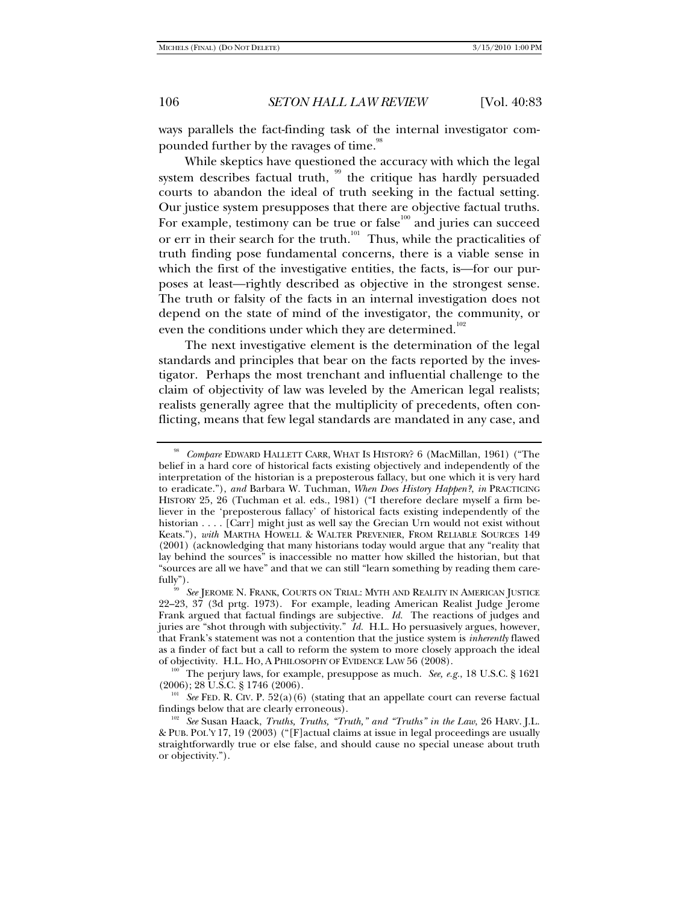ways parallels the fact-finding task of the internal investigator compounded further by the ravages of time.<sup>98</sup>

While skeptics have questioned the accuracy with which the legal system describes factual truth,  $99$  the critique has hardly persuaded courts to abandon the ideal of truth seeking in the factual setting. Our justice system presupposes that there are objective factual truths. For example, testimony can be true or false<sup>100</sup> and juries can succeed or err in their search for the truth.<sup>101</sup> Thus, while the practicalities of truth finding pose fundamental concerns, there is a viable sense in which the first of the investigative entities, the facts, is—for our purposes at least—rightly described as objective in the strongest sense. The truth or falsity of the facts in an internal investigation does not depend on the state of mind of the investigator, the community, or even the conditions under which they are determined.<sup>102</sup>

The next investigative element is the determination of the legal standards and principles that bear on the facts reported by the investigator. Perhaps the most trenchant and influential challenge to the claim of objectivity of law was leveled by the American legal realists; realists generally agree that the multiplicity of precedents, often conflicting, means that few legal standards are mandated in any case, and

<sup>100</sup> The perjury laws, for example, presuppose as much. *See, e.g.*, 18 U.S.C. § 1621 (2006); 28 U.S.C. § 1746 (2006).

<sup>101</sup> See FED. R. CIV. P. 52(a)(6) (stating that an appellate court can reverse factual findings below that are clearly erroneous).

<sup>98</sup> *Compare* EDWARD HALLETT CARR, WHAT IS HISTORY? 6 (MacMillan, 1961) ("The belief in a hard core of historical facts existing objectively and independently of the interpretation of the historian is a preposterous fallacy, but one which it is very hard to eradicate."), *and* Barbara W. Tuchman, *When Does History Happen?*, *in* PRACTICING HISTORY 25, 26 (Tuchman et al. eds., 1981) ("I therefore declare myself a firm believer in the 'preposterous fallacy' of historical facts existing independently of the historian . . . . [Carr] might just as well say the Grecian Urn would not exist without Keats."), *with* MARTHA HOWELL & WALTER PREVENIER, FROM RELIABLE SOURCES 149 (2001) (acknowledging that many historians today would argue that any "reality that lay behind the sources" is inaccessible no matter how skilled the historian, but that "sources are all we have" and that we can still "learn something by reading them care-

See JEROME N. FRANK, COURTS ON TRIAL: MYTH AND REALITY IN AMERICAN JUSTICE 22–23, 37 (3d prtg. 1973). For example, leading American Realist Judge Jerome Frank argued that factual findings are subjective. *Id.* The reactions of judges and juries are "shot through with subjectivity." *Id.* H.L. Ho persuasively argues, however, that Frank's statement was not a contention that the justice system is *inherently* flawed as a finder of fact but a call to reform the system to more closely approach the ideal<br>of objectivity. H.L. HO, A PHILOSOPHY OF EVIDENCE LAW 56 (2008).

<sup>&</sup>lt;sup>102</sup> See Susan Haack, *Truths, Truths, "Truth," and "Truths" in the Law*, 26 HARV. J.L. & PUB. POL'Y 17, 19 (2003) ("[F]actual claims at issue in legal proceedings are usually straightforwardly true or else false, and should cause no special unease about truth or objectivity.").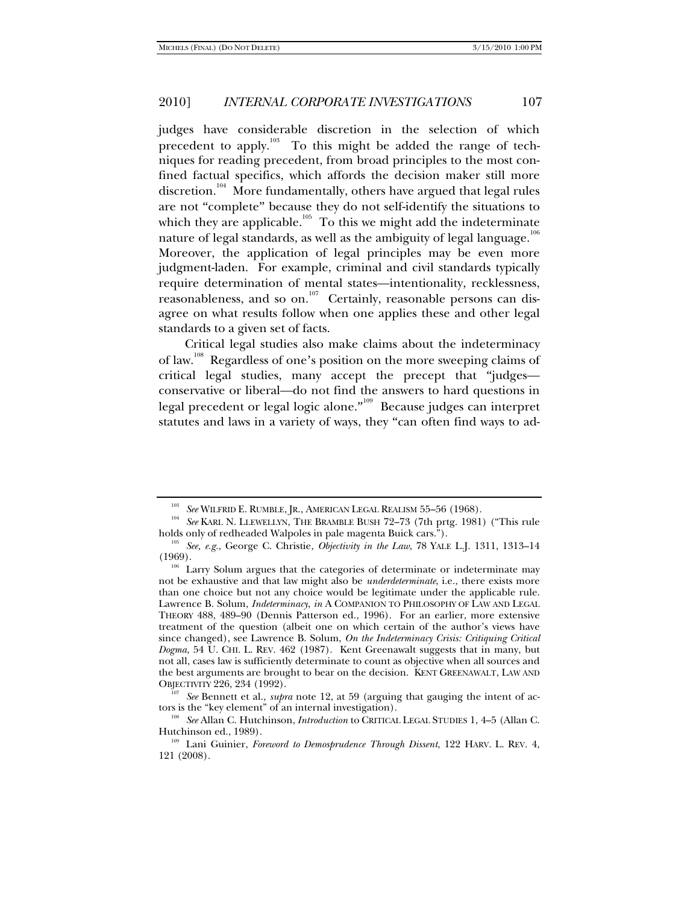judges have considerable discretion in the selection of which precedent to apply.<sup>103</sup> To this might be added the range of techniques for reading precedent, from broad principles to the most confined factual specifics, which affords the decision maker still more discretion.<sup>104</sup> More fundamentally, others have argued that legal rules are not "complete" because they do not self-identify the situations to which they are applicable.<sup>105</sup> To this we might add the indeterminate nature of legal standards, as well as the ambiguity of legal language. $^{106}\,$ Moreover, the application of legal principles may be even more judgment-laden. For example, criminal and civil standards typically require determination of mental states—intentionality, recklessness, reasonableness, and so on.<sup>107</sup> Certainly, reasonable persons can disagree on what results follow when one applies these and other legal standards to a given set of facts.

Critical legal studies also make claims about the indeterminacy of law.<sup>108</sup> Regardless of one's position on the more sweeping claims of critical legal studies, many accept the precept that "judges conservative or liberal—do not find the answers to hard questions in legal precedent or legal logic alone."<sup>109</sup> Because judges can interpret statutes and laws in a variety of ways, they "can often find ways to ad-

<sup>&</sup>lt;sup>103</sup> See WILFRID E. RUMBLE, JR., AMERICAN LEGAL REALISM 55–56 (1968).<br><sup>104</sup> See KARL N. LLEWELLYN, THE BRAMBLE BUSH 72–73 (7th prtg. 1981) ("This rule holds only of redheaded Walpoles in pale magenta Buick cars."). 105 *See, e.g.*, George C. Christie, *Objectivity in the Law*, 78 YALE L.J. 1311, 1313–14

<sup>(1969).&</sup>lt;br><sup>106</sup> Larry Solum argues that the categories of determinate or indeterminate may

not be exhaustive and that law might also be *underdeterminate*, i.e., there exists more than one choice but not any choice would be legitimate under the applicable rule. Lawrence B. Solum, *Indeterminacy*, *in* A COMPANION TO PHILOSOPHY OF LAW AND LEGAL THEORY 488, 489–90 (Dennis Patterson ed., 1996). For an earlier, more extensive treatment of the question (albeit one on which certain of the author's views have since changed), see Lawrence B. Solum, *On the Indeterminacy Crisis: Critiquing Critical Dogma*, 54 U. CHI. L. REV. 462 (1987). Kent Greenawalt suggests that in many, but not all, cases law is sufficiently determinate to count as objective when all sources and the best arguments are brought to bear on the decision. KENT GREENAWALT, LAW AND

OBJECTIVITY 226, 234 (1992).<br><sup>107</sup> See Bennett et al., *supra* note 12, at 59 (arguing that gauging the intent of ac-<br>tors is the "key element" of an internal investigation).

<sup>&</sup>lt;sup>108</sup> See Allan C. Hutchinson, *Introduction* to CRITICAL LEGAL STUDIES 1, 4–5 (Allan C. Hutchinson ed., 1989).

<sup>&</sup>lt;sup>109</sup> Lani Guinier, *Foreword to Demosprudence Through Dissent*, 122 HARV. L. REV. 4, 121 (2008).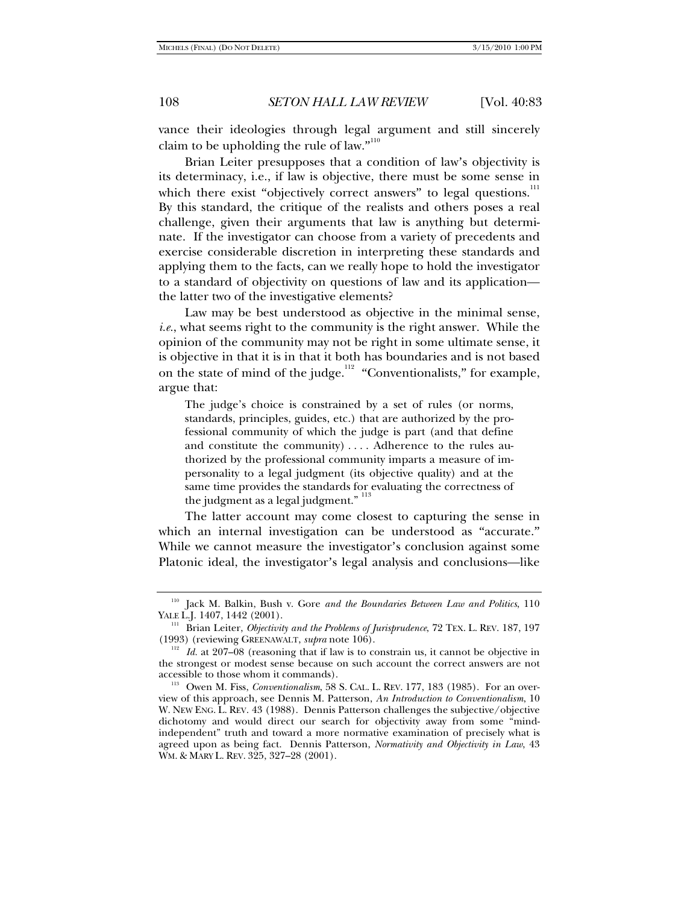vance their ideologies through legal argument and still sincerely claim to be upholding the rule of law." $^{110}$ 

Brian Leiter presupposes that a condition of law's objectivity is its determinacy, i.e., if law is objective, there must be some sense in which there exist "objectively correct answers" to legal questions. $111$ By this standard, the critique of the realists and others poses a real challenge, given their arguments that law is anything but determinate. If the investigator can choose from a variety of precedents and exercise considerable discretion in interpreting these standards and applying them to the facts, can we really hope to hold the investigator to a standard of objectivity on questions of law and its application the latter two of the investigative elements?

Law may be best understood as objective in the minimal sense, *i.e.*, what seems right to the community is the right answer. While the opinion of the community may not be right in some ultimate sense, it is objective in that it is in that it both has boundaries and is not based on the state of mind of the judge.<sup>112</sup> "Conventionalists," for example, argue that:

The judge's choice is constrained by a set of rules (or norms, standards, principles, guides, etc.) that are authorized by the professional community of which the judge is part (and that define and constitute the community) . . . . Adherence to the rules authorized by the professional community imparts a measure of impersonality to a legal judgment (its objective quality) and at the same time provides the standards for evaluating the correctness of the judgment as a legal judgment." <sup>113</sup>

The latter account may come closest to capturing the sense in which an internal investigation can be understood as "accurate." While we cannot measure the investigator's conclusion against some Platonic ideal, the investigator's legal analysis and conclusions—like

<sup>&</sup>lt;sup>110</sup> Jack M. Balkin, Bush v. Gore *and the Boundaries Between Law and Politics*, 110 YALE L.J. 1407, 1442 (2001).

<sup>&</sup>lt;sup>111</sup> Brian Leiter, *Objectivity and the Problems of Jurisprudence*, 72 TEX. L. REV. 187, 197 (1993) (reviewing GREENAWALT, *supra* note 106).

<sup>&</sup>lt;sup>112</sup> *Id.* at 207–08 (reasoning that if law is to constrain us, it cannot be objective in the strongest or modest sense because on such account the correct answers are not accessible to those whom it commands).

<sup>&</sup>lt;sup>113</sup> Owen M. Fiss, *Conventionalism*, 58 S. CAL. L. REV. 177, 183 (1985). For an overview of this approach, see Dennis M. Patterson, *An Introduction to Conventionalism*, 10 W. NEW ENG. L. REV. 43 (1988). Dennis Patterson challenges the subjective/objective dichotomy and would direct our search for objectivity away from some "mindindependent" truth and toward a more normative examination of precisely what is agreed upon as being fact. Dennis Patterson, *Normativity and Objectivity in Law*, 43 WM. & MARY L. REV. 325, 327–28 (2001).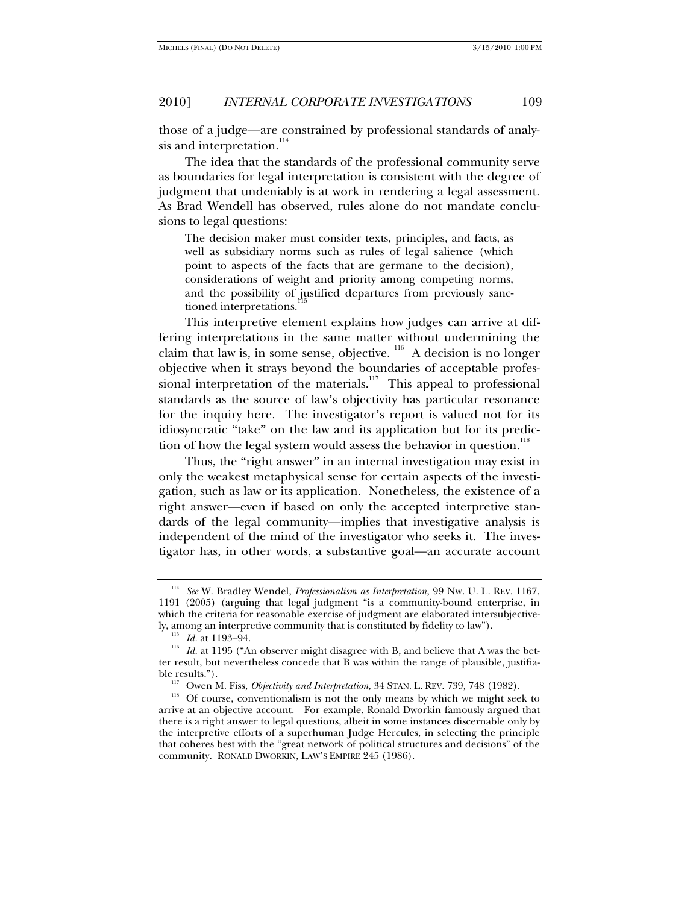those of a judge—are constrained by professional standards of analysis and interpretation.<sup>114</sup>

The idea that the standards of the professional community serve as boundaries for legal interpretation is consistent with the degree of judgment that undeniably is at work in rendering a legal assessment. As Brad Wendell has observed, rules alone do not mandate conclusions to legal questions:

The decision maker must consider texts, principles, and facts, as well as subsidiary norms such as rules of legal salience (which point to aspects of the facts that are germane to the decision), considerations of weight and priority among competing norms, and the possibility of justified departures from previously sanctioned interpretations.<sup>1</sup>

This interpretive element explains how judges can arrive at differing interpretations in the same matter without undermining the claim that law is, in some sense, objective.  $116$  A decision is no longer objective when it strays beyond the boundaries of acceptable professional interpretation of the materials.<sup>117</sup> This appeal to professional standards as the source of law's objectivity has particular resonance for the inquiry here. The investigator's report is valued not for its idiosyncratic "take" on the law and its application but for its prediction of how the legal system would assess the behavior in question.<sup>118</sup>

Thus, the "right answer" in an internal investigation may exist in only the weakest metaphysical sense for certain aspects of the investigation, such as law or its application. Nonetheless, the existence of a right answer—even if based on only the accepted interpretive standards of the legal community—implies that investigative analysis is independent of the mind of the investigator who seeks it. The investigator has, in other words, a substantive goal—an accurate account

<sup>114</sup> *See* W. Bradley Wendel, *Professionalism as Interpretation*, 99 NW. U. L. REV. 1167, 1191 (2005) (arguing that legal judgment "is a community-bound enterprise, in which the criteria for reasonable exercise of judgment are elaborated intersubjective-

ly, among an interpretive community that is constituted by fidelity to law").<br><sup>115</sup> *Id.* at 1193–94.<br><sup>116</sup> *Id.* at 1195 ("An observer might disagree with B, and believe that A was the better result, but nevertheless concede that B was within the range of plausible, justifia-

ble results.").<br><sup>117</sup> Owen M. Fiss, *Objectivity and Interpretation*, 34 STAN. L. REV. 739, 748 (1982).<br><sup>118</sup> Of course, conventionalism is not the only means by which we might seek to arrive at an objective account. For example, Ronald Dworkin famously argued that there is a right answer to legal questions, albeit in some instances discernable only by the interpretive efforts of a superhuman Judge Hercules, in selecting the principle that coheres best with the "great network of political structures and decisions" of the community. RONALD DWORKIN, LAW'S EMPIRE 245 (1986).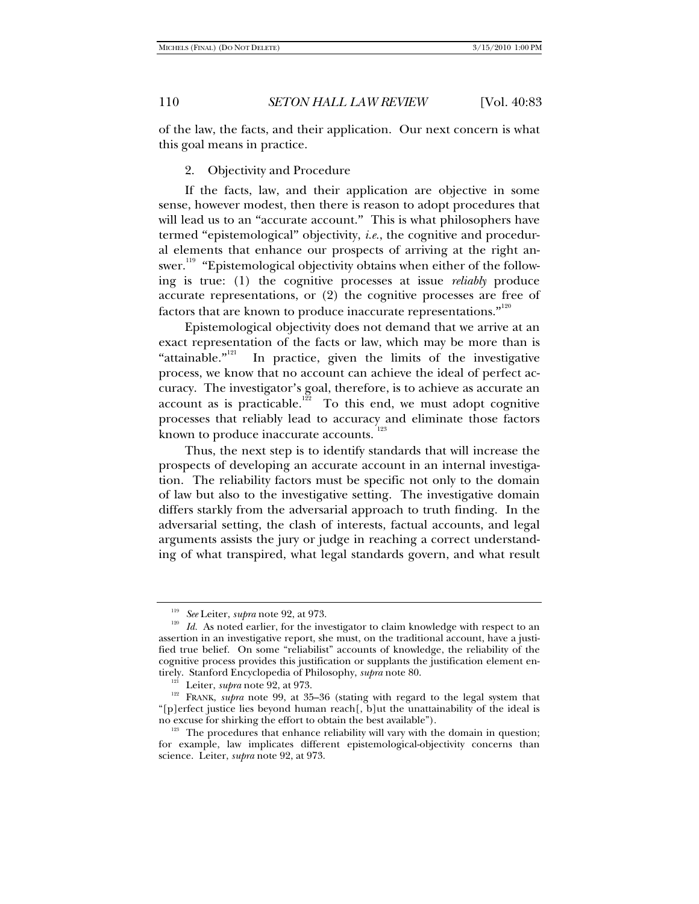of the law, the facts, and their application. Our next concern is what this goal means in practice.

2. Objectivity and Procedure

If the facts, law, and their application are objective in some sense, however modest, then there is reason to adopt procedures that will lead us to an "accurate account." This is what philosophers have termed "epistemological" objectivity, *i.e.*, the cognitive and procedural elements that enhance our prospects of arriving at the right answer. $^{^{119}}$  "Epistemological objectivity obtains when either of the following is true: (1) the cognitive processes at issue *reliably* produce accurate representations, or (2) the cognitive processes are free of factors that are known to produce inaccurate representations." $^{\scriptscriptstyle{120}}$ 

Epistemological objectivity does not demand that we arrive at an exact representation of the facts or law, which may be more than is "attainable."<sup>121</sup> In practice, given the limits of the investigative process, we know that no account can achieve the ideal of perfect accuracy. The investigator's goal, therefore, is to achieve as accurate an account as is practicable.<sup>122</sup> To this end, we must adopt cognitive To this end, we must adopt cognitive. processes that reliably lead to accuracy and eliminate those factors known to produce inaccurate accounts.<sup>123</sup>

Thus, the next step is to identify standards that will increase the prospects of developing an accurate account in an internal investigation. The reliability factors must be specific not only to the domain of law but also to the investigative setting. The investigative domain differs starkly from the adversarial approach to truth finding. In the adversarial setting, the clash of interests, factual accounts, and legal arguments assists the jury or judge in reaching a correct understanding of what transpired, what legal standards govern, and what result

<sup>&</sup>lt;sup>119</sup> See Leiter, *supra* note 92, at 973.<br><sup>120</sup> Id. As noted earlier, for the investigator to claim knowledge with respect to an assertion in an investigative report, she must, on the traditional account, have a justified true belief. On some "reliabilist" accounts of knowledge, the reliability of the cognitive process provides this justification or supplants the justification element entirely. Stanford Encyclopedia of Philosophy, *supra* note 80.

<sup>&</sup>lt;sup>121</sup> Leiter, *supra* note 92, at 973. **121 RRANK**, *supra* note 99, at 35–36 (stating with regard to the legal system that "[p]erfect justice lies beyond human reach[, b]ut the unattainability of the ideal is

 $123$  The procedures that enhance reliability will vary with the domain in question; for example, law implicates different epistemological-objectivity concerns than science. Leiter, *supra* note 92, at 973.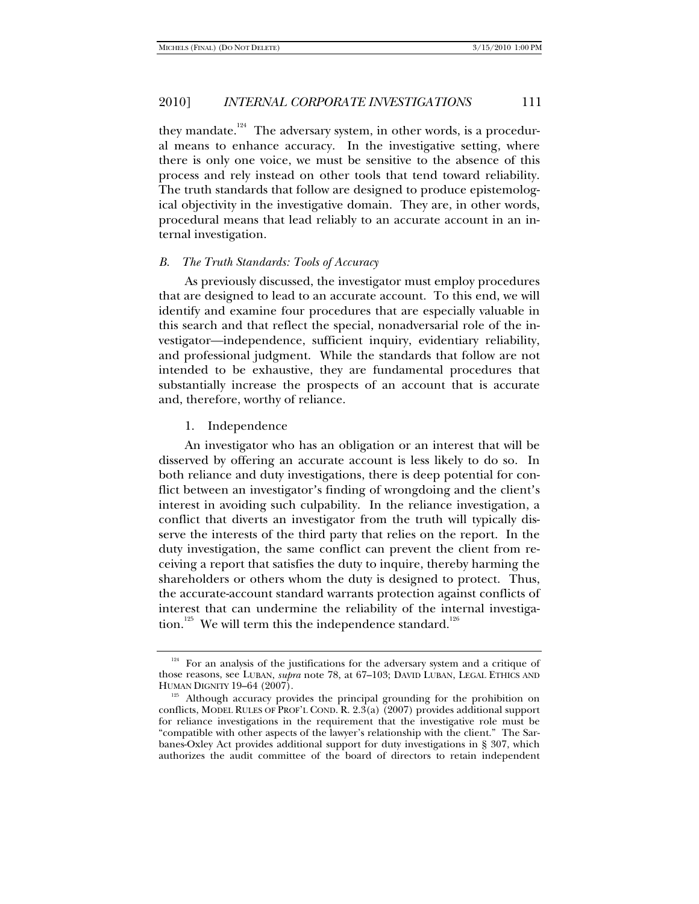they mandate.<sup>124</sup> The adversary system, in other words, is a procedural means to enhance accuracy. In the investigative setting, where there is only one voice, we must be sensitive to the absence of this process and rely instead on other tools that tend toward reliability. The truth standards that follow are designed to produce epistemological objectivity in the investigative domain. They are, in other words, procedural means that lead reliably to an accurate account in an internal investigation.

#### *B. The Truth Standards: Tools of Accuracy*

As previously discussed, the investigator must employ procedures that are designed to lead to an accurate account. To this end, we will identify and examine four procedures that are especially valuable in this search and that reflect the special, nonadversarial role of the investigator—independence, sufficient inquiry, evidentiary reliability, and professional judgment. While the standards that follow are not intended to be exhaustive, they are fundamental procedures that substantially increase the prospects of an account that is accurate and, therefore, worthy of reliance.

### 1. Independence

An investigator who has an obligation or an interest that will be disserved by offering an accurate account is less likely to do so. In both reliance and duty investigations, there is deep potential for conflict between an investigator's finding of wrongdoing and the client's interest in avoiding such culpability. In the reliance investigation, a conflict that diverts an investigator from the truth will typically disserve the interests of the third party that relies on the report. In the duty investigation, the same conflict can prevent the client from receiving a report that satisfies the duty to inquire, thereby harming the shareholders or others whom the duty is designed to protect. Thus, the accurate-account standard warrants protection against conflicts of interest that can undermine the reliability of the internal investigation.<sup>125</sup> We will term this the independence standard.<sup>126</sup>

<sup>&</sup>lt;sup>124</sup> For an analysis of the justifications for the adversary system and a critique of those reasons, see LUBAN, *supra* note 78, at 67–103; DAVID LUBAN, LEGAL ETHICS AND HUMAN DIGNITY 19–64 (2007).

<sup>&</sup>lt;sup>125</sup> Although accuracy provides the principal grounding for the prohibition on conflicts, MODEL RULES OF PROF'L COND. R. 2.3(a) (2007) provides additional support for reliance investigations in the requirement that the investigative role must be "compatible with other aspects of the lawyer's relationship with the client." The Sarbanes-Oxley Act provides additional support for duty investigations in § 307, which authorizes the audit committee of the board of directors to retain independent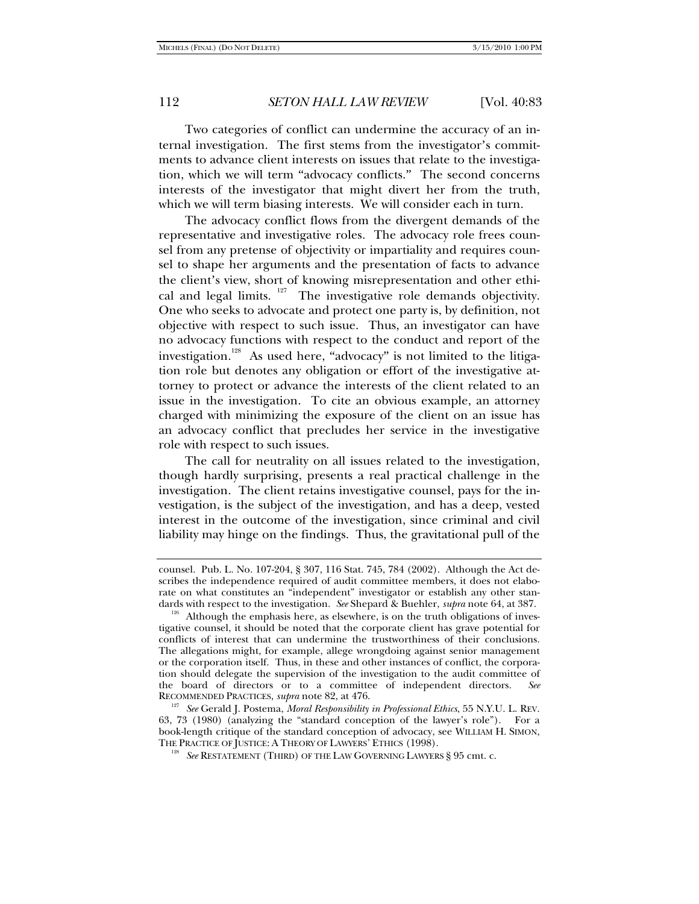Two categories of conflict can undermine the accuracy of an internal investigation. The first stems from the investigator's commitments to advance client interests on issues that relate to the investigation, which we will term "advocacy conflicts." The second concerns interests of the investigator that might divert her from the truth, which we will term biasing interests. We will consider each in turn.

The advocacy conflict flows from the divergent demands of the representative and investigative roles. The advocacy role frees counsel from any pretense of objectivity or impartiality and requires counsel to shape her arguments and the presentation of facts to advance the client's view, short of knowing misrepresentation and other ethical and legal limits. <sup>127</sup> The investigative role demands objectivity. One who seeks to advocate and protect one party is, by definition, not objective with respect to such issue. Thus, an investigator can have no advocacy functions with respect to the conduct and report of the investigation.<sup>128</sup> As used here, "advocacy" is not limited to the litigation role but denotes any obligation or effort of the investigative attorney to protect or advance the interests of the client related to an issue in the investigation. To cite an obvious example, an attorney charged with minimizing the exposure of the client on an issue has an advocacy conflict that precludes her service in the investigative role with respect to such issues.

The call for neutrality on all issues related to the investigation, though hardly surprising, presents a real practical challenge in the investigation. The client retains investigative counsel, pays for the investigation, is the subject of the investigation, and has a deep, vested interest in the outcome of the investigation, since criminal and civil liability may hinge on the findings. Thus, the gravitational pull of the

counsel. Pub. L. No. 107-204, § 307, 116 Stat. 745, 784 (2002). Although the Act describes the independence required of audit committee members, it does not elaborate on what constitutes an "independent" investigator or establish any other standards with respect to the investigation. *See* Shepard & Buehler, *supra* note 64, at 387. <sup>126</sup> Although the emphasis here, as elsewhere, is on the truth obligations of inves-

tigative counsel, it should be noted that the corporate client has grave potential for conflicts of interest that can undermine the trustworthiness of their conclusions. The allegations might, for example, allege wrongdoing against senior management or the corporation itself. Thus, in these and other instances of conflict, the corporation should delegate the supervision of the investigation to the audit committee of the board of directors or to a committee of independent directors. *See* RECOMMENDED PRACTICES, *supra* note 82, at 476.

<sup>&</sup>lt;sup>127</sup> See Gerald J. Postema, *Moral Responsibility in Professional Ethics*, 55 N.Y.U. L. REV. 63, 73 (1980) (analyzing the "standard conception of the lawyer's role"). For a book-length critique of the standard conception of advocacy, see WILLIAM H. SIMON, THE PRACTICE OF JUSTICE: A THEORY OF LAWYERS' ETHICS (1998).

<sup>&</sup>lt;sup>128</sup> See RESTATEMENT (THIRD) OF THE LAW GOVERNING LAWYERS § 95 cmt. c.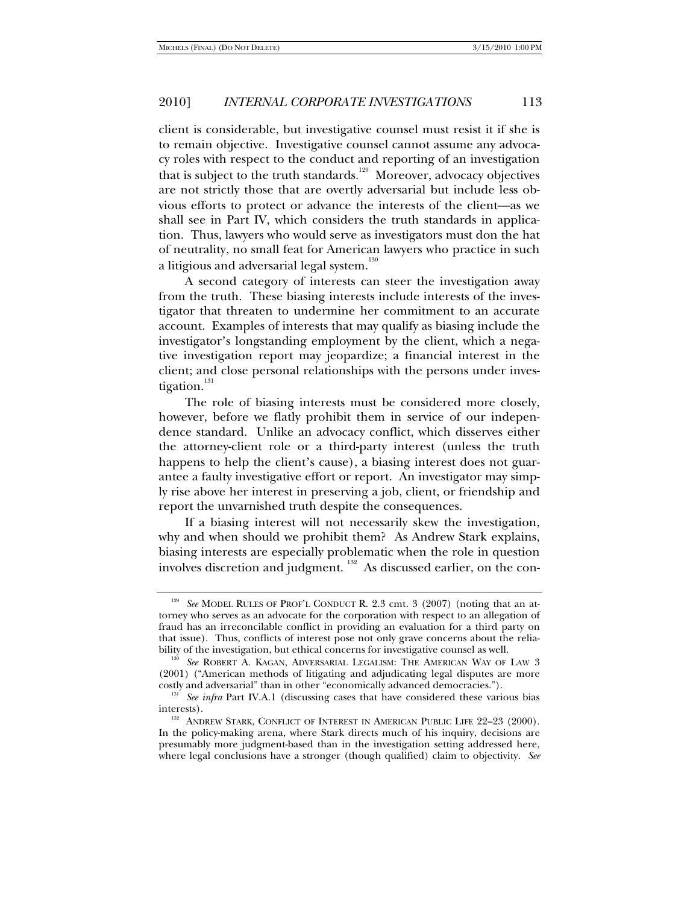client is considerable, but investigative counsel must resist it if she is to remain objective. Investigative counsel cannot assume any advocacy roles with respect to the conduct and reporting of an investigation that is subject to the truth standards.<sup>129</sup> Moreover, advocacy objectives are not strictly those that are overtly adversarial but include less obvious efforts to protect or advance the interests of the client—as we shall see in Part IV, which considers the truth standards in application. Thus, lawyers who would serve as investigators must don the hat of neutrality, no small feat for American lawyers who practice in such a litigious and adversarial legal system.<sup>130</sup>

A second category of interests can steer the investigation away from the truth. These biasing interests include interests of the investigator that threaten to undermine her commitment to an accurate account. Examples of interests that may qualify as biasing include the investigator's longstanding employment by the client, which a negative investigation report may jeopardize; a financial interest in the client; and close personal relationships with the persons under investigation.<sup>131</sup>

The role of biasing interests must be considered more closely, however, before we flatly prohibit them in service of our independence standard. Unlike an advocacy conflict, which disserves either the attorney-client role or a third-party interest (unless the truth happens to help the client's cause), a biasing interest does not guarantee a faulty investigative effort or report. An investigator may simply rise above her interest in preserving a job, client, or friendship and report the unvarnished truth despite the consequences.

If a biasing interest will not necessarily skew the investigation, why and when should we prohibit them? As Andrew Stark explains, biasing interests are especially problematic when the role in question involves discretion and judgment. 132 As discussed earlier, on the con-

<sup>&</sup>lt;sup>129</sup> See MODEL RULES OF PROF'L CONDUCT R. 2.3 cmt. 3 (2007) (noting that an attorney who serves as an advocate for the corporation with respect to an allegation of fraud has an irreconcilable conflict in providing an evaluation for a third party on that issue). Thus, conflicts of interest pose not only grave concerns about the reliability of the investigation, but ethical concerns for investigative counsel as well. 130 *See* ROBERT A. KAGAN, ADVERSARIAL LEGALISM: THE AMERICAN WAY OF LAW 3

<sup>(2001) (&</sup>quot;American methods of litigating and adjudicating legal disputes are more costly and adversarial" than in other "economically advanced democracies.").

<sup>&</sup>lt;sup>131</sup> See infra Part IV.A.1 (discussing cases that have considered these various bias

interests).<br><sup>132</sup> ANDREW STARK, CONFLICT OF INTEREST IN AMERICAN PUBLIC LIFE 22–23 (2000). In the policy-making arena, where Stark directs much of his inquiry, decisions are presumably more judgment-based than in the investigation setting addressed here, where legal conclusions have a stronger (though qualified) claim to objectivity. *See*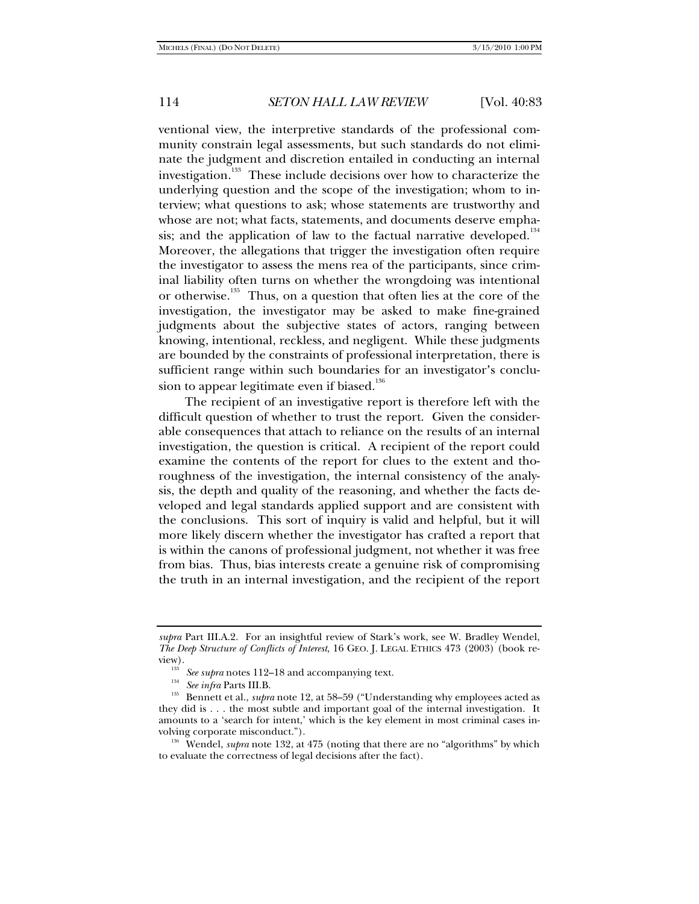ventional view, the interpretive standards of the professional community constrain legal assessments, but such standards do not eliminate the judgment and discretion entailed in conducting an internal investigation.<sup>133</sup> These include decisions over how to characterize the underlying question and the scope of the investigation; whom to interview; what questions to ask; whose statements are trustworthy and whose are not; what facts, statements, and documents deserve emphasis; and the application of law to the factual narrative developed.<sup>134</sup> Moreover, the allegations that trigger the investigation often require the investigator to assess the mens rea of the participants, since criminal liability often turns on whether the wrongdoing was intentional or otherwise.<sup>135</sup> Thus, on a question that often lies at the core of the investigation, the investigator may be asked to make fine-grained judgments about the subjective states of actors, ranging between knowing, intentional, reckless, and negligent. While these judgments are bounded by the constraints of professional interpretation, there is sufficient range within such boundaries for an investigator's conclusion to appear legitimate even if biased.<sup>136</sup>

The recipient of an investigative report is therefore left with the difficult question of whether to trust the report. Given the considerable consequences that attach to reliance on the results of an internal investigation, the question is critical. A recipient of the report could examine the contents of the report for clues to the extent and thoroughness of the investigation, the internal consistency of the analysis, the depth and quality of the reasoning, and whether the facts developed and legal standards applied support and are consistent with the conclusions. This sort of inquiry is valid and helpful, but it will more likely discern whether the investigator has crafted a report that is within the canons of professional judgment, not whether it was free from bias. Thus, bias interests create a genuine risk of compromising the truth in an internal investigation, and the recipient of the report

*supra* Part III.A.2. For an insightful review of Stark's work, see W. Bradley Wendel, *The Deep Structure of Conflicts of Interest*, 16 GEO. J. LEGAL ETHICS 473 (2003) (book re-

view). 133 *See supra* notes 112–18 and accompanying text. 134 *See infra* Parts III.B. 135 Bennett et al., *supra* note 12, at 58–59 ("Understanding why employees acted as they did is . . . the most subtle and important goal of the internal investigation. It amounts to a 'search for intent,' which is the key element in most criminal cases involving corporate misconduct."). 136 Wendel, *supra* note 132, at 475 (noting that there are no "algorithms" by which

to evaluate the correctness of legal decisions after the fact).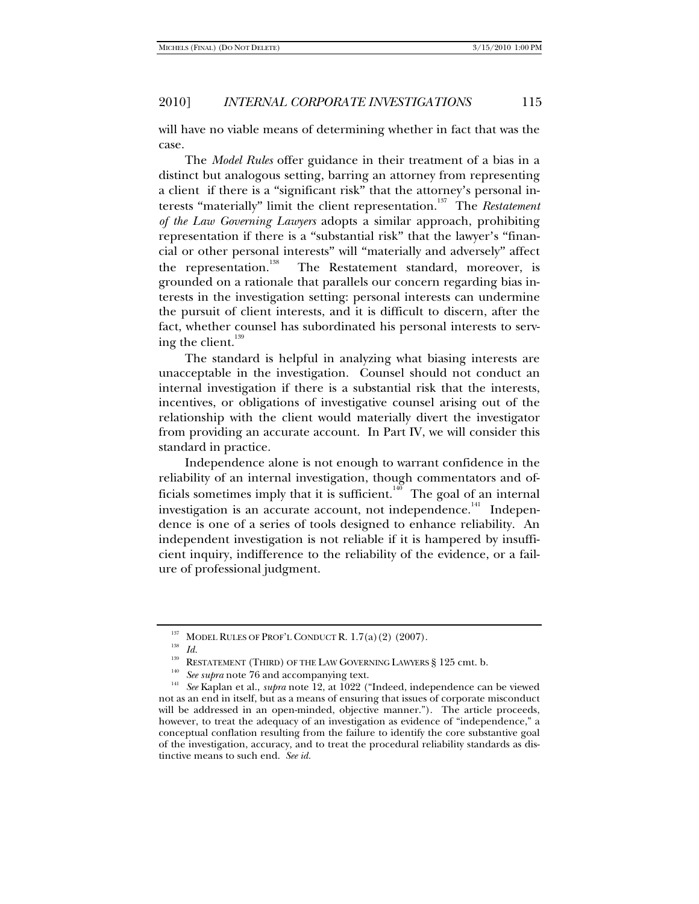will have no viable means of determining whether in fact that was the case.

The *Model Rules* offer guidance in their treatment of a bias in a distinct but analogous setting, barring an attorney from representing a client if there is a "significant risk" that the attorney's personal interests "materially" limit the client representation.<sup>137</sup> The *Restatement of the Law Governing Lawyers* adopts a similar approach, prohibiting representation if there is a "substantial risk" that the lawyer's "financial or other personal interests" will "materially and adversely" affect the representation.<sup>138</sup> The Restatement standard, moreover, is grounded on a rationale that parallels our concern regarding bias interests in the investigation setting: personal interests can undermine the pursuit of client interests, and it is difficult to discern, after the fact, whether counsel has subordinated his personal interests to serving the client. $139$ 

The standard is helpful in analyzing what biasing interests are unacceptable in the investigation. Counsel should not conduct an internal investigation if there is a substantial risk that the interests, incentives, or obligations of investigative counsel arising out of the relationship with the client would materially divert the investigator from providing an accurate account. In Part IV, we will consider this standard in practice.

Independence alone is not enough to warrant confidence in the reliability of an internal investigation, though commentators and officials sometimes imply that it is sufficient.<sup>140</sup> The goal of an internal investigation is an accurate account, not independence.<sup>141</sup> Independence is one of a series of tools designed to enhance reliability. An independent investigation is not reliable if it is hampered by insufficient inquiry, indifference to the reliability of the evidence, or a failure of professional judgment.

<sup>&</sup>lt;sup>137</sup> MODEL RULES OF PROF'L CONDUCT R. 1.7(a)(2) (2007).<br><sup>138</sup> *Id.*<br>RESTATEMENT (THIRD) OF THE LAW GOVERNING LAWYERS § 125 cmt. b.<br><sup>140</sup> *See supra* note 76 and accompanying text.<br><sup>141</sup> *See* Kaplan et al., *supra* note not as an end in itself, but as a means of ensuring that issues of corporate misconduct will be addressed in an open-minded, objective manner."). The article proceeds, however, to treat the adequacy of an investigation as evidence of "independence," a conceptual conflation resulting from the failure to identify the core substantive goal of the investigation, accuracy, and to treat the procedural reliability standards as distinctive means to such end. *See id.*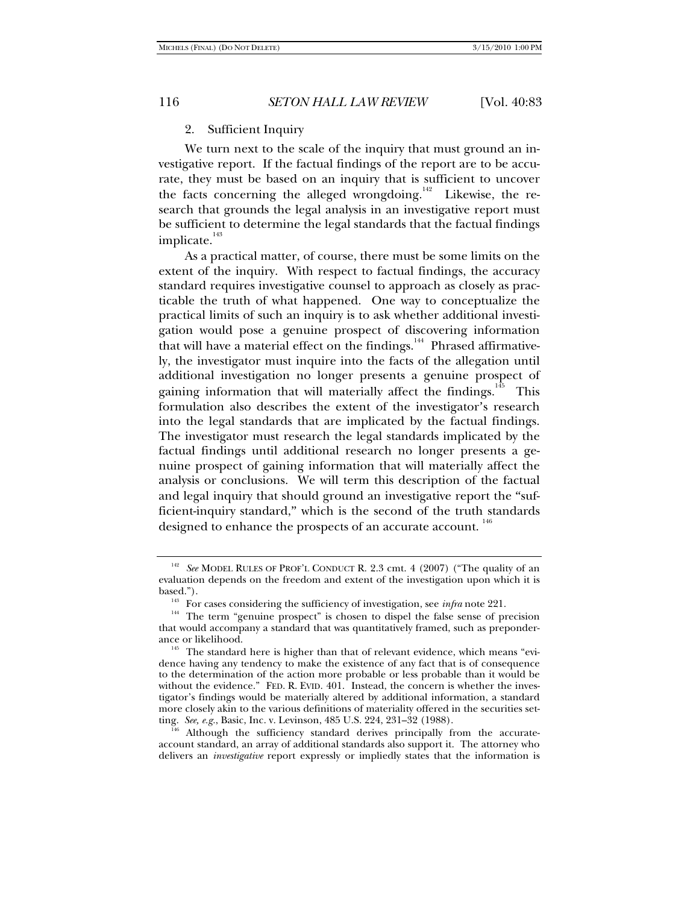#### 2. Sufficient Inquiry

We turn next to the scale of the inquiry that must ground an investigative report. If the factual findings of the report are to be accurate, they must be based on an inquiry that is sufficient to uncover the facts concerning the alleged wrongdoing.<sup>142</sup> Likewise, the research that grounds the legal analysis in an investigative report must be sufficient to determine the legal standards that the factual findings implicate. $143$ 

As a practical matter, of course, there must be some limits on the extent of the inquiry. With respect to factual findings, the accuracy standard requires investigative counsel to approach as closely as practicable the truth of what happened. One way to conceptualize the practical limits of such an inquiry is to ask whether additional investigation would pose a genuine prospect of discovering information that will have a material effect on the findings.<sup>144</sup> Phrased affirmatively, the investigator must inquire into the facts of the allegation until additional investigation no longer presents a genuine prospect of gaining information that will materially affect the findings.<sup>145</sup> This formulation also describes the extent of the investigator's research into the legal standards that are implicated by the factual findings. The investigator must research the legal standards implicated by the factual findings until additional research no longer presents a genuine prospect of gaining information that will materially affect the analysis or conclusions. We will term this description of the factual and legal inquiry that should ground an investigative report the "sufficient-inquiry standard," which is the second of the truth standards designed to enhance the prospects of an accurate account.<sup>146</sup>

<sup>142</sup> *See* MODEL RULES OF PROF'L CONDUCT R. 2.3 cmt. 4 (2007) ("The quality of an evaluation depends on the freedom and extent of the investigation upon which it is

based.").<br><sup>143</sup> For cases considering the sufficiency of investigation, see *infra* note 221.<br><sup>144</sup> The term "genuine prospect" is chosen to dispel the false sense of precision that would accompany a standard that was quantitatively framed, such as preponderance or likelihood.<br><sup>145</sup> The standard here is higher than that of relevant evidence, which means "evi-

dence having any tendency to make the existence of any fact that is of consequence to the determination of the action more probable or less probable than it would be without the evidence." FED. R. EVID. 401. Instead, the concern is whether the investigator's findings would be materially altered by additional information, a standard more closely akin to the various definitions of materiality offered in the securities set-<br>ting. See, e.g., Basic, Inc. v. Levinson,  $485$  U.S.  $224$ ,  $231-32$  (1988).

Although the sufficiency standard derives principally from the accurateaccount standard, an array of additional standards also support it. The attorney who delivers an *investigative* report expressly or impliedly states that the information is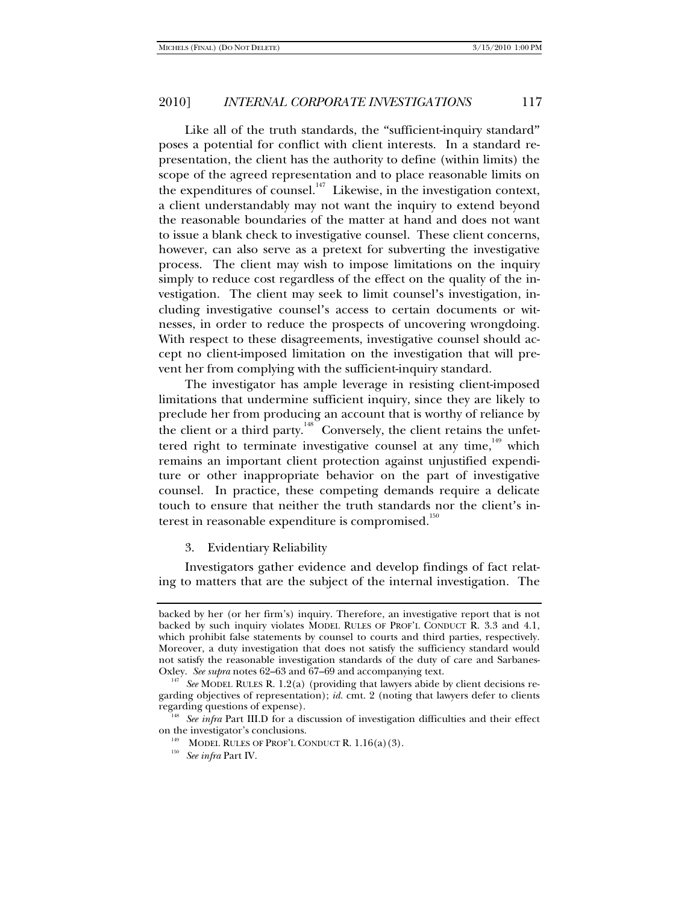Like all of the truth standards, the "sufficient-inquiry standard" poses a potential for conflict with client interests. In a standard representation, the client has the authority to define (within limits) the scope of the agreed representation and to place reasonable limits on the expenditures of counsel.<sup>147</sup> Likewise, in the investigation context, a client understandably may not want the inquiry to extend beyond the reasonable boundaries of the matter at hand and does not want to issue a blank check to investigative counsel. These client concerns, however, can also serve as a pretext for subverting the investigative process. The client may wish to impose limitations on the inquiry simply to reduce cost regardless of the effect on the quality of the investigation. The client may seek to limit counsel's investigation, including investigative counsel's access to certain documents or witnesses, in order to reduce the prospects of uncovering wrongdoing. With respect to these disagreements, investigative counsel should accept no client-imposed limitation on the investigation that will prevent her from complying with the sufficient-inquiry standard.

The investigator has ample leverage in resisting client-imposed limitations that undermine sufficient inquiry, since they are likely to preclude her from producing an account that is worthy of reliance by the client or a third party.<sup>148</sup> Conversely, the client retains the unfettered right to terminate investigative counsel at any time,  $149$  which remains an important client protection against unjustified expenditure or other inappropriate behavior on the part of investigative counsel. In practice, these competing demands require a delicate touch to ensure that neither the truth standards nor the client's interest in reasonable expenditure is compromised. $^{150}$ 

3. Evidentiary Reliability

Investigators gather evidence and develop findings of fact relating to matters that are the subject of the internal investigation. The

backed by her (or her firm's) inquiry. Therefore, an investigative report that is not backed by such inquiry violates MODEL RULES OF PROF'L CONDUCT R. 3.3 and 4.1, which prohibit false statements by counsel to courts and third parties, respectively. Moreover, a duty investigation that does not satisfy the sufficiency standard would not satisfy the reasonable investigation standards of the duty of care and Sarbanes-Oxley. See supra notes 62–63 and 67–69 and accompanying text.

<sup>&</sup>lt;sup>147</sup> See MODEL RULES R. 1.2(a) (providing that lawyers abide by client decisions regarding objectives of representation); *id.* cmt. 2 (noting that lawyers defer to clients

regarding questions of expense).<br><sup>148</sup> See infra Part III.D for a discussion of investigation difficulties and their effect<br>on the investigator's conclusions.

<sup>&</sup>lt;sup>149</sup> MODEL RULES OF PROF'L CONDUCT R. 1.16(a)(3). See infra Part IV.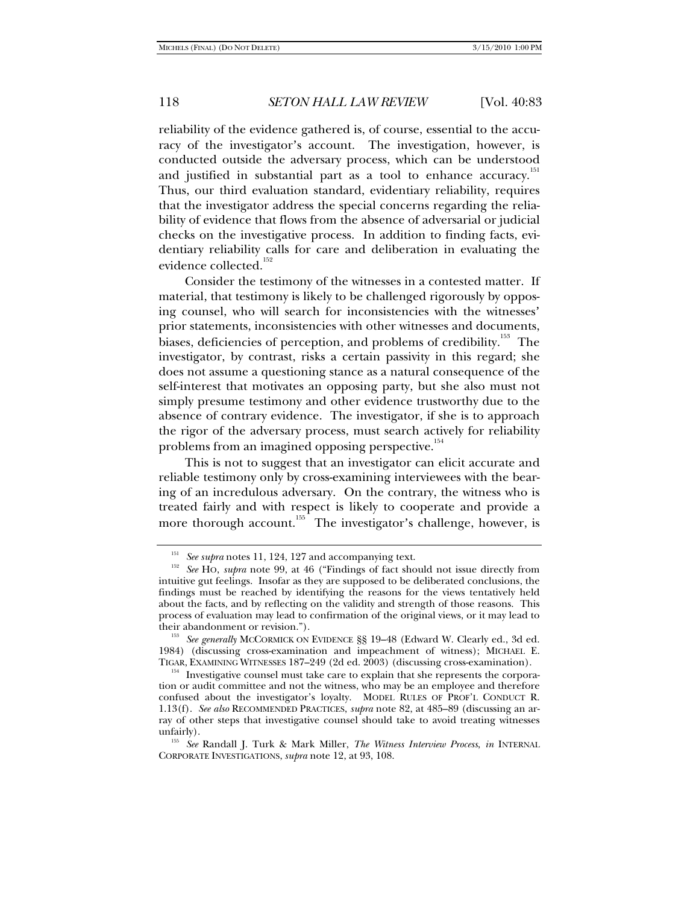reliability of the evidence gathered is, of course, essential to the accuracy of the investigator's account. The investigation, however, is conducted outside the adversary process, which can be understood and justified in substantial part as a tool to enhance accuracy.<sup>151</sup> Thus, our third evaluation standard, evidentiary reliability, requires that the investigator address the special concerns regarding the reliability of evidence that flows from the absence of adversarial or judicial checks on the investigative process. In addition to finding facts, evidentiary reliability calls for care and deliberation in evaluating the evidence collected.<sup>152</sup>

Consider the testimony of the witnesses in a contested matter. If material, that testimony is likely to be challenged rigorously by opposing counsel, who will search for inconsistencies with the witnesses' prior statements, inconsistencies with other witnesses and documents, biases, deficiencies of perception, and problems of credibility.<sup>153</sup> The investigator, by contrast, risks a certain passivity in this regard; she does not assume a questioning stance as a natural consequence of the self-interest that motivates an opposing party, but she also must not simply presume testimony and other evidence trustworthy due to the absence of contrary evidence. The investigator, if she is to approach the rigor of the adversary process, must search actively for reliability problems from an imagined opposing perspective.<sup>154</sup>

This is not to suggest that an investigator can elicit accurate and reliable testimony only by cross-examining interviewees with the bearing of an incredulous adversary. On the contrary, the witness who is treated fairly and with respect is likely to cooperate and provide a more thorough account.<sup>155</sup> The investigator's challenge, however, is

<sup>&</sup>lt;sup>151</sup> See supra notes 11, 124, 127 and accompanying text.<br><sup>152</sup> See HO, *supra* note 99, at 46 ("Findings of fact should not issue directly from intuitive gut feelings. Insofar as they are supposed to be deliberated conclusions, the findings must be reached by identifying the reasons for the views tentatively held about the facts, and by reflecting on the validity and strength of those reasons. This process of evaluation may lead to confirmation of the original views, or it may lead to their abandonment or revision.").

<sup>&</sup>lt;sup>153</sup> See generally MCCORMICK ON EVIDENCE §§ 19–48 (Edward W. Clearly ed., 3d ed. 1984) (discussing cross-examination and impeachment of witness); MICHAEL E. TIGAR, EXAMINING WITNESSES 187-249 (2d ed. 2003) (discussing cross-examination).

<sup>&</sup>lt;sup>154</sup> Investigative counsel must take care to explain that she represents the corporation or audit committee and not the witness, who may be an employee and therefore confused about the investigator's loyalty. MODEL RULES OF PROF'L CONDUCT R. 1.13(f). *See also* RECOMMENDED PRACTICES, *supra* note 82, at 485–89 (discussing an array of other steps that investigative counsel should take to avoid treating witnesses unfairly). 155 *See* Randall J. Turk & Mark Miller, *The Witness Interview Process*, *in* INTERNAL

CORPORATE INVESTIGATIONS, *supra* note 12, at 93, 108.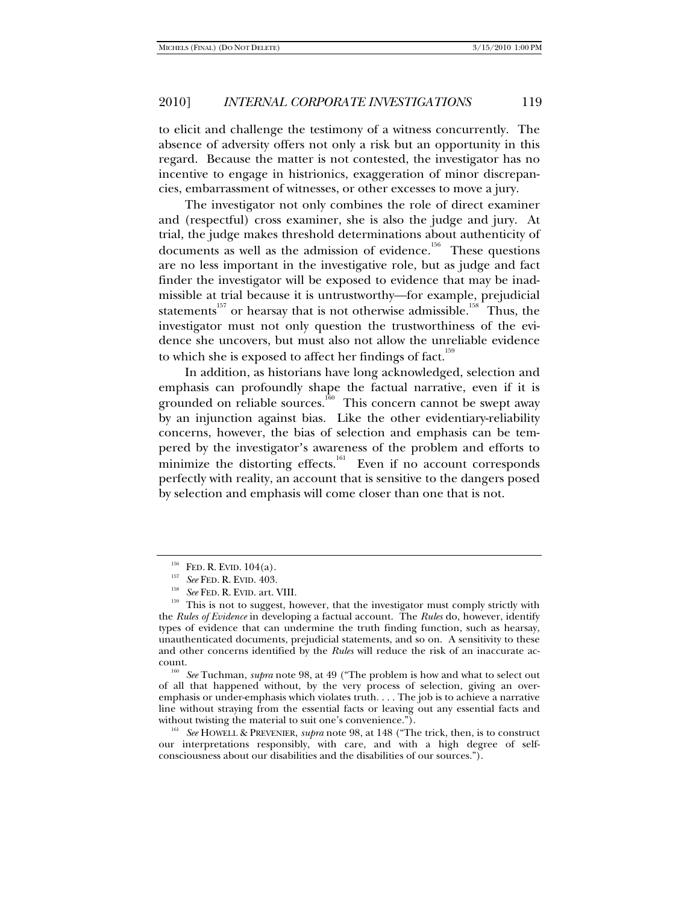to elicit and challenge the testimony of a witness concurrently. The absence of adversity offers not only a risk but an opportunity in this regard. Because the matter is not contested, the investigator has no incentive to engage in histrionics, exaggeration of minor discrepancies, embarrassment of witnesses, or other excesses to move a jury.

The investigator not only combines the role of direct examiner and (respectful) cross examiner, she is also the judge and jury. At trial, the judge makes threshold determinations about authenticity of documents as well as the admission of evidence.<sup>156</sup> These questions are no less important in the investigative role, but as judge and fact finder the investigator will be exposed to evidence that may be inadmissible at trial because it is untrustworthy—for example, prejudicial statements<sup>157</sup> or hearsay that is not otherwise admissible.<sup>158</sup> Thus, the investigator must not only question the trustworthiness of the evidence she uncovers, but must also not allow the unreliable evidence to which she is exposed to affect her findings of fact.<sup>159</sup>

In addition, as historians have long acknowledged, selection and emphasis can profoundly shape the factual narrative, even if it is grounded on reliable sources.<sup>160</sup> This concern cannot be swept away by an injunction against bias. Like the other evidentiary-reliability concerns, however, the bias of selection and emphasis can be tempered by the investigator's awareness of the problem and efforts to minimize the distorting effects.<sup>161</sup> Even if no account corresponds perfectly with reality, an account that is sensitive to the dangers posed by selection and emphasis will come closer than one that is not.

<sup>&</sup>lt;sup>156</sup> FED. R. EVID. 104(a).<br><sup>157</sup> See FED. R. EVID. 403.<br><sup>158</sup> See FED. R. EVID. art. VIII.<br><sup>159</sup> This is not to suggest, however, that the investigator must comply strictly with the *Rules of Evidence* in developing a factual account. The *Rules* do, however, identify types of evidence that can undermine the truth finding function, such as hearsay, unauthenticated documents, prejudicial statements, and so on. A sensitivity to these and other concerns identified by the *Rules* will reduce the risk of an inaccurate ac-

count. 160 *See* Tuchman, *supra* note 98, at 49 ("The problem is how and what to select out of all that happened without, by the very process of selection, giving an overemphasis or under-emphasis which violates truth. . . . The job is to achieve a narrative line without straying from the essential facts or leaving out any essential facts and without twisting the material to suit one's convenience.").

<sup>&</sup>lt;sup>161</sup> See HOWELL & PREVENIER, *supra* note 98, at 148 ("The trick, then, is to construct our interpretations responsibly, with care, and with a high degree of selfconsciousness about our disabilities and the disabilities of our sources.").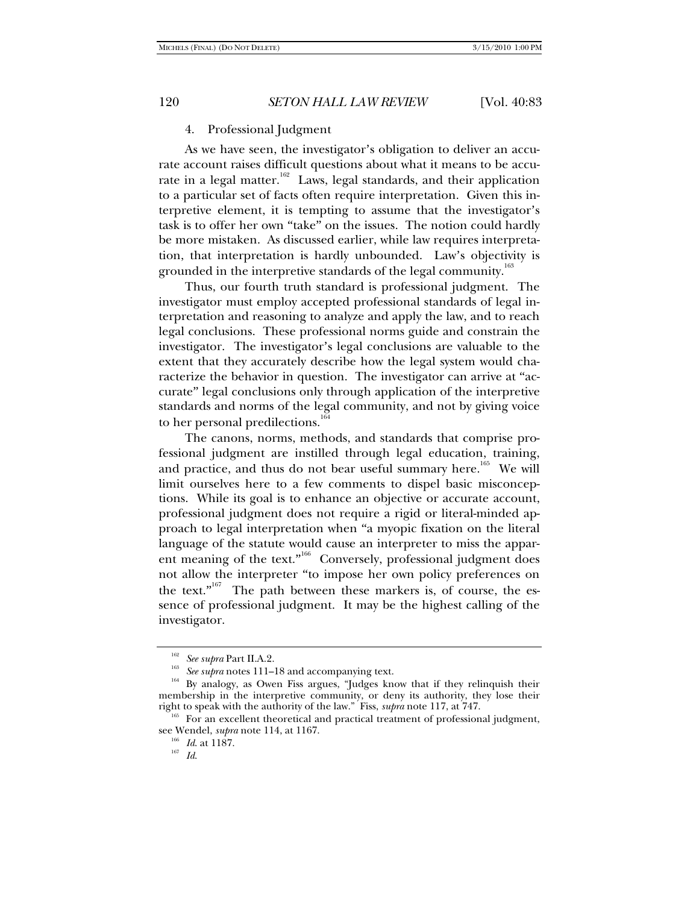#### 4. Professional Judgment

As we have seen, the investigator's obligation to deliver an accurate account raises difficult questions about what it means to be accurate in a legal matter.<sup>162</sup> Laws, legal standards, and their application to a particular set of facts often require interpretation. Given this interpretive element, it is tempting to assume that the investigator's task is to offer her own "take" on the issues. The notion could hardly be more mistaken. As discussed earlier, while law requires interpretation, that interpretation is hardly unbounded. Law's objectivity is grounded in the interpretive standards of the legal community.<sup>163</sup>

Thus, our fourth truth standard is professional judgment. The investigator must employ accepted professional standards of legal interpretation and reasoning to analyze and apply the law, and to reach legal conclusions. These professional norms guide and constrain the investigator. The investigator's legal conclusions are valuable to the extent that they accurately describe how the legal system would characterize the behavior in question. The investigator can arrive at "accurate" legal conclusions only through application of the interpretive standards and norms of the legal community, and not by giving voice to her personal predilections.<sup>1</sup>

The canons, norms, methods, and standards that comprise professional judgment are instilled through legal education, training, and practice, and thus do not bear useful summary here.<sup>165</sup> We will limit ourselves here to a few comments to dispel basic misconceptions. While its goal is to enhance an objective or accurate account, professional judgment does not require a rigid or literal-minded approach to legal interpretation when "a myopic fixation on the literal language of the statute would cause an interpreter to miss the apparent meaning of the text."<sup>166</sup> Conversely, professional judgment does not allow the interpreter "to impose her own policy preferences on the text."<sup>167</sup> The path between these markers is, of course, the essence of professional judgment. It may be the highest calling of the investigator.

<sup>&</sup>lt;sup>162</sup> See supra Part II.A.2.<br><sup>163</sup> See supra notes 111–18 and accompanying text.<br><sup>164</sup> By analogy, as Owen Fiss argues, "Judges know that if they relinquish their membership in the interpretive community, or deny its authority, they lose their right to speak with the authority of the law." Fiss, *supra* note 117, at 747.<br><sup>165</sup> For an excellent theoretical and practical treatment of professional judgment,

see Wendel, *supra* note 114, at 1167. 166 *Id*. at 1187. 167 *Id*.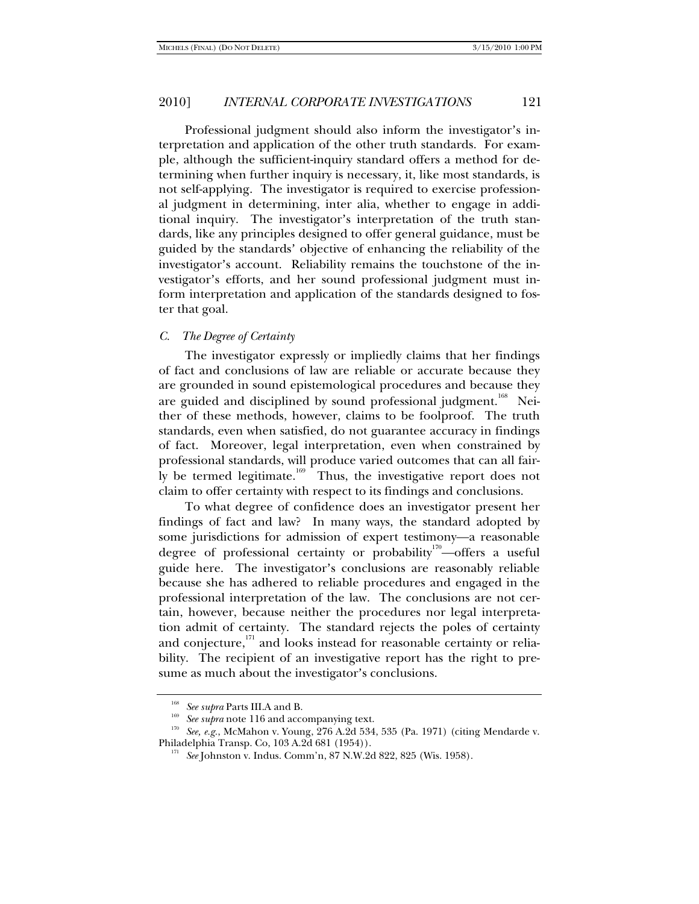Professional judgment should also inform the investigator's interpretation and application of the other truth standards. For example, although the sufficient-inquiry standard offers a method for determining when further inquiry is necessary, it, like most standards, is not self-applying. The investigator is required to exercise professional judgment in determining, inter alia, whether to engage in additional inquiry. The investigator's interpretation of the truth standards, like any principles designed to offer general guidance, must be guided by the standards' objective of enhancing the reliability of the investigator's account. Reliability remains the touchstone of the investigator's efforts, and her sound professional judgment must inform interpretation and application of the standards designed to foster that goal.

#### *C. The Degree of Certainty*

The investigator expressly or impliedly claims that her findings of fact and conclusions of law are reliable or accurate because they are grounded in sound epistemological procedures and because they are guided and disciplined by sound professional judgment.<sup>168</sup> Neither of these methods, however, claims to be foolproof. The truth standards, even when satisfied, do not guarantee accuracy in findings of fact. Moreover, legal interpretation, even when constrained by professional standards, will produce varied outcomes that can all fairly be termed legitimate.<sup>169</sup> Thus, the investigative report does not claim to offer certainty with respect to its findings and conclusions.

To what degree of confidence does an investigator present her findings of fact and law? In many ways, the standard adopted by some jurisdictions for admission of expert testimony—a reasonable degree of professional certainty or probability<sup>170</sup>-offers a useful guide here. The investigator's conclusions are reasonably reliable because she has adhered to reliable procedures and engaged in the professional interpretation of the law. The conclusions are not certain, however, because neither the procedures nor legal interpretation admit of certainty. The standard rejects the poles of certainty and conjecture, $171$  and looks instead for reasonable certainty or reliability. The recipient of an investigative report has the right to presume as much about the investigator's conclusions.

<sup>&</sup>lt;sup>168</sup> See supra Parts III.A and B.<br><sup>169</sup> See supra note 116 and accompanying text.<br><sup>170</sup> See, e.g., McMahon v. Young, 276 A.2d 534, 535 (Pa. 1971) (citing Mendarde v. Philadelphia Transp. Co, 103 A.2d 681 (1954)). 171 *See* Johnston v. Indus. Comm'n, 87 N.W.2d 822, 825 (Wis. 1958).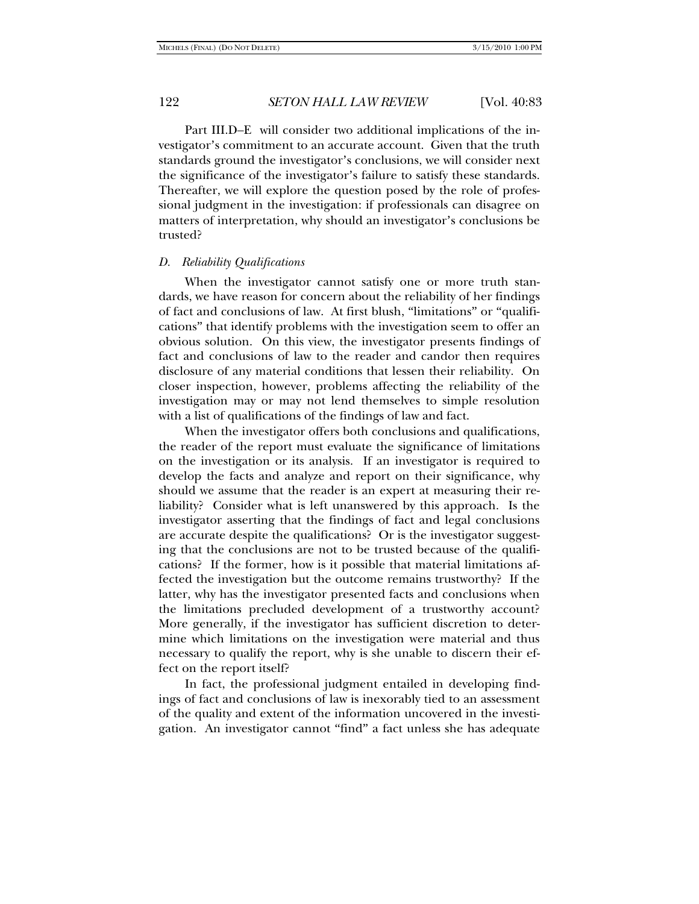Part III.D–E will consider two additional implications of the investigator's commitment to an accurate account. Given that the truth standards ground the investigator's conclusions, we will consider next the significance of the investigator's failure to satisfy these standards. Thereafter, we will explore the question posed by the role of professional judgment in the investigation: if professionals can disagree on matters of interpretation, why should an investigator's conclusions be trusted?

#### *D. Reliability Qualifications*

When the investigator cannot satisfy one or more truth standards, we have reason for concern about the reliability of her findings of fact and conclusions of law. At first blush, "limitations" or "qualifications" that identify problems with the investigation seem to offer an obvious solution. On this view, the investigator presents findings of fact and conclusions of law to the reader and candor then requires disclosure of any material conditions that lessen their reliability. On closer inspection, however, problems affecting the reliability of the investigation may or may not lend themselves to simple resolution with a list of qualifications of the findings of law and fact.

When the investigator offers both conclusions and qualifications, the reader of the report must evaluate the significance of limitations on the investigation or its analysis. If an investigator is required to develop the facts and analyze and report on their significance, why should we assume that the reader is an expert at measuring their reliability? Consider what is left unanswered by this approach. Is the investigator asserting that the findings of fact and legal conclusions are accurate despite the qualifications? Or is the investigator suggesting that the conclusions are not to be trusted because of the qualifications? If the former, how is it possible that material limitations affected the investigation but the outcome remains trustworthy? If the latter, why has the investigator presented facts and conclusions when the limitations precluded development of a trustworthy account? More generally, if the investigator has sufficient discretion to determine which limitations on the investigation were material and thus necessary to qualify the report, why is she unable to discern their effect on the report itself?

In fact, the professional judgment entailed in developing findings of fact and conclusions of law is inexorably tied to an assessment of the quality and extent of the information uncovered in the investigation. An investigator cannot "find" a fact unless she has adequate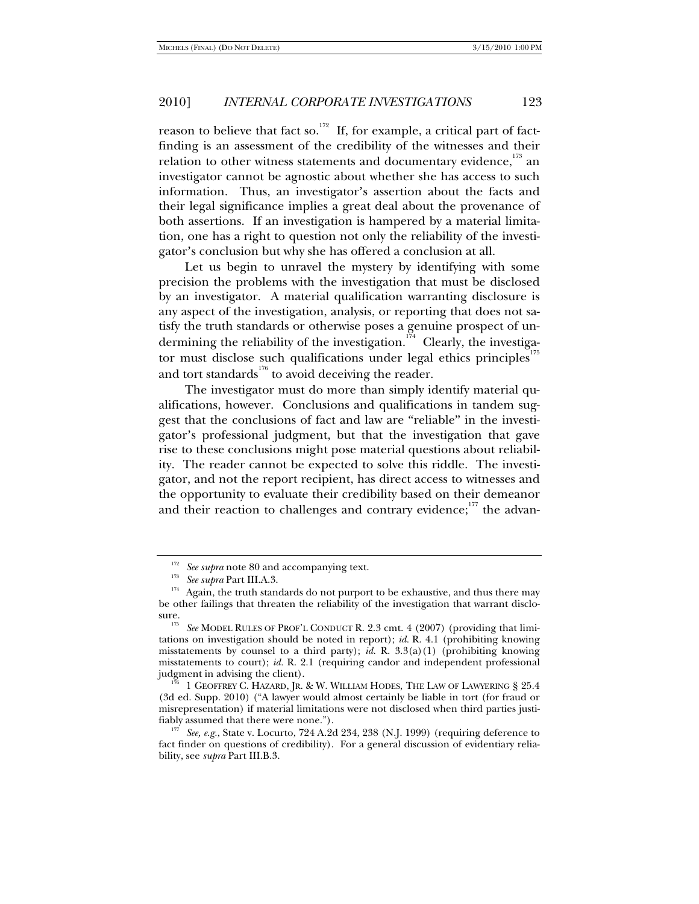reason to believe that fact so.<sup>172</sup> If, for example, a critical part of factfinding is an assessment of the credibility of the witnesses and their relation to other witness statements and documentary evidence,  $^{173}$  an investigator cannot be agnostic about whether she has access to such information. Thus, an investigator's assertion about the facts and their legal significance implies a great deal about the provenance of both assertions. If an investigation is hampered by a material limitation, one has a right to question not only the reliability of the investigator's conclusion but why she has offered a conclusion at all.

Let us begin to unravel the mystery by identifying with some precision the problems with the investigation that must be disclosed by an investigator. A material qualification warranting disclosure is any aspect of the investigation, analysis, or reporting that does not satisfy the truth standards or otherwise poses a genuine prospect of undermining the reliability of the investigation.<sup>174</sup> Clearly, the investigator must disclose such qualifications under legal ethics principles<sup>17</sup> and tort standards<sup>176</sup> to avoid deceiving the reader.

The investigator must do more than simply identify material qualifications, however. Conclusions and qualifications in tandem suggest that the conclusions of fact and law are "reliable" in the investigator's professional judgment, but that the investigation that gave rise to these conclusions might pose material questions about reliability. The reader cannot be expected to solve this riddle. The investigator, and not the report recipient, has direct access to witnesses and the opportunity to evaluate their credibility based on their demeanor and their reaction to challenges and contrary evidence; $177$  the advan-

<sup>&</sup>lt;sup>172</sup> See supra note 80 and accompanying text.<br><sup>173</sup> See supra Part III.A.3.<br><sup>174</sup> Again, the truth standards do not purport to be exhaustive, and thus there may be other failings that threaten the reliability of the investigation that warrant disclo-

sure.<br><sup>175</sup> See MODEL RULES OF PROF'L CONDUCT R. 2.3 cmt. 4 (2007) (providing that limitations on investigation should be noted in report); *id.* R. 4.1 (prohibiting knowing misstatements by counsel to a third party); *id.* R. 3.3(a)(1) (prohibiting knowing misstatements to court); *id.* R. 2.1 (requiring candor and independent professional judgment in advising the client). 176 1 GEOFFREY C. HAZARD, JR. & W. WILLIAM HODES, THE LAW OF LAWYERING § 25.4

<sup>(3</sup>d ed. Supp. 2010) ("A lawyer would almost certainly be liable in tort (for fraud or misrepresentation) if material limitations were not disclosed when third parties justi-

<sup>&</sup>lt;sup>177</sup> See, e.g., State v. Locurto, 724 A.2d 234, 238 (N.J. 1999) (requiring deference to fact finder on questions of credibility). For a general discussion of evidentiary reliability, see *supra* Part III.B.3.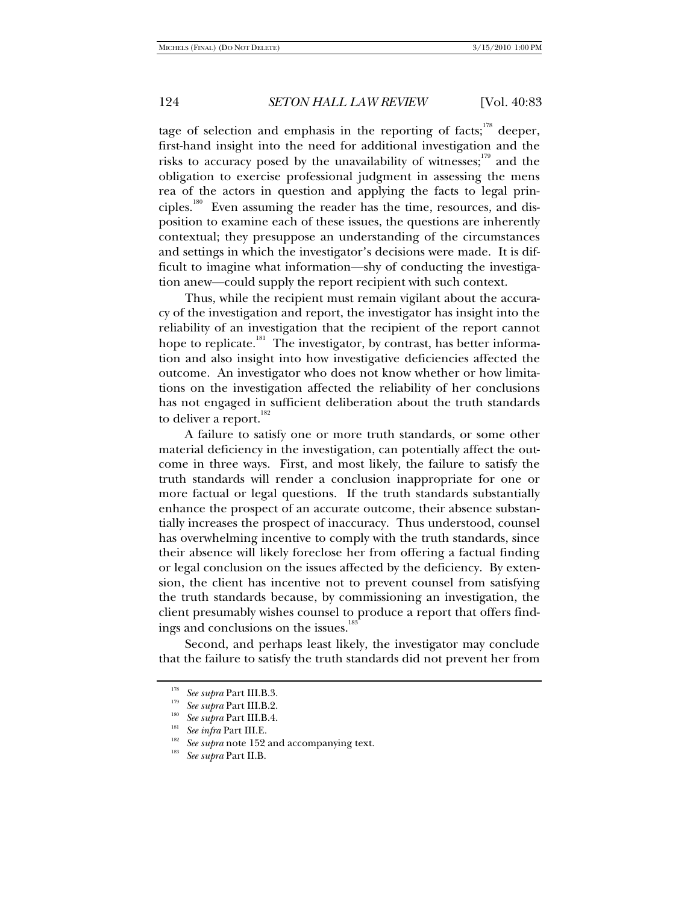tage of selection and emphasis in the reporting of facts;<sup>178</sup> deeper, first-hand insight into the need for additional investigation and the risks to accuracy posed by the unavailability of witnesses; $179$  and the obligation to exercise professional judgment in assessing the mens rea of the actors in question and applying the facts to legal principles.<sup>180</sup> Even assuming the reader has the time, resources, and disposition to examine each of these issues, the questions are inherently contextual; they presuppose an understanding of the circumstances and settings in which the investigator's decisions were made. It is difficult to imagine what information—shy of conducting the investigation anew—could supply the report recipient with such context.

Thus, while the recipient must remain vigilant about the accuracy of the investigation and report, the investigator has insight into the reliability of an investigation that the recipient of the report cannot hope to replicate.<sup>181</sup> The investigator, by contrast, has better information and also insight into how investigative deficiencies affected the outcome. An investigator who does not know whether or how limitations on the investigation affected the reliability of her conclusions has not engaged in sufficient deliberation about the truth standards to deliver a report.<sup>182</sup>

A failure to satisfy one or more truth standards, or some other material deficiency in the investigation, can potentially affect the outcome in three ways. First, and most likely, the failure to satisfy the truth standards will render a conclusion inappropriate for one or more factual or legal questions. If the truth standards substantially enhance the prospect of an accurate outcome, their absence substantially increases the prospect of inaccuracy. Thus understood, counsel has overwhelming incentive to comply with the truth standards, since their absence will likely foreclose her from offering a factual finding or legal conclusion on the issues affected by the deficiency. By extension, the client has incentive not to prevent counsel from satisfying the truth standards because, by commissioning an investigation, the client presumably wishes counsel to produce a report that offers findings and conclusions on the issues.<sup>183</sup>

Second, and perhaps least likely, the investigator may conclude that the failure to satisfy the truth standards did not prevent her from

<sup>&</sup>lt;sup>178</sup> See supra Part III.B.3.<br><sup>179</sup> See supra Part III.B.4.<br><sup>181</sup> See infra Part III.E.<br><sup>181</sup> See supra note 152 and accompanying text.<br><sup>183</sup> See supra Part II.B.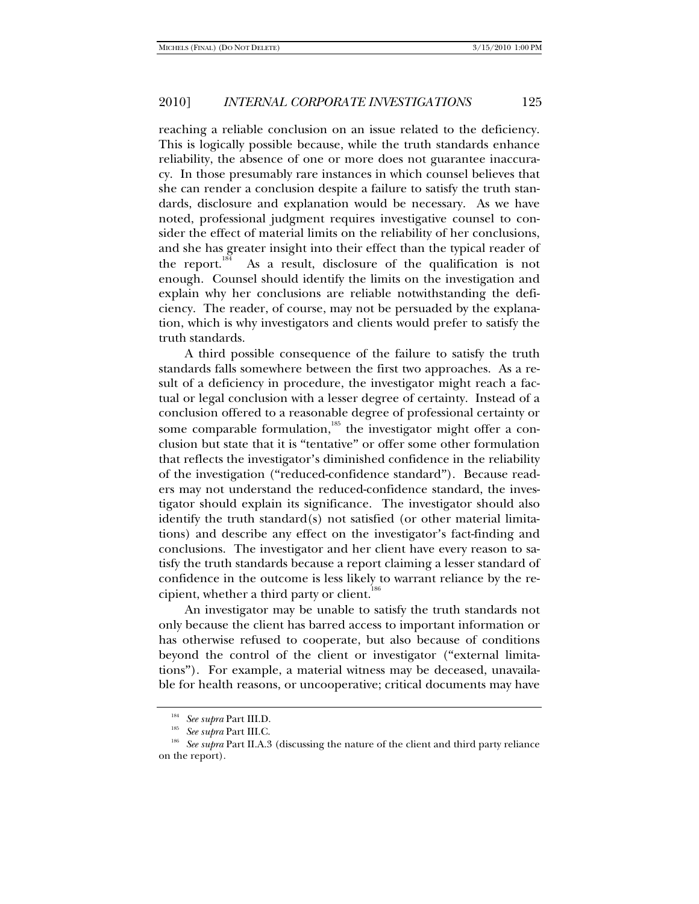reaching a reliable conclusion on an issue related to the deficiency. This is logically possible because, while the truth standards enhance reliability, the absence of one or more does not guarantee inaccuracy. In those presumably rare instances in which counsel believes that she can render a conclusion despite a failure to satisfy the truth standards, disclosure and explanation would be necessary. As we have noted, professional judgment requires investigative counsel to consider the effect of material limits on the reliability of her conclusions, and she has greater insight into their effect than the typical reader of the report.<sup>184</sup> As a result, disclosure of the qualification is not enough. Counsel should identify the limits on the investigation and explain why her conclusions are reliable notwithstanding the deficiency. The reader, of course, may not be persuaded by the explanation, which is why investigators and clients would prefer to satisfy the truth standards.

A third possible consequence of the failure to satisfy the truth standards falls somewhere between the first two approaches. As a result of a deficiency in procedure, the investigator might reach a factual or legal conclusion with a lesser degree of certainty. Instead of a conclusion offered to a reasonable degree of professional certainty or some comparable formulation, $185$  the investigator might offer a conclusion but state that it is "tentative" or offer some other formulation that reflects the investigator's diminished confidence in the reliability of the investigation ("reduced-confidence standard"). Because readers may not understand the reduced-confidence standard, the investigator should explain its significance. The investigator should also identify the truth standard(s) not satisfied (or other material limitations) and describe any effect on the investigator's fact-finding and conclusions. The investigator and her client have every reason to satisfy the truth standards because a report claiming a lesser standard of confidence in the outcome is less likely to warrant reliance by the recipient, whether a third party or client.<sup>186</sup>

An investigator may be unable to satisfy the truth standards not only because the client has barred access to important information or has otherwise refused to cooperate, but also because of conditions beyond the control of the client or investigator ("external limitations"). For example, a material witness may be deceased, unavailable for health reasons, or uncooperative; critical documents may have

<sup>&</sup>lt;sup>185</sup> See supra Part III.D.<br><sup>185</sup> See supra Part III.C.<br><sup>186</sup> See supra Part II.A.3 (discussing the nature of the client and third party reliance on the report).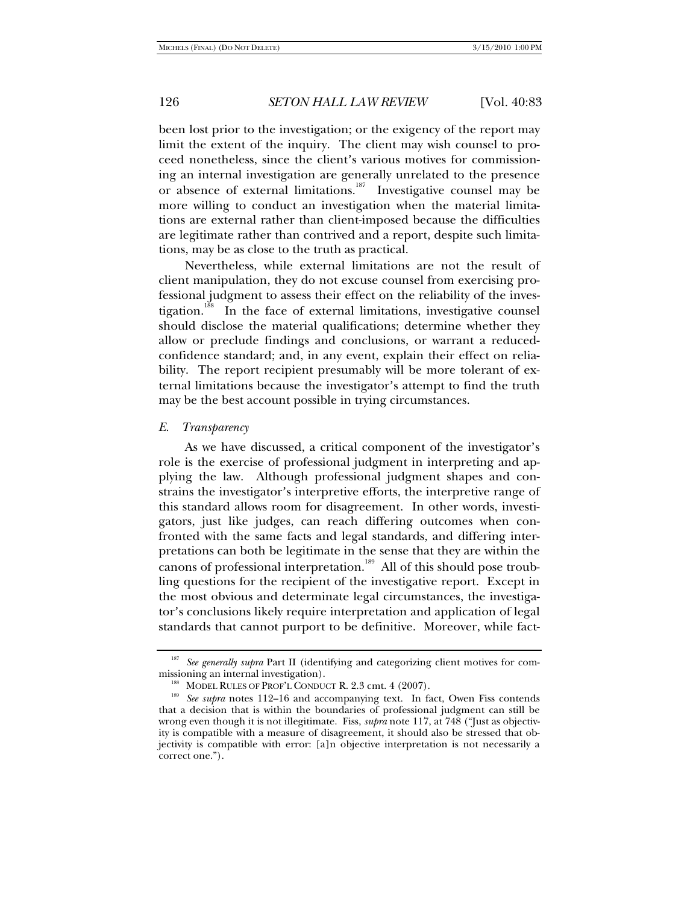been lost prior to the investigation; or the exigency of the report may limit the extent of the inquiry. The client may wish counsel to proceed nonetheless, since the client's various motives for commissioning an internal investigation are generally unrelated to the presence or absence of external limitations.<sup>187</sup> Investigative counsel may be more willing to conduct an investigation when the material limitations are external rather than client-imposed because the difficulties are legitimate rather than contrived and a report, despite such limitations, may be as close to the truth as practical.

Nevertheless, while external limitations are not the result of client manipulation, they do not excuse counsel from exercising professional judgment to assess their effect on the reliability of the investigation.<sup>188</sup> In the face of external limitations, investigative counsel should disclose the material qualifications; determine whether they allow or preclude findings and conclusions, or warrant a reducedconfidence standard; and, in any event, explain their effect on reliability. The report recipient presumably will be more tolerant of external limitations because the investigator's attempt to find the truth may be the best account possible in trying circumstances.

#### *E. Transparency*

As we have discussed, a critical component of the investigator's role is the exercise of professional judgment in interpreting and applying the law. Although professional judgment shapes and constrains the investigator's interpretive efforts, the interpretive range of this standard allows room for disagreement. In other words, investigators, just like judges, can reach differing outcomes when confronted with the same facts and legal standards, and differing interpretations can both be legitimate in the sense that they are within the canons of professional interpretation.<sup>189</sup> All of this should pose troubling questions for the recipient of the investigative report. Except in the most obvious and determinate legal circumstances, the investigator's conclusions likely require interpretation and application of legal standards that cannot purport to be definitive. Moreover, while fact-

<sup>&</sup>lt;sup>187</sup> See generally supra Part II (identifying and categorizing client motives for com-

missioning an internal investigation).<br><sup>188</sup> MODEL RULES OF PROF'L CONDUCT R. 2.3 cmt. 4 (2007).<br><sup>189</sup> *See supra* notes 112–16 and accompanying text. In fact, Owen Fiss contends that a decision that is within the boundaries of professional judgment can still be wrong even though it is not illegitimate. Fiss, *supra* note 117, at 748 ("Just as objectivity is compatible with a measure of disagreement, it should also be stressed that objectivity is compatible with error: [a]n objective interpretation is not necessarily a correct one.").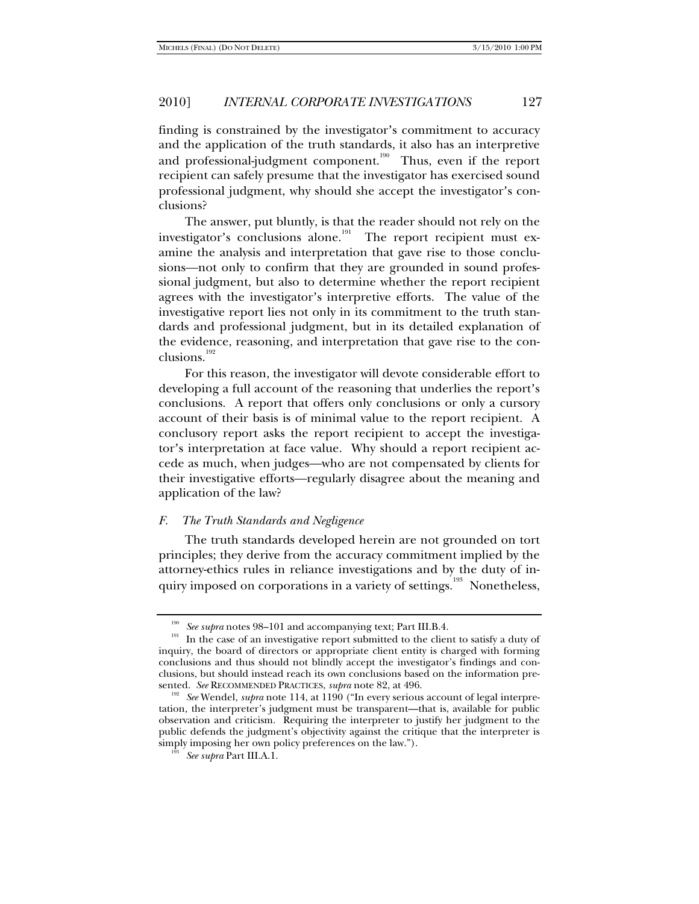finding is constrained by the investigator's commitment to accuracy and the application of the truth standards, it also has an interpretive and professional-judgment component.<sup>190</sup> Thus, even if the report recipient can safely presume that the investigator has exercised sound professional judgment, why should she accept the investigator's conclusions?

The answer, put bluntly, is that the reader should not rely on the investigator's conclusions alone.<sup>191</sup> The report recipient must examine the analysis and interpretation that gave rise to those conclusions—not only to confirm that they are grounded in sound professional judgment, but also to determine whether the report recipient agrees with the investigator's interpretive efforts. The value of the investigative report lies not only in its commitment to the truth standards and professional judgment, but in its detailed explanation of the evidence, reasoning, and interpretation that gave rise to the conclusions.<sup>192</sup>

For this reason, the investigator will devote considerable effort to developing a full account of the reasoning that underlies the report's conclusions. A report that offers only conclusions or only a cursory account of their basis is of minimal value to the report recipient. A conclusory report asks the report recipient to accept the investigator's interpretation at face value. Why should a report recipient accede as much, when judges—who are not compensated by clients for their investigative efforts—regularly disagree about the meaning and application of the law?

#### *F. The Truth Standards and Negligence*

The truth standards developed herein are not grounded on tort principles; they derive from the accuracy commitment implied by the attorney-ethics rules in reliance investigations and by the duty of inquiry imposed on corporations in a variety of settings.<sup>193</sup> Nonetheless,

<sup>&</sup>lt;sup>190</sup> See supra notes 98–101 and accompanying text; Part III.B.4. In the case of an investigative report submitted to the client to satisfy a duty of inquiry, the board of directors or appropriate client entity is charged with forming conclusions and thus should not blindly accept the investigator's findings and conclusions, but should instead reach its own conclusions based on the information pre-<br>sented. See RECOMMENDED PRACTICES, supra note 82, at 496.

<sup>&</sup>lt;sup>192</sup> See Wendel, *supra* note 114, at 1190 ("In every serious account of legal interpretation, the interpreter's judgment must be transparent—that is, available for public observation and criticism. Requiring the interpreter to justify her judgment to the public defends the judgment's objectivity against the critique that the interpreter is simply imposing her own policy preferences on the law."). 193 *See supra* Part III.A.1.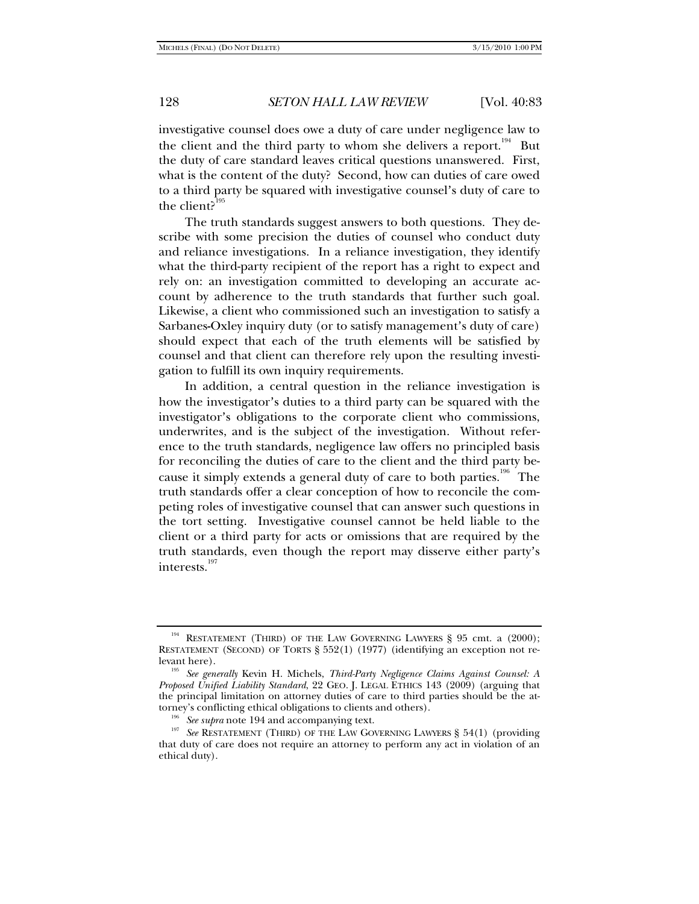investigative counsel does owe a duty of care under negligence law to the client and the third party to whom she delivers a report.<sup>194</sup> But the duty of care standard leaves critical questions unanswered. First, what is the content of the duty? Second, how can duties of care owed to a third party be squared with investigative counsel's duty of care to the client?<sup>195</sup>

The truth standards suggest answers to both questions. They describe with some precision the duties of counsel who conduct duty and reliance investigations. In a reliance investigation, they identify what the third-party recipient of the report has a right to expect and rely on: an investigation committed to developing an accurate account by adherence to the truth standards that further such goal. Likewise, a client who commissioned such an investigation to satisfy a Sarbanes**-**Oxley inquiry duty (or to satisfy management's duty of care) should expect that each of the truth elements will be satisfied by counsel and that client can therefore rely upon the resulting investigation to fulfill its own inquiry requirements.

In addition, a central question in the reliance investigation is how the investigator's duties to a third party can be squared with the investigator's obligations to the corporate client who commissions, underwrites, and is the subject of the investigation. Without reference to the truth standards, negligence law offers no principled basis for reconciling the duties of care to the client and the third party because it simply extends a general duty of care to both parties.<sup>196</sup> The truth standards offer a clear conception of how to reconcile the competing roles of investigative counsel that can answer such questions in the tort setting. Investigative counsel cannot be held liable to the client or a third party for acts or omissions that are required by the truth standards, even though the report may disserve either party's interests.<sup>197</sup>

<sup>&</sup>lt;sup>194</sup> RESTATEMENT (THIRD) OF THE LAW GOVERNING LAWYERS § 95 cmt. a (2000); RESTATEMENT (SECOND) OF TORTS § 552(1) (1977) (identifying an exception not relevant here). 195 *See generally* Kevin H. Michels, *Third-Party Negligence Claims Against Counsel: A* 

*Proposed Unified Liability Standard*, 22 GEO. J. LEGAL ETHICS 143 (2009) (arguing that the principal limitation on attorney duties of care to third parties should be the attorney's conflicting ethical obligations to clients and others).

<sup>&</sup>lt;sup>196</sup> See supra note 194 and accompanying text.<br><sup>197</sup> See RESTATEMENT (THIRD) OF THE LAW GOVERNING LAWYERS § 54(1) (providing that duty of care does not require an attorney to perform any act in violation of an ethical duty).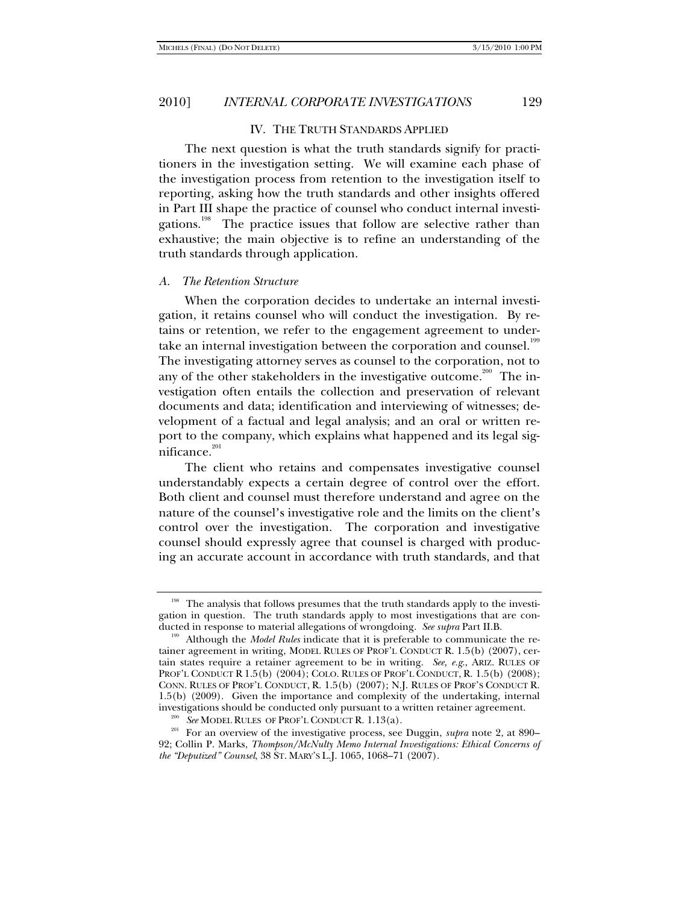#### IV. THE TRUTH STANDARDS APPLIED

The next question is what the truth standards signify for practitioners in the investigation setting. We will examine each phase of the investigation process from retention to the investigation itself to reporting, asking how the truth standards and other insights offered in Part III shape the practice of counsel who conduct internal investigations.<sup>198</sup> The practice issues that follow are selective rather than exhaustive; the main objective is to refine an understanding of the truth standards through application.

#### *A. The Retention Structure*

When the corporation decides to undertake an internal investigation, it retains counsel who will conduct the investigation. By retains or retention, we refer to the engagement agreement to undertake an internal investigation between the corporation and counsel.<sup>199</sup> The investigating attorney serves as counsel to the corporation, not to any of the other stakeholders in the investigative outcome.<sup>200</sup> The investigation often entails the collection and preservation of relevant documents and data; identification and interviewing of witnesses; development of a factual and legal analysis; and an oral or written report to the company, which explains what happened and its legal significance.<sup>201</sup>

The client who retains and compensates investigative counsel understandably expects a certain degree of control over the effort. Both client and counsel must therefore understand and agree on the nature of the counsel's investigative role and the limits on the client's control over the investigation. The corporation and investigative counsel should expressly agree that counsel is charged with producing an accurate account in accordance with truth standards, and that

<sup>&</sup>lt;sup>198</sup> The analysis that follows presumes that the truth standards apply to the investigation in question. The truth standards apply to most investigations that are con-<br>ducted in response to material allegations of wrongdoing. See supra Part II.B.

<sup>&</sup>lt;sup>199</sup> Although the *Model Rules* indicate that it is preferable to communicate the retainer agreement in writing, MODEL RULES OF PROF'L CONDUCT R. 1.5(b) (2007), certain states require a retainer agreement to be in writing. *See, e.g*., ARIZ. RULES OF PROF'L CONDUCT R 1.5(b) (2004); COLO. RULES OF PROF'L CONDUCT, R. 1.5(b) (2008); CONN. RULES OF PROF'L CONDUCT, R. 1.5(b) (2007); N.J. RULES OF PROF'S CONDUCT R.  $1.5(b)$  (2009). Given the importance and complexity of the undertaking, internal investigations should be conducted only pursuant to a written retainer agreement.

<sup>&</sup>lt;sup>200</sup> See MODEL RULES OF PROF'L CONDUCT R. 1.13(a).<br><sup>201</sup> For an overview of the investigative process, see Duggin, *supra* note 2, at 890– 92; Collin P. Marks, *Thompson/McNulty Memo Internal Investigations: Ethical Concerns of the "Deputized" Counsel*, 38 ST. MARY'S L.J. 1065, 1068–71 (2007).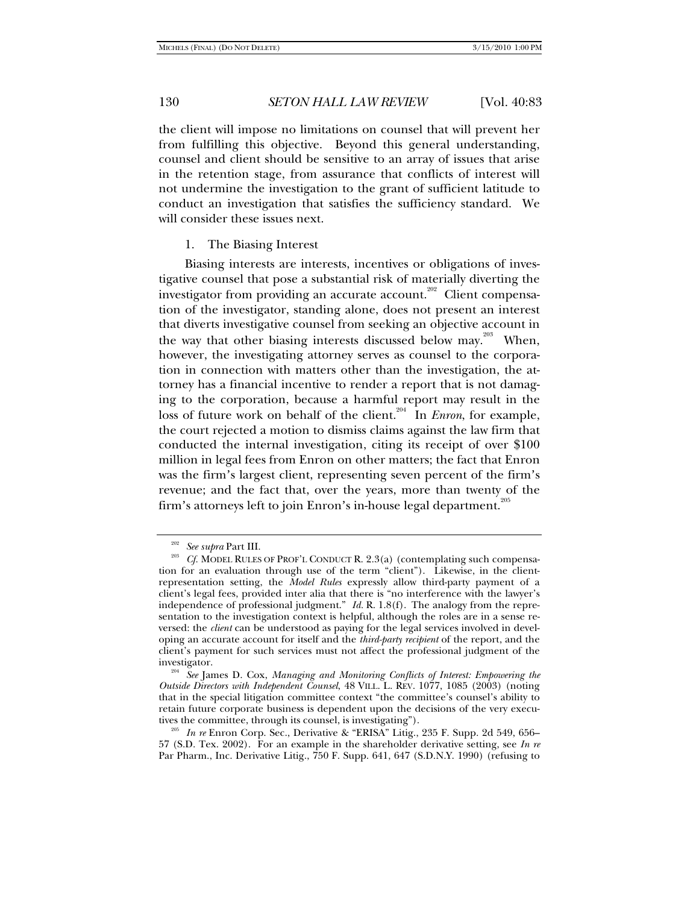the client will impose no limitations on counsel that will prevent her from fulfilling this objective. Beyond this general understanding, counsel and client should be sensitive to an array of issues that arise in the retention stage, from assurance that conflicts of interest will not undermine the investigation to the grant of sufficient latitude to conduct an investigation that satisfies the sufficiency standard. We will consider these issues next.

#### 1. The Biasing Interest

Biasing interests are interests, incentives or obligations of investigative counsel that pose a substantial risk of materially diverting the investigator from providing an accurate account.<sup>202</sup> Client compensation of the investigator, standing alone, does not present an interest that diverts investigative counsel from seeking an objective account in the way that other biasing interests discussed below may.<sup>203</sup> When, however, the investigating attorney serves as counsel to the corporation in connection with matters other than the investigation, the attorney has a financial incentive to render a report that is not damaging to the corporation, because a harmful report may result in the loss of future work on behalf of the client.<sup>204</sup> In *Enron*, for example, the court rejected a motion to dismiss claims against the law firm that conducted the internal investigation, citing its receipt of over \$100 million in legal fees from Enron on other matters; the fact that Enron was the firm's largest client, representing seven percent of the firm's revenue; and the fact that, over the years, more than twenty of the firm's attorneys left to join Enron's in-house legal department.<sup>205</sup>

<sup>&</sup>lt;sup>202</sup> See supra Part III.<br><sup>203</sup> Cf. MODEL RULES OF PROF'L CONDUCT R. 2.3(a) (contemplating such compensation for an evaluation through use of the term "client"). Likewise, in the clientrepresentation setting, the *Model Rules* expressly allow third-party payment of a client's legal fees, provided inter alia that there is "no interference with the lawyer's independence of professional judgment." *Id.* R. 1.8(f). The analogy from the representation to the investigation context is helpful, although the roles are in a sense reversed: the *client* can be understood as paying for the legal services involved in developing an accurate account for itself and the *third-party recipient* of the report, and the client's payment for such services must not affect the professional judgment of the

investigator. 204 *See* James D. Cox, *Managing and Monitoring Conflicts of Interest: Empowering the Outside Directors with Independent Counsel*, 48 VILL. L. REV. 1077, 1085 (2003) (noting that in the special litigation committee context "the committee's counsel's ability to retain future corporate business is dependent upon the decisions of the very execu-<br>tives the committee, through its counsel, is investigating").

<sup>&</sup>lt;sup>205</sup> In re Enron Corp. Sec., Derivative & "ERISA" Litig., 235 F. Supp. 2d 549, 656– 57 (S.D. Tex. 2002). For an example in the shareholder derivative setting, see *In re* Par Pharm., Inc. Derivative Litig., 750 F. Supp. 641, 647 (S.D.N.Y. 1990) (refusing to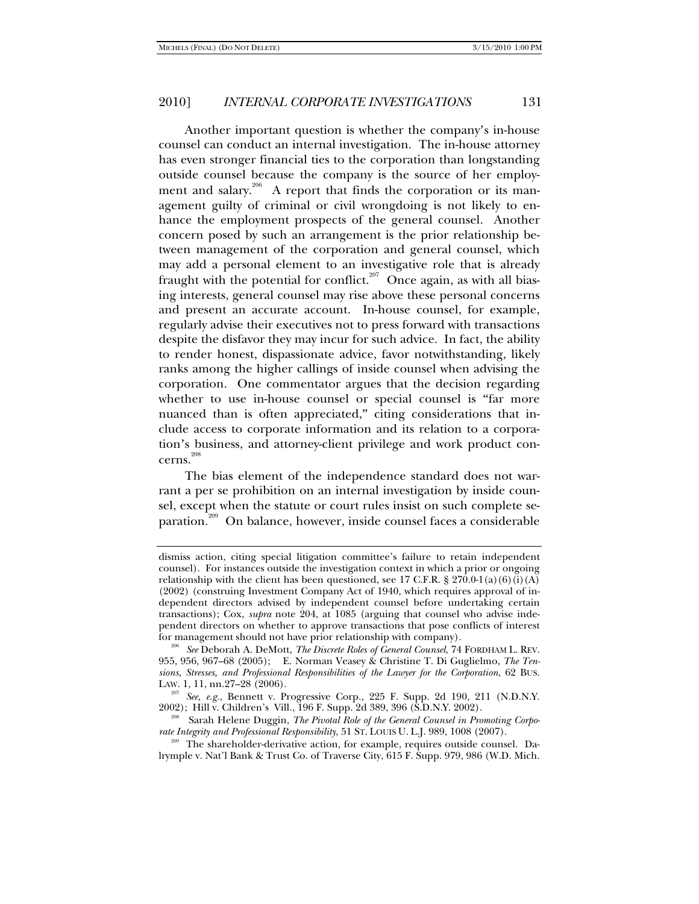Another important question is whether the company's in-house counsel can conduct an internal investigation. The in-house attorney has even stronger financial ties to the corporation than longstanding outside counsel because the company is the source of her employment and salary.<sup>206</sup> A report that finds the corporation or its management guilty of criminal or civil wrongdoing is not likely to enhance the employment prospects of the general counsel. Another concern posed by such an arrangement is the prior relationship between management of the corporation and general counsel, which may add a personal element to an investigative role that is already fraught with the potential for conflict.<sup>207</sup> Once again, as with all biasing interests, general counsel may rise above these personal concerns and present an accurate account. In-house counsel, for example, regularly advise their executives not to press forward with transactions despite the disfavor they may incur for such advice. In fact, the ability to render honest, dispassionate advice, favor notwithstanding, likely ranks among the higher callings of inside counsel when advising the corporation. One commentator argues that the decision regarding whether to use in-house counsel or special counsel is "far more nuanced than is often appreciated," citing considerations that include access to corporate information and its relation to a corporation's business, and attorney-client privilege and work product concerns.<sup>208</sup>

The bias element of the independence standard does not warrant a per se prohibition on an internal investigation by inside counsel, except when the statute or court rules insist on such complete separation.<sup>209</sup> On balance, however, inside counsel faces a considerable

dismiss action, citing special litigation committee's failure to retain independent counsel). For instances outside the investigation context in which a prior or ongoing relationship with the client has been questioned, see 17 C.F.R. § 270.0-1(a)(6)(i)(A) (2002) (construing Investment Company Act of 1940, which requires approval of independent directors advised by independent counsel before undertaking certain transactions); Cox, *supra* note 204, at 1085 (arguing that counsel who advise independent directors on whether to approve transactions that pose conflicts of interest

for management should not have prior relationship with company). 206 *See* Deborah A. DeMott, *The Discrete Roles of General Counsel*, 74 FORDHAM L. REV. 955, 956, 967–68 (2005); E. Norman Veasey & Christine T. Di Guglielmo, *The Tensions, Stresses, and Professional Responsibilities of the Lawyer for the Corporation*, 62 BUS. LAW. 1, 11, nn.27–28 (2006).

<sup>&</sup>lt;sup>207</sup> See, e.g., Bennett v. Progressive Corp., 225 F. Supp. 2d 190, 211 (N.D.N.Y. 2002); Hill v. Children's Vill., 196 F. Supp. 2d 389, 396 (S.D.N.Y. 2002).

<sup>&</sup>lt;sup>208</sup> Sarah Helene Duggin, *The Pivotal Role of the General Counsel in Promoting Corpo-*<br> *rate Integrity and Professional Responsibility*, 51 ST. LOUIS U. L.J. 989, 1008 (2007).

<sup>&</sup>lt;sup>209</sup> The shareholder-derivative action, for example, requires outside counsel. Dalrymple v. Nat'l Bank & Trust Co. of Traverse City, 615 F. Supp. 979, 986 (W.D. Mich.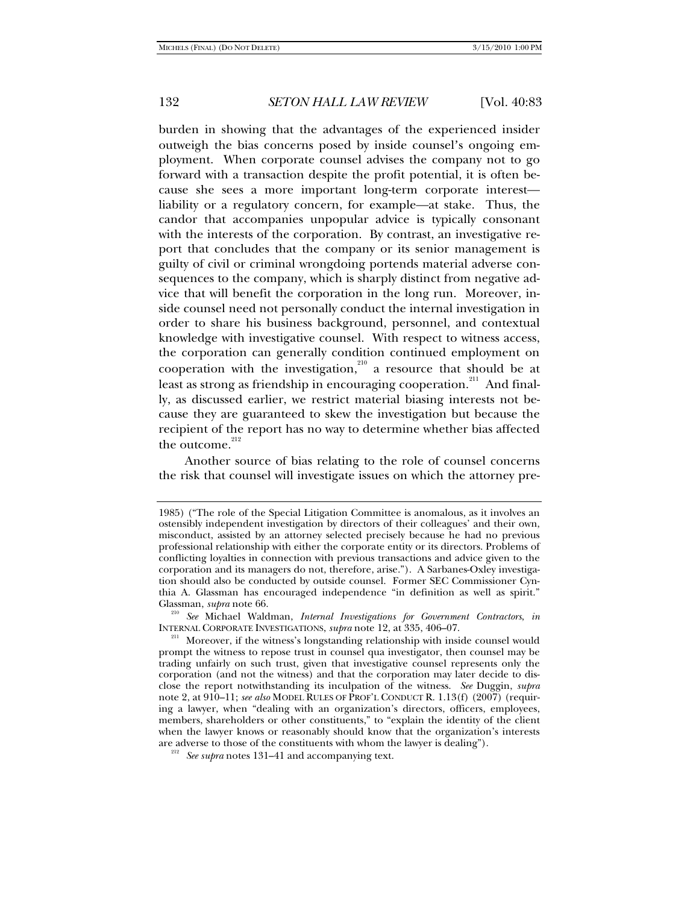burden in showing that the advantages of the experienced insider outweigh the bias concerns posed by inside counsel's ongoing employment. When corporate counsel advises the company not to go forward with a transaction despite the profit potential, it is often because she sees a more important long-term corporate interest liability or a regulatory concern, for example—at stake. Thus, the candor that accompanies unpopular advice is typically consonant with the interests of the corporation. By contrast, an investigative report that concludes that the company or its senior management is guilty of civil or criminal wrongdoing portends material adverse consequences to the company, which is sharply distinct from negative advice that will benefit the corporation in the long run. Moreover, inside counsel need not personally conduct the internal investigation in order to share his business background, personnel, and contextual knowledge with investigative counsel. With respect to witness access, the corporation can generally condition continued employment on cooperation with the investigation,<sup>210</sup> a resource that should be at least as strong as friendship in encouraging cooperation.<sup>211</sup> And finally, as discussed earlier, we restrict material biasing interests not because they are guaranteed to skew the investigation but because the recipient of the report has no way to determine whether bias affected the outcome. $212$ 

Another source of bias relating to the role of counsel concerns the risk that counsel will investigate issues on which the attorney pre-

<sup>1985) (&</sup>quot;The role of the Special Litigation Committee is anomalous, as it involves an ostensibly independent investigation by directors of their colleagues' and their own, misconduct, assisted by an attorney selected precisely because he had no previous professional relationship with either the corporate entity or its directors. Problems of conflicting loyalties in connection with previous transactions and advice given to the corporation and its managers do not, therefore, arise."). A Sarbanes-Oxley investigation should also be conducted by outside counsel. Former SEC Commissioner Cynthia A. Glassman has encouraged independence "in definition as well as spirit."

Glassman, *supra* note 66.<br><sup>210</sup> See Michael Waldman, *Internal Investigations for Government Contractors*, *in*<br>INTERNAL CORPORATE INVESTIGATIONS, *supra* note 12, at 335, 406–07.

<sup>&</sup>lt;sup>211</sup> Moreover, if the witness's longstanding relationship with inside counsel would prompt the witness to repose trust in counsel qua investigator, then counsel may be trading unfairly on such trust, given that investigative counsel represents only the corporation (and not the witness) and that the corporation may later decide to disclose the report notwithstanding its inculpation of the witness. *See* Duggin, *supra* note 2, at 910–11; *see also* MODEL RULES OF PROF'L CONDUCT R. 1.13(f) (2007) (requiring a lawyer, when "dealing with an organization's directors, officers, employees, members, shareholders or other constituents," to "explain the identity of the client when the lawyer knows or reasonably should know that the organization's interests are adverse to those of the constituents with whom the lawyer is dealing"). <sup>212</sup> See supra notes 131–41 and accompanying text.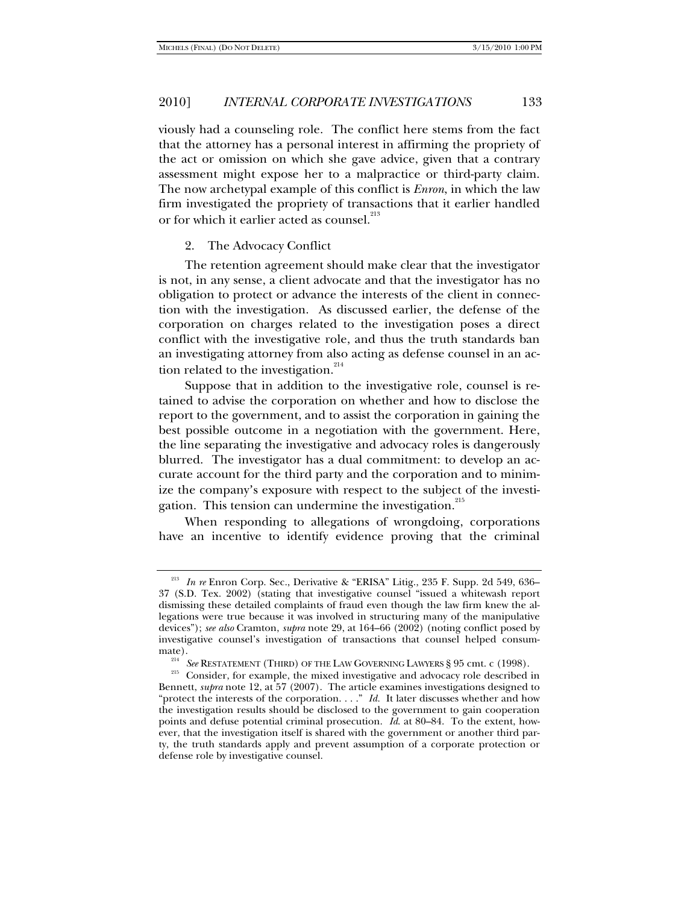viously had a counseling role. The conflict here stems from the fact that the attorney has a personal interest in affirming the propriety of the act or omission on which she gave advice, given that a contrary assessment might expose her to a malpractice or third-party claim. The now archetypal example of this conflict is *Enron*, in which the law firm investigated the propriety of transactions that it earlier handled or for which it earlier acted as counsel. $^{^{213}}$ 

#### 2. The Advocacy Conflict

The retention agreement should make clear that the investigator is not, in any sense, a client advocate and that the investigator has no obligation to protect or advance the interests of the client in connection with the investigation. As discussed earlier, the defense of the corporation on charges related to the investigation poses a direct conflict with the investigative role, and thus the truth standards ban an investigating attorney from also acting as defense counsel in an action related to the investigation. $214$ 

Suppose that in addition to the investigative role, counsel is retained to advise the corporation on whether and how to disclose the report to the government, and to assist the corporation in gaining the best possible outcome in a negotiation with the government. Here, the line separating the investigative and advocacy roles is dangerously blurred. The investigator has a dual commitment: to develop an accurate account for the third party and the corporation and to minimize the company's exposure with respect to the subject of the investigation. This tension can undermine the investigation.<sup>215</sup>

When responding to allegations of wrongdoing, corporations have an incentive to identify evidence proving that the criminal

<sup>213</sup> *In re* Enron Corp. Sec., Derivative & "ERISA" Litig., 235 F. Supp. 2d 549, 636– 37 (S.D. Tex. 2002) (stating that investigative counsel "issued a whitewash report dismissing these detailed complaints of fraud even though the law firm knew the allegations were true because it was involved in structuring many of the manipulative devices"); *see also* Cramton, *supra* note 29, at 164–66 (2002) (noting conflict posed by investigative counsel's investigation of transactions that counsel helped consum-

<sup>&</sup>lt;sup>214</sup> See RESTATEMENT (THIRD) OF THE LAW GOVERNING LAWYERS § 95 cmt. c (1998).<br><sup>215</sup> Consider, for example, the mixed investigative and advocacy role described in Bennett, *supra* note 12, at 57 (2007). The article examines investigations designed to "protect the interests of the corporation. . . ." *Id.* It later discusses whether and how the investigation results should be disclosed to the government to gain cooperation points and defuse potential criminal prosecution. *Id*. at 80–84. To the extent, however, that the investigation itself is shared with the government or another third party, the truth standards apply and prevent assumption of a corporate protection or defense role by investigative counsel.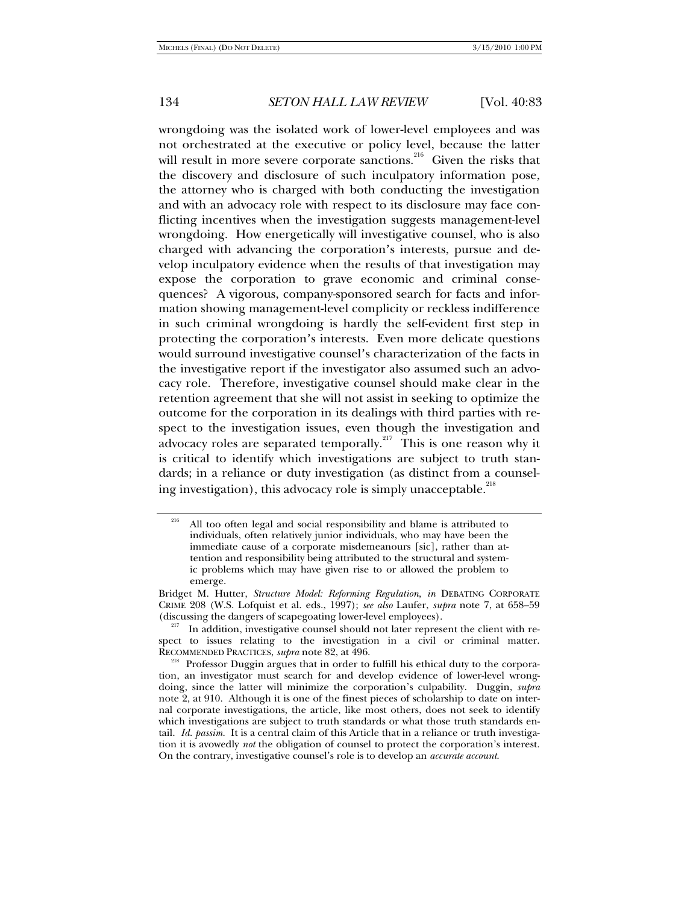wrongdoing was the isolated work of lower-level employees and was not orchestrated at the executive or policy level, because the latter will result in more severe corporate sanctions.<sup>216</sup> Given the risks that the discovery and disclosure of such inculpatory information pose, the attorney who is charged with both conducting the investigation and with an advocacy role with respect to its disclosure may face conflicting incentives when the investigation suggests management-level wrongdoing. How energetically will investigative counsel, who is also charged with advancing the corporation's interests, pursue and develop inculpatory evidence when the results of that investigation may expose the corporation to grave economic and criminal consequences? A vigorous, company-sponsored search for facts and information showing management-level complicity or reckless indifference in such criminal wrongdoing is hardly the self-evident first step in protecting the corporation's interests. Even more delicate questions would surround investigative counsel's characterization of the facts in the investigative report if the investigator also assumed such an advocacy role. Therefore, investigative counsel should make clear in the retention agreement that she will not assist in seeking to optimize the outcome for the corporation in its dealings with third parties with respect to the investigation issues, even though the investigation and advocacy roles are separated temporally.<sup>217</sup> This is one reason why it is critical to identify which investigations are subject to truth standards; in a reliance or duty investigation (as distinct from a counseling investigation), this advocacy role is simply unacceptable.<sup>218</sup>

All too often legal and social responsibility and blame is attributed to individuals, often relatively junior individuals, who may have been the immediate cause of a corporate misdemeanours [sic], rather than attention and responsibility being attributed to the structural and systemic problems which may have given rise to or allowed the problem to emerge.

Bridget M. Hutter, *Structure Model: Reforming Regulation*, *in* DEBATING CORPORATE CRIME 208 (W.S. Lofquist et al. eds., 1997); *see also* Laufer, *supra* note 7, at 658–59 (discussing the dangers of scapegoating lower-level employees).<br><sup>217</sup> In addition, investigative counsel should not later represent the client with re-

spect to issues relating to the investigation in a civil or criminal matter.<br>RECOMMENDED PRACTICES, *supra* note 82, at 496.

<sup>&</sup>lt;sup>218</sup> Professor Duggin argues that in order to fulfill his ethical duty to the corporation, an investigator must search for and develop evidence of lower-level wrongdoing, since the latter will minimize the corporation's culpability. Duggin, *supra* note 2, at 910. Although it is one of the finest pieces of scholarship to date on internal corporate investigations, the article, like most others, does not seek to identify which investigations are subject to truth standards or what those truth standards entail. *Id. passim.* It is a central claim of this Article that in a reliance or truth investigation it is avowedly *not* the obligation of counsel to protect the corporation's interest. On the contrary, investigative counsel's role is to develop an *accurate account*.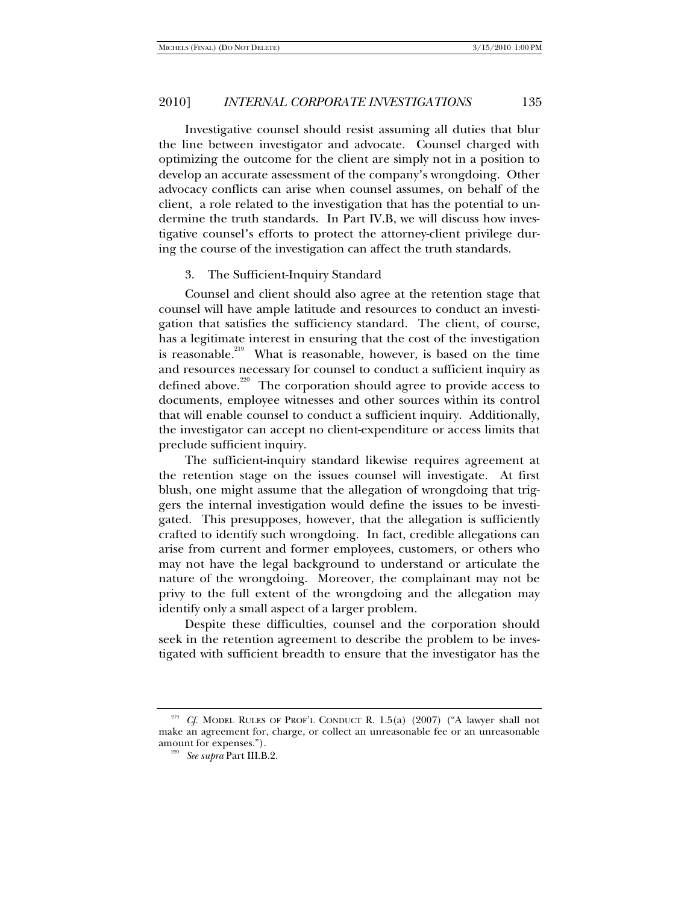Investigative counsel should resist assuming all duties that blur the line between investigator and advocate. Counsel charged with optimizing the outcome for the client are simply not in a position to develop an accurate assessment of the company's wrongdoing. Other advocacy conflicts can arise when counsel assumes, on behalf of the client, a role related to the investigation that has the potential to undermine the truth standards. In Part IV.B, we will discuss how investigative counsel's efforts to protect the attorney-client privilege during the course of the investigation can affect the truth standards.

#### 3. The Sufficient-Inquiry Standard

Counsel and client should also agree at the retention stage that counsel will have ample latitude and resources to conduct an investigation that satisfies the sufficiency standard. The client, of course, has a legitimate interest in ensuring that the cost of the investigation is reasonable.<sup>219</sup> What is reasonable, however, is based on the time and resources necessary for counsel to conduct a sufficient inquiry as defined above.<sup>220</sup> The corporation should agree to provide access to documents, employee witnesses and other sources within its control that will enable counsel to conduct a sufficient inquiry. Additionally, the investigator can accept no client-expenditure or access limits that preclude sufficient inquiry.

The sufficient**-**inquiry standard likewise requires agreement at the retention stage on the issues counsel will investigate. At first blush, one might assume that the allegation of wrongdoing that triggers the internal investigation would define the issues to be investigated. This presupposes, however, that the allegation is sufficiently crafted to identify such wrongdoing. In fact, credible allegations can arise from current and former employees, customers, or others who may not have the legal background to understand or articulate the nature of the wrongdoing. Moreover, the complainant may not be privy to the full extent of the wrongdoing and the allegation may identify only a small aspect of a larger problem.

Despite these difficulties, counsel and the corporation should seek in the retention agreement to describe the problem to be investigated with sufficient breadth to ensure that the investigator has the

<sup>219</sup> *Cf.* MODEL RULES OF PROF'L CONDUCT R. 1.5(a) (2007) ("A lawyer shall not make an agreement for, charge, or collect an unreasonable fee or an unreasonable amount for expenses."). 220 *See supra* Part III.B.2.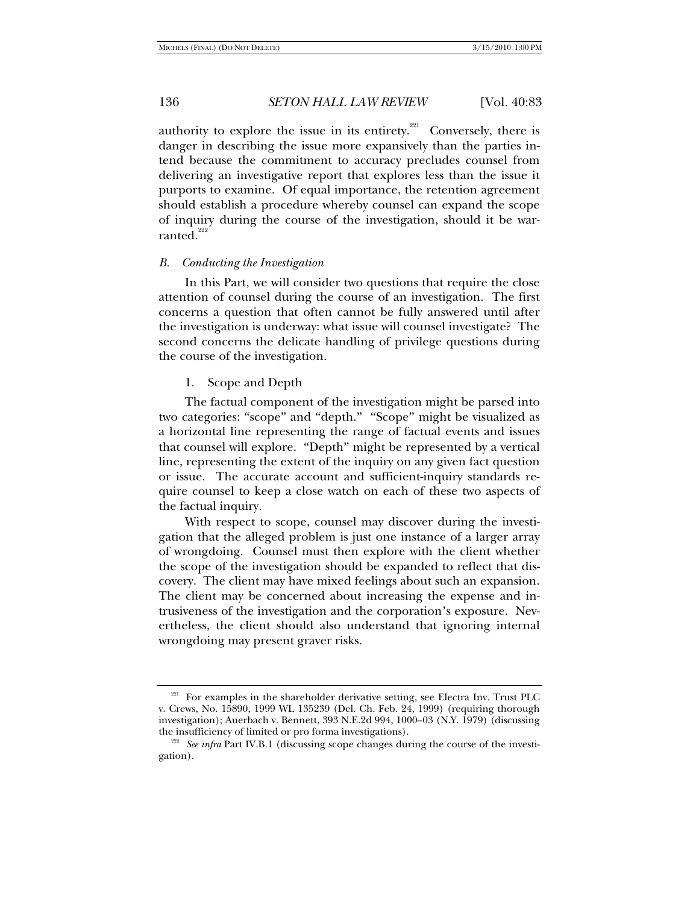authority to explore the issue in its entirety.<sup>221</sup> Conversely, there is danger in describing the issue more expansively than the parties intend because the commitment to accuracy precludes counsel from delivering an investigative report that explores less than the issue it purports to examine. Of equal importance, the retention agreement should establish a procedure whereby counsel can expand the scope of inquiry during the course of the investigation, should it be warranted. $222$ 

#### *B. Conducting the Investigation*

In this Part, we will consider two questions that require the close attention of counsel during the course of an investigation. The first concerns a question that often cannot be fully answered until after the investigation is underway: what issue will counsel investigate? The second concerns the delicate handling of privilege questions during the course of the investigation.

1. Scope and Depth

The factual component of the investigation might be parsed into two categories: "scope" and "depth." "Scope" might be visualized as a horizontal line representing the range of factual events and issues that counsel will explore. "Depth" might be represented by a vertical line, representing the extent of the inquiry on any given fact question or issue. The accurate account and sufficient-inquiry standards require counsel to keep a close watch on each of these two aspects of the factual inquiry.

With respect to scope, counsel may discover during the investigation that the alleged problem is just one instance of a larger array of wrongdoing. Counsel must then explore with the client whether the scope of the investigation should be expanded to reflect that discovery. The client may have mixed feelings about such an expansion. The client may be concerned about increasing the expense and intrusiveness of the investigation and the corporation's exposure. Nevertheless, the client should also understand that ignoring internal wrongdoing may present graver risks.

<sup>&</sup>lt;sup>221</sup> For examples in the shareholder derivative setting, see Electra Inv. Trust PLC v. Crews, No. 15890, 1999 WL 135239 (Del. Ch. Feb. 24, 1999) (requiring thorough investigation); Auerbach v. Bennett, 393 N.E.2d 994, 1000–03 (N.Y. 1979) (discussing the insufficiency of limited or pro forma investigations). 222 *See infra* Part IV.B.1 (discussing scope changes during the course of the investi-

gation).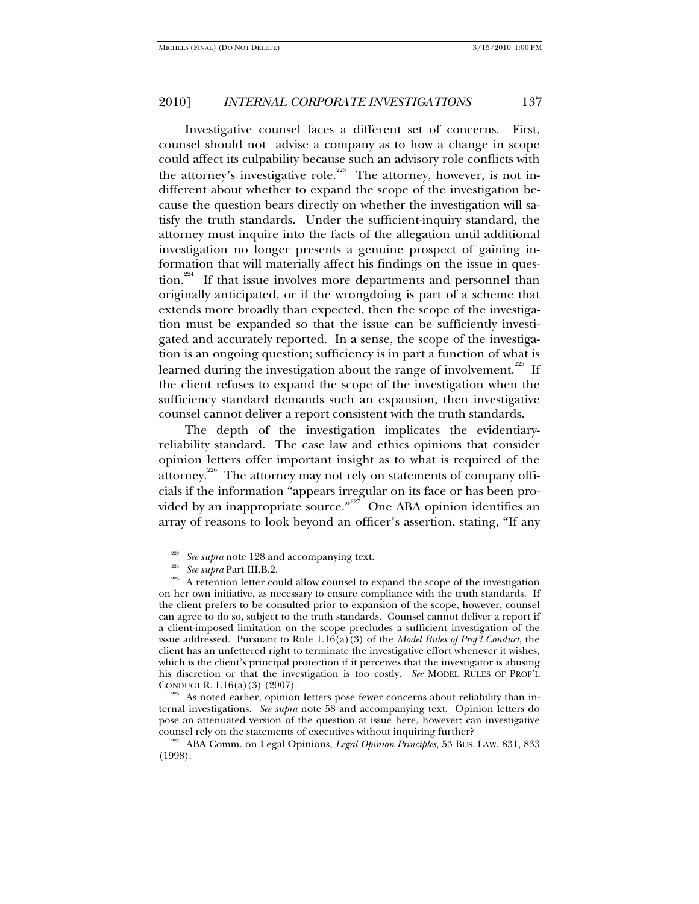Investigative counsel faces a different set of concerns. First, counsel should not advise a company as to how a change in scope could affect its culpability because such an advisory role conflicts with the attorney's investigative role.<sup>223</sup> The attorney, however, is not indifferent about whether to expand the scope of the investigation because the question bears directly on whether the investigation will satisfy the truth standards. Under the sufficient-inquiry standard, the attorney must inquire into the facts of the allegation until additional investigation no longer presents a genuine prospect of gaining information that will materially affect his findings on the issue in question.<sup>224</sup> If that issue involves more departments and personnel than originally anticipated, or if the wrongdoing is part of a scheme that extends more broadly than expected, then the scope of the investigation must be expanded so that the issue can be sufficiently investigated and accurately reported. In a sense, the scope of the investigation is an ongoing question; sufficiency is in part a function of what is learned during the investigation about the range of involvement.<sup>225</sup> If the client refuses to expand the scope of the investigation when the sufficiency standard demands such an expansion, then investigative counsel cannot deliver a report consistent with the truth standards.

The depth of the investigation implicates the evidentiaryreliability standard. The case law and ethics opinions that consider opinion letters offer important insight as to what is required of the attorney.<sup>226</sup> The attorney may not rely on statements of company officials if the information "appears irregular on its face or has been provided by an inappropriate source."<sup>227</sup> One ABA opinion identifies an array of reasons to look beyond an officer's assertion, stating, "If any

 $226$  As noted earlier, opinion letters pose fewer concerns about reliability than internal investigations. *See supra* note 58 and accompanying text. Opinion letters do pose an attenuated version of the question at issue here, however: can investigative counsel rely on the statements of executives without inquiring further? 227 ABA Comm. on Legal Opinions, *Legal Opinion Principles*, 53 BUS. LAW. 831, 833

<sup>223</sup> *See supra* note 128 and accompanying text. 224 *See supra* Part III.B.2. 225 A retention letter could allow counsel to expand the scope of the investigation on her own initiative, as necessary to ensure compliance with the truth standards. If the client prefers to be consulted prior to expansion of the scope, however, counsel can agree to do so, subject to the truth standards. Counsel cannot deliver a report if a client-imposed limitation on the scope precludes a sufficient investigation of the issue addressed. Pursuant to Rule  $1.16(a)(3)$  of the *Model Rules of Prof'l Conduct*, the client has an unfettered right to terminate the investigative effort whenever it wishes, which is the client's principal protection if it perceives that the investigator is abusing his discretion or that the investigation is too costly. *See* MODEL RULES OF PROF'L CONDUCT R. 1.16(a) (3) (2007).

<sup>(1998).</sup>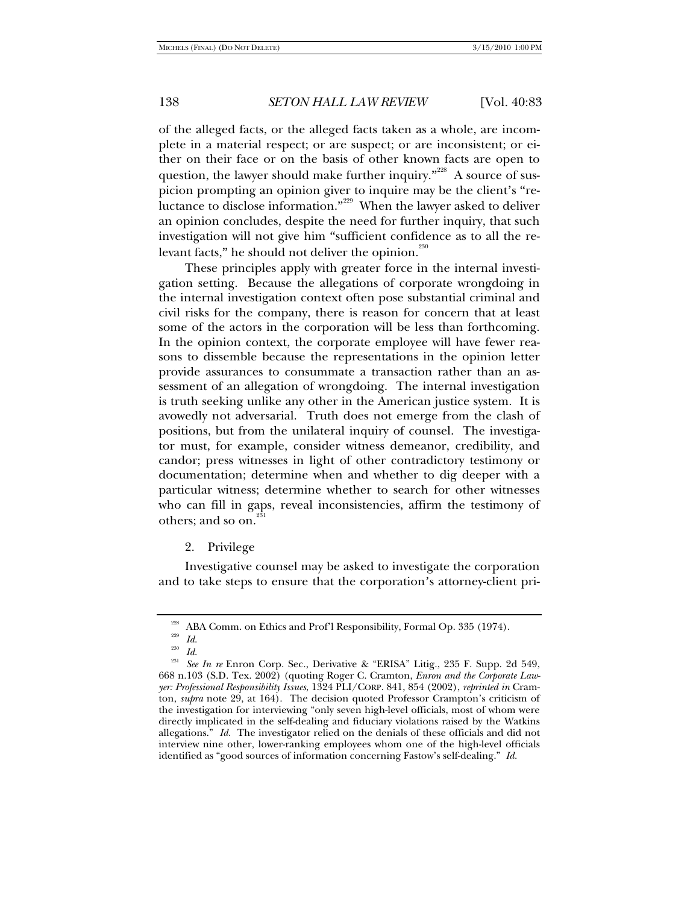of the alleged facts, or the alleged facts taken as a whole, are incomplete in a material respect; or are suspect; or are inconsistent; or either on their face or on the basis of other known facts are open to question, the lawyer should make further inquiry."<sup>228</sup> A source of suspicion prompting an opinion giver to inquire may be the client's "reluctance to disclose information."<sup>229</sup> When the lawyer asked to deliver an opinion concludes, despite the need for further inquiry, that such investigation will not give him "sufficient confidence as to all the relevant facts," he should not deliver the opinion. $^{230}$ 

These principles apply with greater force in the internal investigation setting. Because the allegations of corporate wrongdoing in the internal investigation context often pose substantial criminal and civil risks for the company, there is reason for concern that at least some of the actors in the corporation will be less than forthcoming. In the opinion context, the corporate employee will have fewer reasons to dissemble because the representations in the opinion letter provide assurances to consummate a transaction rather than an assessment of an allegation of wrongdoing. The internal investigation is truth seeking unlike any other in the American justice system. It is avowedly not adversarial. Truth does not emerge from the clash of positions, but from the unilateral inquiry of counsel. The investigator must, for example, consider witness demeanor, credibility, and candor; press witnesses in light of other contradictory testimony or documentation; determine when and whether to dig deeper with a particular witness; determine whether to search for other witnesses who can fill in gaps, reveal inconsistencies, affirm the testimony of others; and so on.<sup>2</sup>

2. Privilege

Investigative counsel may be asked to investigate the corporation and to take steps to ensure that the corporation's attorney-client pri-

<sup>&</sup>lt;sup>228</sup> ABA Comm. on Ethics and Prof'l Responsibility, Formal Op. 335 (1974).<br><sup>230</sup> *Id.* 231 *Id.* 231 *See In re* Enron Corp. Sec., Derivative & "ERISA" Litig., 235 F. Supp. 2d 549, 668 n.103 (S.D. Tex. 2002) (quoting Roger C. Cramton, *Enron and the Corporate Lawyer: Professional Responsibility Issues*, 1324 PLI/CORP. 841, 854 (2002), *reprinted in* Cramton, *supra* note 29, at 164). The decision quoted Professor Crampton's criticism of the investigation for interviewing "only seven high-level officials, most of whom were directly implicated in the self-dealing and fiduciary violations raised by the Watkins allegations." *Id.* The investigator relied on the denials of these officials and did not interview nine other, lower-ranking employees whom one of the high-level officials identified as "good sources of information concerning Fastow's self-dealing." *Id.*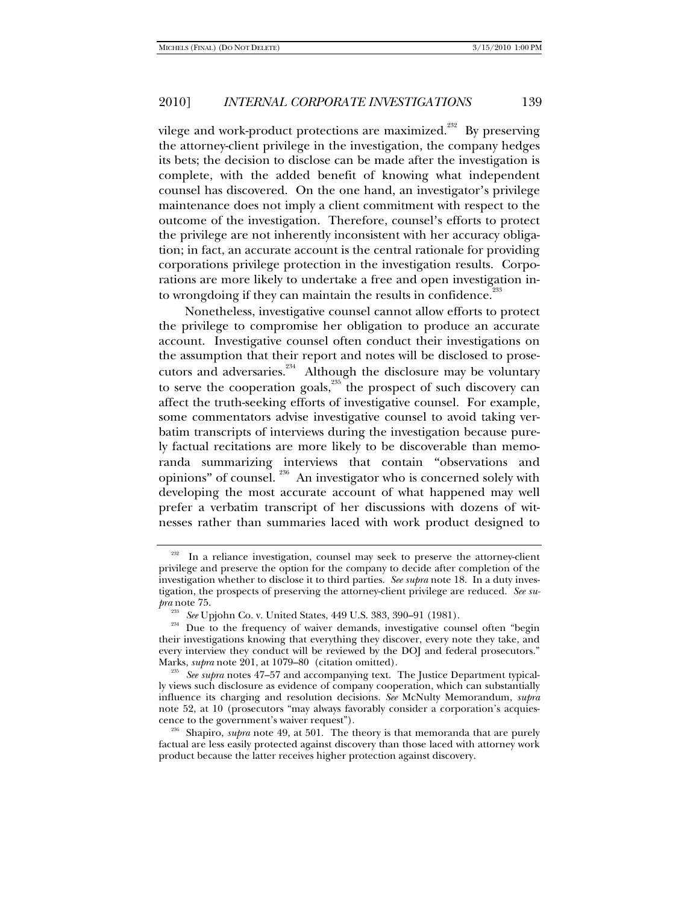vilege and work-product protections are maximized.<sup>232</sup> By preserving the attorney-client privilege in the investigation, the company hedges its bets; the decision to disclose can be made after the investigation is complete, with the added benefit of knowing what independent counsel has discovered. On the one hand, an investigator's privilege maintenance does not imply a client commitment with respect to the outcome of the investigation. Therefore, counsel's efforts to protect the privilege are not inherently inconsistent with her accuracy obligation; in fact, an accurate account is the central rationale for providing corporations privilege protection in the investigation results. Corporations are more likely to undertake a free and open investigation into wrongdoing if they can maintain the results in confidence.<sup>23</sup>

Nonetheless, investigative counsel cannot allow efforts to protect the privilege to compromise her obligation to produce an accurate account. Investigative counsel often conduct their investigations on the assumption that their report and notes will be disclosed to prosecutors and adversaries. $^{234}$  Although the disclosure may be voluntary to serve the cooperation goals, $\overline{\phantom{a}}^{235}$  the prospect of such discovery can affect the truth-seeking efforts of investigative counsel. For example, some commentators advise investigative counsel to avoid taking verbatim transcripts of interviews during the investigation because purely factual recitations are more likely to be discoverable than memoranda summarizing interviews that contain "observations and opinions" of counsel. 236 An investigator who is concerned solely with developing the most accurate account of what happened may well prefer a verbatim transcript of her discussions with dozens of witnesses rather than summaries laced with work product designed to

In a reliance investigation, counsel may seek to preserve the attorney-client privilege and preserve the option for the company to decide after completion of the investigation whether to disclose it to third parties. *See supra* note 18. In a duty investigation, the prospects of preserving the attorney-client privilege are reduced. *See supra* note 75.<br><sup>233</sup> *See* Upjohn Co. v. United States, 449 U.S. 383, 390–91 (1981).

<sup>&</sup>lt;sup>234</sup> Due to the frequency of waiver demands, investigative counsel often "begin their investigations knowing that everything they discover, every note they take, and every interview they conduct will be reviewed by the DOJ and federal prosecutors."

Marks, *supra* note 201, at 1079–80 (citation omitted). 235 *See supra* notes 47–57 and accompanying text. The Justice Department typically views such disclosure as evidence of company cooperation, which can substantially influence its charging and resolution decisions. *See* McNulty Memorandum, *supra* note 52, at 10 (prosecutors "may always favorably consider a corporation's acquies-<br>cence to the government's waiver request").

<sup>&</sup>lt;sup>236</sup> Shapiro, *supra* note 49, at 501. The theory is that memoranda that are purely factual are less easily protected against discovery than those laced with attorney work product because the latter receives higher protection against discovery.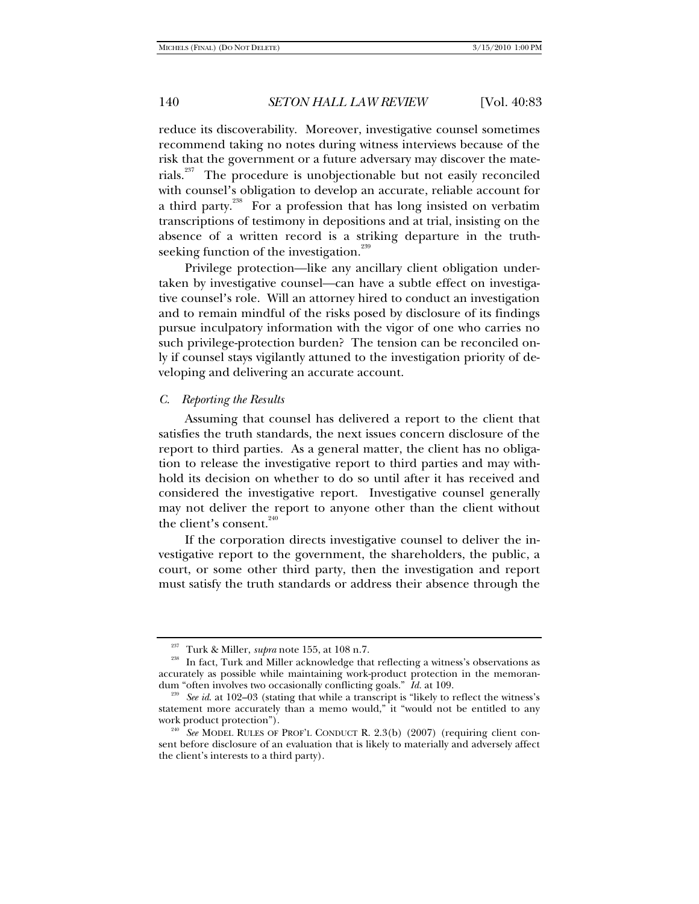reduce its discoverability. Moreover, investigative counsel sometimes recommend taking no notes during witness interviews because of the risk that the government or a future adversary may discover the materials.<sup>237</sup> The procedure is unobjectionable but not easily reconciled with counsel's obligation to develop an accurate, reliable account for a third party.<sup>238</sup> For a profession that has long insisted on verbatim transcriptions of testimony in depositions and at trial, insisting on the absence of a written record is a striking departure in the truthseeking function of the investigation.<sup>239</sup>

Privilege protection—like any ancillary client obligation undertaken by investigative counsel—can have a subtle effect on investigative counsel's role. Will an attorney hired to conduct an investigation and to remain mindful of the risks posed by disclosure of its findings pursue inculpatory information with the vigor of one who carries no such privilege-protection burden? The tension can be reconciled only if counsel stays vigilantly attuned to the investigation priority of developing and delivering an accurate account.

#### *C. Reporting the Results*

Assuming that counsel has delivered a report to the client that satisfies the truth standards, the next issues concern disclosure of the report to third parties. As a general matter, the client has no obligation to release the investigative report to third parties and may withhold its decision on whether to do so until after it has received and considered the investigative report. Investigative counsel generally may not deliver the report to anyone other than the client without the client's consent.<sup>240</sup>

If the corporation directs investigative counsel to deliver the investigative report to the government, the shareholders, the public, a court, or some other third party, then the investigation and report must satisfy the truth standards or address their absence through the

<sup>&</sup>lt;sup>237</sup> Turk & Miller, *supra* note 155, at 108 n.7.<br><sup>238</sup> In fact, Turk and Miller acknowledge that reflecting a witness's observations as accurately as possible while maintaining work-product protection in the memoran-<br>dum "often involves two occasionally conflicting goals."  $\hat{I}d$ . at 109.

<sup>&</sup>lt;sup>239</sup> See id. at 102-03 (stating that while a transcript is "likely to reflect the witness's statement more accurately than a memo would," it "would not be entitled to any work product protection").

<sup>&</sup>lt;sup>240</sup> See MODEL RULES OF PROF'L CONDUCT R. 2.3(b) (2007) (requiring client consent before disclosure of an evaluation that is likely to materially and adversely affect the client's interests to a third party).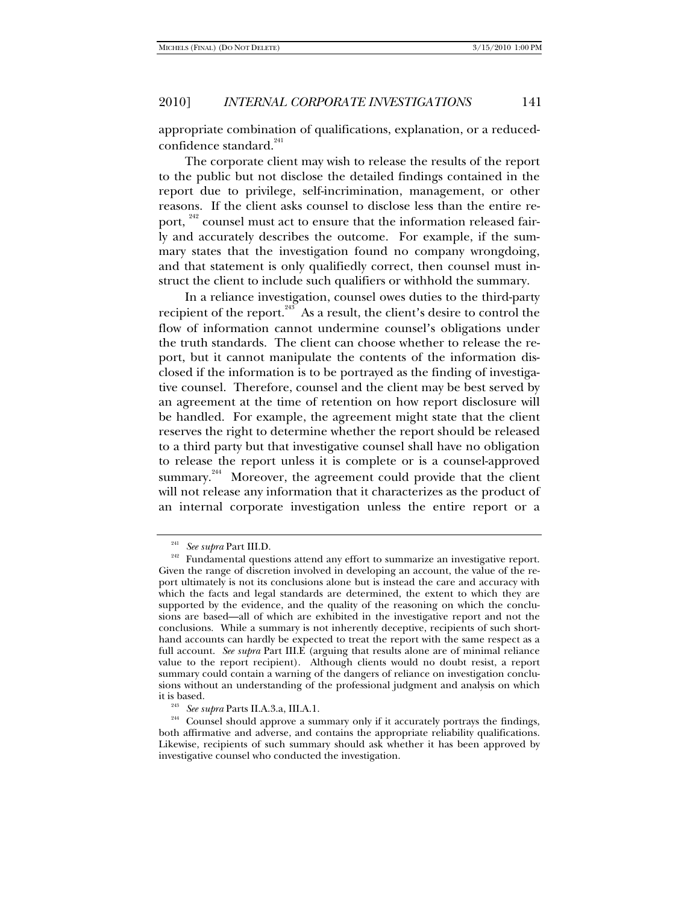appropriate combination of qualifications, explanation, or a reducedconfidence standard.<sup>241</sup>

The corporate client may wish to release the results of the report to the public but not disclose the detailed findings contained in the report due to privilege, self-incrimination, management, or other reasons. If the client asks counsel to disclose less than the entire report, <sup>242</sup> counsel must act to ensure that the information released fairly and accurately describes the outcome. For example, if the summary states that the investigation found no company wrongdoing, and that statement is only qualifiedly correct, then counsel must instruct the client to include such qualifiers or withhold the summary.

In a reliance investigation, counsel owes duties to the third-party recipient of the report.<sup>243</sup> As a result, the client's desire to control the flow of information cannot undermine counsel's obligations under the truth standards. The client can choose whether to release the report, but it cannot manipulate the contents of the information disclosed if the information is to be portrayed as the finding of investigative counsel. Therefore, counsel and the client may be best served by an agreement at the time of retention on how report disclosure will be handled. For example, the agreement might state that the client reserves the right to determine whether the report should be released to a third party but that investigative counsel shall have no obligation to release the report unless it is complete or is a counsel-approved summary.<sup>244</sup> Moreover, the agreement could provide that the client will not release any information that it characterizes as the product of an internal corporate investigation unless the entire report or a

<sup>&</sup>lt;sup>241</sup> See *supra* Part III.D.<br><sup>242</sup> Fundamental questions attend any effort to summarize an investigative report. Given the range of discretion involved in developing an account, the value of the report ultimately is not its conclusions alone but is instead the care and accuracy with which the facts and legal standards are determined, the extent to which they are supported by the evidence, and the quality of the reasoning on which the conclusions are based—all of which are exhibited in the investigative report and not the conclusions. While a summary is not inherently deceptive, recipients of such shorthand accounts can hardly be expected to treat the report with the same respect as a full account. *See supra* Part III.E (arguing that results alone are of minimal reliance value to the report recipient). Although clients would no doubt resist, a report summary could contain a warning of the dangers of reliance on investigation conclusions without an understanding of the professional judgment and analysis on which it is based.

<sup>&</sup>lt;sup>243</sup> See supra Parts II.A.3.a, III.A.1.<br><sup>244</sup> Counsel should approve a summary only if it accurately portrays the findings, both affirmative and adverse, and contains the appropriate reliability qualifications. Likewise, recipients of such summary should ask whether it has been approved by investigative counsel who conducted the investigation.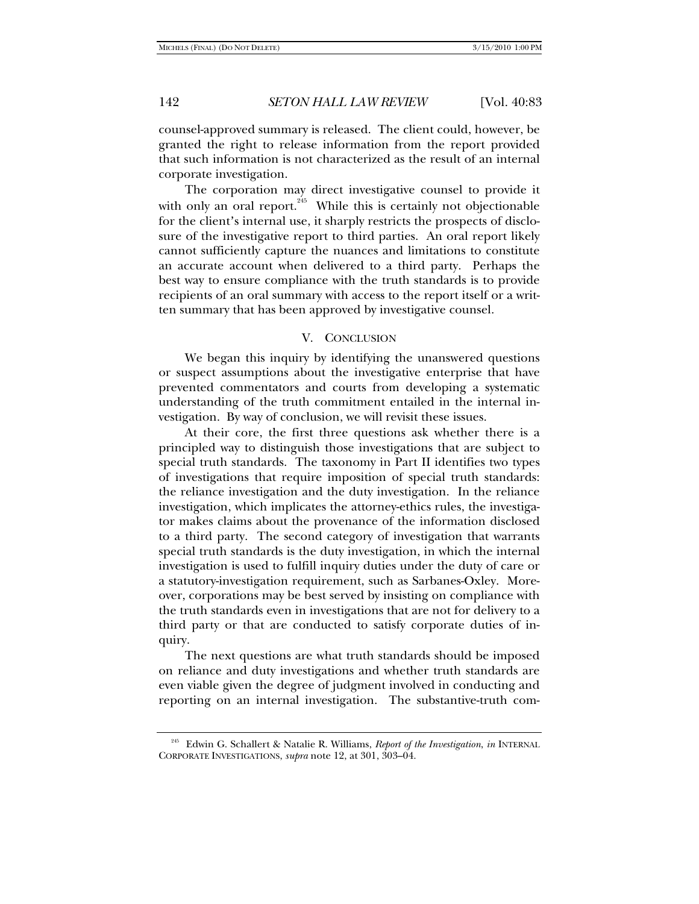counsel-approved summary is released. The client could, however, be granted the right to release information from the report provided that such information is not characterized as the result of an internal corporate investigation.

The corporation may direct investigative counsel to provide it with only an oral report.<sup>245</sup> While this is certainly not objectionable for the client's internal use, it sharply restricts the prospects of disclosure of the investigative report to third parties. An oral report likely cannot sufficiently capture the nuances and limitations to constitute an accurate account when delivered to a third party. Perhaps the best way to ensure compliance with the truth standards is to provide recipients of an oral summary with access to the report itself or a written summary that has been approved by investigative counsel.

#### V. CONCLUSION

We began this inquiry by identifying the unanswered questions or suspect assumptions about the investigative enterprise that have prevented commentators and courts from developing a systematic understanding of the truth commitment entailed in the internal investigation. By way of conclusion, we will revisit these issues.

At their core, the first three questions ask whether there is a principled way to distinguish those investigations that are subject to special truth standards. The taxonomy in Part II identifies two types of investigations that require imposition of special truth standards: the reliance investigation and the duty investigation. In the reliance investigation, which implicates the attorney-ethics rules, the investigator makes claims about the provenance of the information disclosed to a third party. The second category of investigation that warrants special truth standards is the duty investigation, in which the internal investigation is used to fulfill inquiry duties under the duty of care or a statutory-investigation requirement, such as Sarbanes-Oxley. Moreover, corporations may be best served by insisting on compliance with the truth standards even in investigations that are not for delivery to a third party or that are conducted to satisfy corporate duties of inquiry.

The next questions are what truth standards should be imposed on reliance and duty investigations and whether truth standards are even viable given the degree of judgment involved in conducting and reporting on an internal investigation. The substantive-truth com-

<sup>245</sup> Edwin G. Schallert & Natalie R. Williams, *Report of the Investigation*, *in* INTERNAL CORPORATE INVESTIGATIONS, *supra* note 12, at 301, 303–04.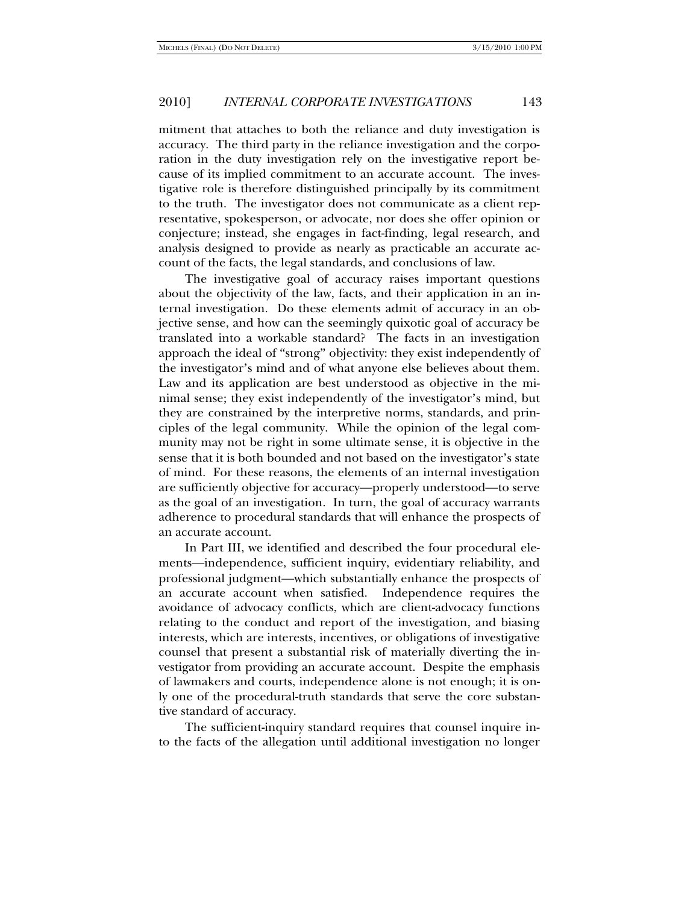mitment that attaches to both the reliance and duty investigation is accuracy. The third party in the reliance investigation and the corporation in the duty investigation rely on the investigative report because of its implied commitment to an accurate account. The investigative role is therefore distinguished principally by its commitment to the truth. The investigator does not communicate as a client representative, spokesperson, or advocate, nor does she offer opinion or conjecture; instead, she engages in fact-finding, legal research, and analysis designed to provide as nearly as practicable an accurate account of the facts, the legal standards, and conclusions of law.

The investigative goal of accuracy raises important questions about the objectivity of the law, facts, and their application in an internal investigation. Do these elements admit of accuracy in an objective sense, and how can the seemingly quixotic goal of accuracy be translated into a workable standard? The facts in an investigation approach the ideal of "strong" objectivity: they exist independently of the investigator's mind and of what anyone else believes about them. Law and its application are best understood as objective in the minimal sense; they exist independently of the investigator's mind, but they are constrained by the interpretive norms, standards, and principles of the legal community. While the opinion of the legal community may not be right in some ultimate sense, it is objective in the sense that it is both bounded and not based on the investigator's state of mind. For these reasons, the elements of an internal investigation are sufficiently objective for accuracy—properly understood—to serve as the goal of an investigation. In turn, the goal of accuracy warrants adherence to procedural standards that will enhance the prospects of an accurate account.

In Part III, we identified and described the four procedural elements—independence, sufficient inquiry, evidentiary reliability, and professional judgment—which substantially enhance the prospects of an accurate account when satisfied. Independence requires the avoidance of advocacy conflicts, which are client-advocacy functions relating to the conduct and report of the investigation, and biasing interests, which are interests, incentives, or obligations of investigative counsel that present a substantial risk of materially diverting the investigator from providing an accurate account. Despite the emphasis of lawmakers and courts, independence alone is not enough; it is only one of the procedural-truth standards that serve the core substantive standard of accuracy.

The sufficient**-**inquiry standard requires that counsel inquire into the facts of the allegation until additional investigation no longer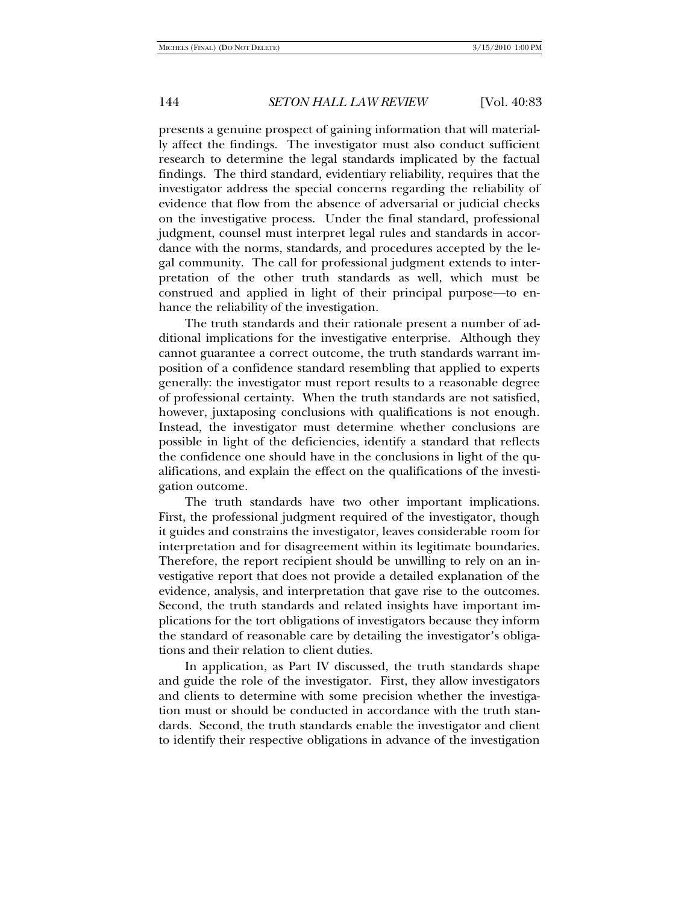presents a genuine prospect of gaining information that will materially affect the findings. The investigator must also conduct sufficient research to determine the legal standards implicated by the factual findings. The third standard, evidentiary reliability, requires that the investigator address the special concerns regarding the reliability of evidence that flow from the absence of adversarial or judicial checks on the investigative process. Under the final standard, professional judgment, counsel must interpret legal rules and standards in accordance with the norms, standards, and procedures accepted by the legal community. The call for professional judgment extends to interpretation of the other truth standards as well, which must be construed and applied in light of their principal purpose—to enhance the reliability of the investigation.

The truth standards and their rationale present a number of additional implications for the investigative enterprise. Although they cannot guarantee a correct outcome, the truth standards warrant imposition of a confidence standard resembling that applied to experts generally: the investigator must report results to a reasonable degree of professional certainty. When the truth standards are not satisfied, however, juxtaposing conclusions with qualifications is not enough. Instead, the investigator must determine whether conclusions are possible in light of the deficiencies, identify a standard that reflects the confidence one should have in the conclusions in light of the qualifications, and explain the effect on the qualifications of the investigation outcome.

The truth standards have two other important implications. First, the professional judgment required of the investigator, though it guides and constrains the investigator, leaves considerable room for interpretation and for disagreement within its legitimate boundaries. Therefore, the report recipient should be unwilling to rely on an investigative report that does not provide a detailed explanation of the evidence, analysis, and interpretation that gave rise to the outcomes. Second, the truth standards and related insights have important implications for the tort obligations of investigators because they inform the standard of reasonable care by detailing the investigator's obligations and their relation to client duties.

In application, as Part IV discussed, the truth standards shape and guide the role of the investigator. First, they allow investigators and clients to determine with some precision whether the investigation must or should be conducted in accordance with the truth standards. Second, the truth standards enable the investigator and client to identify their respective obligations in advance of the investigation